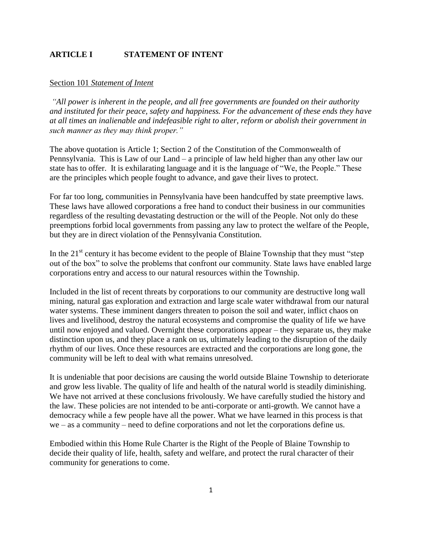## **ARTICLE I STATEMENT OF INTENT**

#### Section 101 *Statement of Intent*

*"All power is inherent in the people, and all free governments are founded on their authority and instituted for their peace, safety and happiness. For the advancement of these ends they have at all times an inalienable and indefeasible right to alter, reform or abolish their government in such manner as they may think proper."*

The above quotation is Article 1; Section 2 of the Constitution of the Commonwealth of Pennsylvania. This is Law of our Land – a principle of law held higher than any other law our state has to offer. It is exhilarating language and it is the language of "We, the People." These are the principles which people fought to advance, and gave their lives to protect.

For far too long, communities in Pennsylvania have been handcuffed by state preemptive laws. These laws have allowed corporations a free hand to conduct their business in our communities regardless of the resulting devastating destruction or the will of the People. Not only do these preemptions forbid local governments from passing any law to protect the welfare of the People, but they are in direct violation of the Pennsylvania Constitution.

In the  $21<sup>st</sup>$  century it has become evident to the people of Blaine Township that they must "step out of the box" to solve the problems that confront our community. State laws have enabled large corporations entry and access to our natural resources within the Township.

Included in the list of recent threats by corporations to our community are destructive long wall mining, natural gas exploration and extraction and large scale water withdrawal from our natural water systems. These imminent dangers threaten to poison the soil and water, inflict chaos on lives and livelihood, destroy the natural ecosystems and compromise the quality of life we have until now enjoyed and valued. Overnight these corporations appear – they separate us, they make distinction upon us, and they place a rank on us, ultimately leading to the disruption of the daily rhythm of our lives. Once these resources are extracted and the corporations are long gone, the community will be left to deal with what remains unresolved.

It is undeniable that poor decisions are causing the world outside Blaine Township to deteriorate and grow less livable. The quality of life and health of the natural world is steadily diminishing. We have not arrived at these conclusions frivolously. We have carefully studied the history and the law. These policies are not intended to be anti-corporate or anti-growth. We cannot have a democracy while a few people have all the power. What we have learned in this process is that we – as a community – need to define corporations and not let the corporations define us.

Embodied within this Home Rule Charter is the Right of the People of Blaine Township to decide their quality of life, health, safety and welfare, and protect the rural character of their community for generations to come.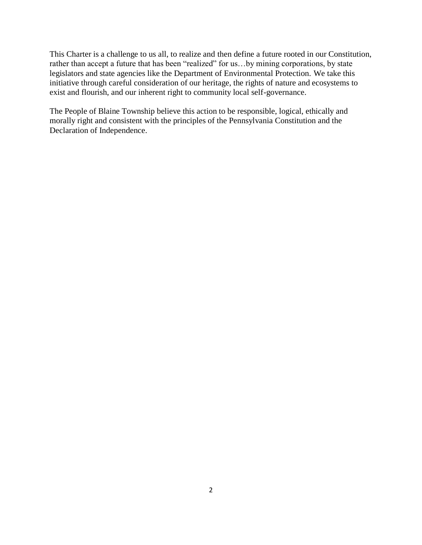This Charter is a challenge to us all, to realize and then define a future rooted in our Constitution, rather than accept a future that has been "realized" for us…by mining corporations, by state legislators and state agencies like the Department of Environmental Protection. We take this initiative through careful consideration of our heritage, the rights of nature and ecosystems to exist and flourish, and our inherent right to community local self-governance.

The People of Blaine Township believe this action to be responsible, logical, ethically and morally right and consistent with the principles of the Pennsylvania Constitution and the Declaration of Independence.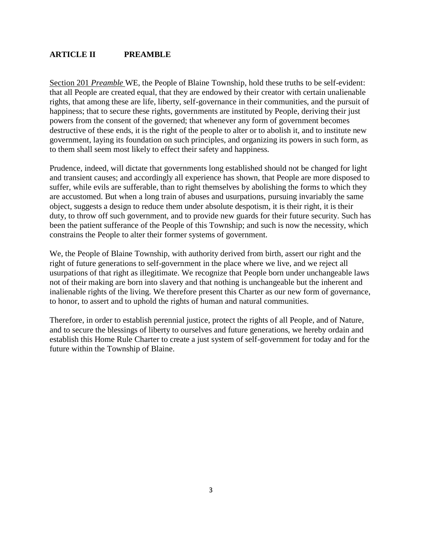### **ARTICLE II PREAMBLE**

Section 201 *Preamble* WE, the People of Blaine Township, hold these truths to be self-evident: that all People are created equal, that they are endowed by their creator with certain unalienable rights, that among these are life, liberty, self-governance in their communities, and the pursuit of happiness; that to secure these rights, governments are instituted by People, deriving their just powers from the consent of the governed; that whenever any form of government becomes destructive of these ends, it is the right of the people to alter or to abolish it, and to institute new government, laying its foundation on such principles, and organizing its powers in such form, as to them shall seem most likely to effect their safety and happiness.

Prudence, indeed, will dictate that governments long established should not be changed for light and transient causes; and accordingly all experience has shown, that People are more disposed to suffer, while evils are sufferable, than to right themselves by abolishing the forms to which they are accustomed. But when a long train of abuses and usurpations, pursuing invariably the same object, suggests a design to reduce them under absolute despotism, it is their right, it is their duty, to throw off such government, and to provide new guards for their future security. Such has been the patient sufferance of the People of this Township; and such is now the necessity, which constrains the People to alter their former systems of government.

We, the People of Blaine Township, with authority derived from birth, assert our right and the right of future generations to self-government in the place where we live, and we reject all usurpations of that right as illegitimate. We recognize that People born under unchangeable laws not of their making are born into slavery and that nothing is unchangeable but the inherent and inalienable rights of the living. We therefore present this Charter as our new form of governance, to honor, to assert and to uphold the rights of human and natural communities.

Therefore, in order to establish perennial justice, protect the rights of all People, and of Nature, and to secure the blessings of liberty to ourselves and future generations, we hereby ordain and establish this Home Rule Charter to create a just system of self-government for today and for the future within the Township of Blaine.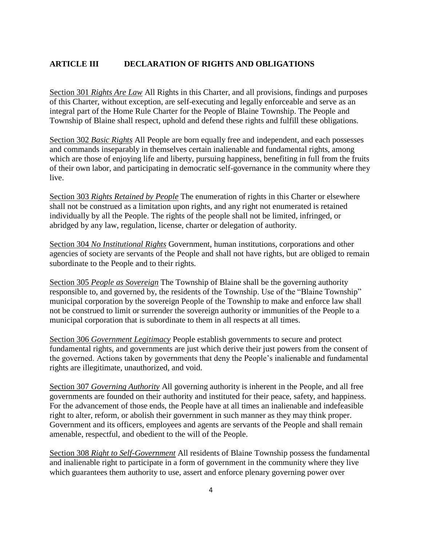## **ARTICLE III DECLARATION OF RIGHTS AND OBLIGATIONS**

Section 301 *Rights Are Law* All Rights in this Charter, and all provisions, findings and purposes of this Charter, without exception, are self-executing and legally enforceable and serve as an integral part of the Home Rule Charter for the People of Blaine Township. The People and Township of Blaine shall respect, uphold and defend these rights and fulfill these obligations.

Section 302 *Basic Rights* All People are born equally free and independent, and each possesses and commands inseparably in themselves certain inalienable and fundamental rights, among which are those of enjoying life and liberty, pursuing happiness, benefiting in full from the fruits of their own labor, and participating in democratic self-governance in the community where they live.

Section 303 *Rights Retained by People* The enumeration of rights in this Charter or elsewhere shall not be construed as a limitation upon rights, and any right not enumerated is retained individually by all the People. The rights of the people shall not be limited, infringed, or abridged by any law, regulation, license, charter or delegation of authority.

Section 304 *No Institutional Rights* Government, human institutions, corporations and other agencies of society are servants of the People and shall not have rights, but are obliged to remain subordinate to the People and to their rights.

Section 305 *People as Sovereign* The Township of Blaine shall be the governing authority responsible to, and governed by, the residents of the Township. Use of the "Blaine Township" municipal corporation by the sovereign People of the Township to make and enforce law shall not be construed to limit or surrender the sovereign authority or immunities of the People to a municipal corporation that is subordinate to them in all respects at all times.

Section 306 *Government Legitimacy* People establish governments to secure and protect fundamental rights, and governments are just which derive their just powers from the consent of the governed. Actions taken by governments that deny the People's inalienable and fundamental rights are illegitimate, unauthorized, and void.

Section 307 *Governing Authority* All governing authority is inherent in the People, and all free governments are founded on their authority and instituted for their peace, safety, and happiness. For the advancement of those ends, the People have at all times an inalienable and indefeasible right to alter, reform, or abolish their government in such manner as they may think proper. Government and its officers, employees and agents are servants of the People and shall remain amenable, respectful, and obedient to the will of the People.

Section 308 *Right to Self-Government* All residents of Blaine Township possess the fundamental and inalienable right to participate in a form of government in the community where they live which guarantees them authority to use, assert and enforce plenary governing power over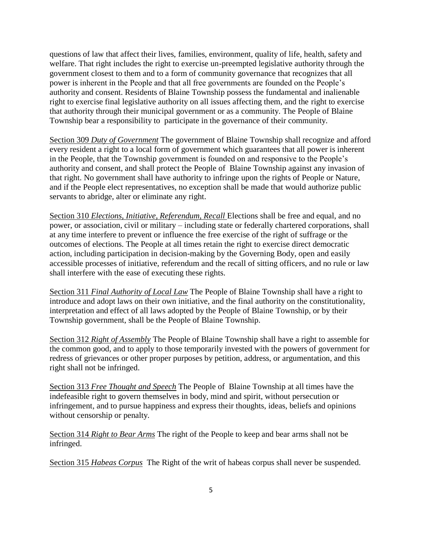questions of law that affect their lives, families, environment, quality of life, health, safety and welfare. That right includes the right to exercise un-preempted legislative authority through the government closest to them and to a form of community governance that recognizes that all power is inherent in the People and that all free governments are founded on the People's authority and consent. Residents of Blaine Township possess the fundamental and inalienable right to exercise final legislative authority on all issues affecting them, and the right to exercise that authority through their municipal government or as a community. The People of Blaine Township bear a responsibility to participate in the governance of their community.

Section 309 *Duty of Government* The government of Blaine Township shall recognize and afford every resident a right to a local form of government which guarantees that all power is inherent in the People, that the Township government is founded on and responsive to the People's authority and consent, and shall protect the People of Blaine Township against any invasion of that right. No government shall have authority to infringe upon the rights of People or Nature, and if the People elect representatives, no exception shall be made that would authorize public servants to abridge, alter or eliminate any right.

Section 310 *Elections, Initiative, Referendum, Recall* Elections shall be free and equal, and no power, or association, civil or military – including state or federally chartered corporations, shall at any time interfere to prevent or influence the free exercise of the right of suffrage or the outcomes of elections. The People at all times retain the right to exercise direct democratic action, including participation in decision-making by the Governing Body, open and easily accessible processes of initiative, referendum and the recall of sitting officers, and no rule or law shall interfere with the ease of executing these rights.

Section 311 *Final Authority of Local Law* The People of Blaine Township shall have a right to introduce and adopt laws on their own initiative, and the final authority on the constitutionality, interpretation and effect of all laws adopted by the People of Blaine Township, or by their Township government, shall be the People of Blaine Township.

Section 312 *Right of Assembly* The People of Blaine Township shall have a right to assemble for the common good, and to apply to those temporarily invested with the powers of government for redress of grievances or other proper purposes by petition, address, or argumentation, and this right shall not be infringed.

Section 313 *Free Thought and Speech* The People of Blaine Township at all times have the indefeasible right to govern themselves in body, mind and spirit, without persecution or infringement, and to pursue happiness and express their thoughts, ideas, beliefs and opinions without censorship or penalty.

Section 314 *Right to Bear Arms* The right of the People to keep and bear arms shall not be infringed.

Section 315 *Habeas Corpus* The Right of the writ of habeas corpus shall never be suspended.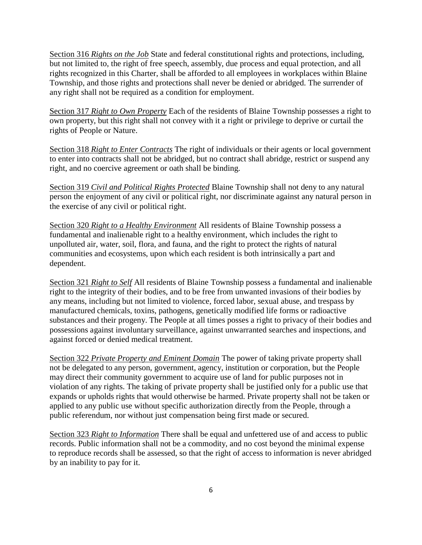Section 316 *Rights on the Job* State and federal constitutional rights and protections, including, but not limited to, the right of free speech, assembly, due process and equal protection, and all rights recognized in this Charter, shall be afforded to all employees in workplaces within Blaine Township, and those rights and protections shall never be denied or abridged. The surrender of any right shall not be required as a condition for employment.

Section 317 *Right to Own Property* Each of the residents of Blaine Township possesses a right to own property, but this right shall not convey with it a right or privilege to deprive or curtail the rights of People or Nature.

Section 318 *Right to Enter Contracts* The right of individuals or their agents or local government to enter into contracts shall not be abridged, but no contract shall abridge, restrict or suspend any right, and no coercive agreement or oath shall be binding.

Section 319 *Civil and Political Rights Protected* Blaine Township shall not deny to any natural person the enjoyment of any civil or political right, nor discriminate against any natural person in the exercise of any civil or political right.

Section 320 *Right to a Healthy Environment* All residents of Blaine Township possess a fundamental and inalienable right to a healthy environment, which includes the right to unpolluted air, water, soil, flora, and fauna, and the right to protect the rights of natural communities and ecosystems, upon which each resident is both intrinsically a part and dependent.

Section 321 *Right to Self* All residents of Blaine Township possess a fundamental and inalienable right to the integrity of their bodies, and to be free from unwanted invasions of their bodies by any means, including but not limited to violence, forced labor, sexual abuse, and trespass by manufactured chemicals, toxins, pathogens, genetically modified life forms or radioactive substances and their progeny. The People at all times posses a right to privacy of their bodies and possessions against involuntary surveillance, against unwarranted searches and inspections, and against forced or denied medical treatment.

Section 322 *Private Property and Eminent Domain* The power of taking private property shall not be delegated to any person, government, agency, institution or corporation, but the People may direct their community government to acquire use of land for public purposes not in violation of any rights. The taking of private property shall be justified only for a public use that expands or upholds rights that would otherwise be harmed. Private property shall not be taken or applied to any public use without specific authorization directly from the People, through a public referendum, nor without just compensation being first made or secured.

Section 323 *Right to Information* There shall be equal and unfettered use of and access to public records. Public information shall not be a commodity, and no cost beyond the minimal expense to reproduce records shall be assessed, so that the right of access to information is never abridged by an inability to pay for it.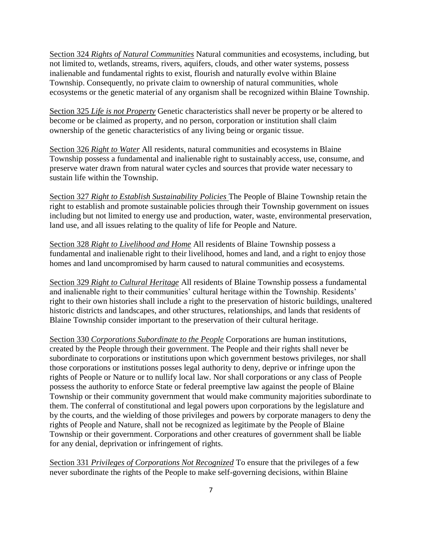Section 324 *Rights of Natural Communities* Natural communities and ecosystems, including, but not limited to, wetlands, streams, rivers, aquifers, clouds, and other water systems, possess inalienable and fundamental rights to exist, flourish and naturally evolve within Blaine Township. Consequently, no private claim to ownership of natural communities, whole ecosystems or the genetic material of any organism shall be recognized within Blaine Township.

Section 325 *Life is not Property* Genetic characteristics shall never be property or be altered to become or be claimed as property, and no person, corporation or institution shall claim ownership of the genetic characteristics of any living being or organic tissue.

Section 326 *Right to Water* All residents, natural communities and ecosystems in Blaine Township possess a fundamental and inalienable right to sustainably access, use, consume, and preserve water drawn from natural water cycles and sources that provide water necessary to sustain life within the Township.

Section 327 *Right to Establish Sustainability Policies* The People of Blaine Township retain the right to establish and promote sustainable policies through their Township government on issues including but not limited to energy use and production, water, waste, environmental preservation, land use, and all issues relating to the quality of life for People and Nature.

Section 328 *Right to Livelihood and Home* All residents of Blaine Township possess a fundamental and inalienable right to their livelihood, homes and land, and a right to enjoy those homes and land uncompromised by harm caused to natural communities and ecosystems.

Section 329 *Right to Cultural Heritage* All residents of Blaine Township possess a fundamental and inalienable right to their communities' cultural heritage within the Township. Residents' right to their own histories shall include a right to the preservation of historic buildings, unaltered historic districts and landscapes, and other structures, relationships, and lands that residents of Blaine Township consider important to the preservation of their cultural heritage.

Section 330 *Corporations Subordinate to the People* Corporations are human institutions, created by the People through their government. The People and their rights shall never be subordinate to corporations or institutions upon which government bestows privileges, nor shall those corporations or institutions posses legal authority to deny, deprive or infringe upon the rights of People or Nature or to nullify local law. Nor shall corporations or any class of People possess the authority to enforce State or federal preemptive law against the people of Blaine Township or their community government that would make community majorities subordinate to them. The conferral of constitutional and legal powers upon corporations by the legislature and by the courts, and the wielding of those privileges and powers by corporate managers to deny the rights of People and Nature, shall not be recognized as legitimate by the People of Blaine Township or their government. Corporations and other creatures of government shall be liable for any denial, deprivation or infringement of rights.

Section 331 *Privileges of Corporations Not Recognized* To ensure that the privileges of a few never subordinate the rights of the People to make self-governing decisions, within Blaine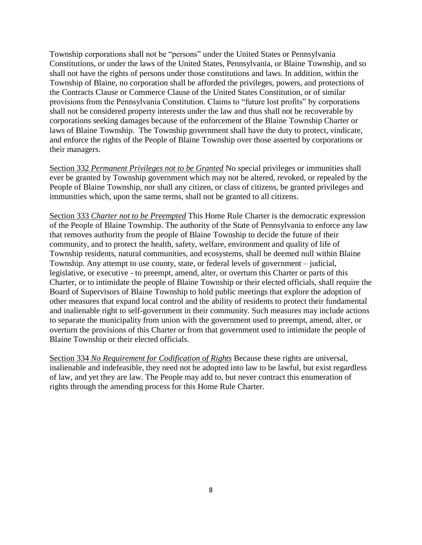Township corporations shall not be "persons" under the United States or Pennsylvania Constitutions, or under the laws of the United States, Pennsylvania, or Blaine Township, and so shall not have the rights of persons under those constitutions and laws. In addition, within the Township of Blaine, no corporation shall be afforded the privileges, powers, and protections of the Contracts Clause or Commerce Clause of the United States Constitution, or of similar provisions from the Pennsylvania Constitution. Claims to "future lost profits" by corporations shall not be considered property interests under the law and thus shall not be recoverable by corporations seeking damages because of the enforcement of the Blaine Township Charter or laws of Blaine Township. The Township government shall have the duty to protect, vindicate, and enforce the rights of the People of Blaine Township over those asserted by corporations or their managers.

Section 332 *Permanent Privileges not to be Granted* No special privileges or immunities shall ever be granted by Township government which may not be altered, revoked, or repealed by the People of Blaine Township, nor shall any citizen, or class of citizens, be granted privileges and immunities which, upon the same terms, shall not be granted to all citizens.

Section 333 *Charter not to be Preempted* This Home Rule Charter is the democratic expression of the People of Blaine Township. The authority of the State of Pennsylvania to enforce any law that removes authority from the people of Blaine Township to decide the future of their community, and to protect the health, safety, welfare, environment and quality of life of Township residents, natural communities, and ecosystems, shall be deemed null within Blaine Township. Any attempt to use county, state, or federal levels of government – judicial, legislative, or executive - to preempt, amend, alter, or overturn this Charter or parts of this Charter, or to intimidate the people of Blaine Township or their elected officials, shall require the Board of Supervisors of Blaine Township to hold public meetings that explore the adoption of other measures that expand local control and the ability of residents to protect their fundamental and inalienable right to self-government in their community. Such measures may include actions to separate the municipality from union with the government used to preempt, amend, alter, or overturn the provisions of this Charter or from that government used to intimidate the people of Blaine Township or their elected officials.

Section 334 *No Requirement for Codification of Rights* Because these rights are universal, inalienable and indefeasible, they need not be adopted into law to be lawful, but exist regardless of law, and yet they are law. The People may add to, but never contract this enumeration of rights through the amending process for this Home Rule Charter.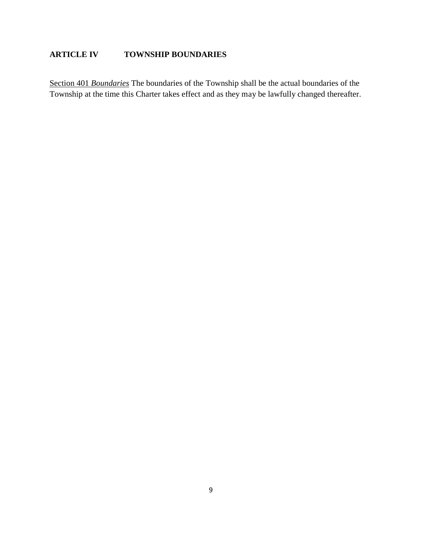# **ARTICLE IV TOWNSHIP BOUNDARIES**

Section 401 *Boundaries* The boundaries of the Township shall be the actual boundaries of the Township at the time this Charter takes effect and as they may be lawfully changed thereafter.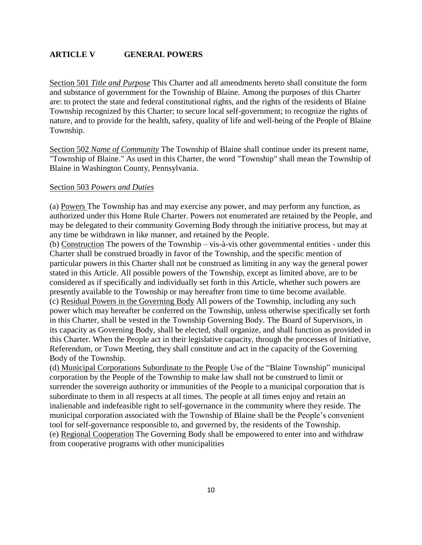## **ARTICLE V GENERAL POWERS**

Section 501 *Title and Purpose* This Charter and all amendments hereto shall constitute the form and substance of government for the Township of Blaine. Among the purposes of this Charter are: to protect the state and federal constitutional rights, and the rights of the residents of Blaine Township recognized by this Charter; to secure local self-government; to recognize the rights of nature, and to provide for the health, safety, quality of life and well-being of the People of Blaine Township.

Section 502 *Name of Community* The Township of Blaine shall continue under its present name, "Township of Blaine." As used in this Charter, the word "Township" shall mean the Township of Blaine in Washington County, Pennsylvania.

#### Section 503 *Powers and Duties*

(a) Powers The Township has and may exercise any power, and may perform any function, as authorized under this Home Rule Charter. Powers not enumerated are retained by the People, and may be delegated to their community Governing Body through the initiative process, but may at any time be withdrawn in like manner, and retained by the People.

(b) Construction The powers of the Township – vis-à-vis other governmental entities - under this Charter shall be construed broadly in favor of the Township, and the specific mention of particular powers in this Charter shall not be construed as limiting in any way the general power stated in this Article. All possible powers of the Township, except as limited above, are to be considered as if specifically and individually set forth in this Article, whether such powers are presently available to the Township or may hereafter from time to time become available. (c) Residual Powers in the Governing Body All powers of the Township, including any such power which may hereafter be conferred on the Township, unless otherwise specifically set forth in this Charter, shall be vested in the Township Governing Body. The Board of Supervisors, in its capacity as Governing Body, shall be elected, shall organize, and shall function as provided in this Charter. When the People act in their legislative capacity, through the processes of Initiative, Referendum, or Town Meeting, they shall constitute and act in the capacity of the Governing Body of the Township.

(d) Municipal Corporations Subordinate to the People Use of the "Blaine Township" municipal corporation by the People of the Township to make law shall not be construed to limit or surrender the sovereign authority or immunities of the People to a municipal corporation that is subordinate to them in all respects at all times. The people at all times enjoy and retain an inalienable and indefeasible right to self-governance in the community where they reside. The municipal corporation associated with the Township of Blaine shall be the People's convenient tool for self-governance responsible to, and governed by, the residents of the Township. (e) Regional Cooperation The Governing Body shall be empowered to enter into and withdraw from cooperative programs with other municipalities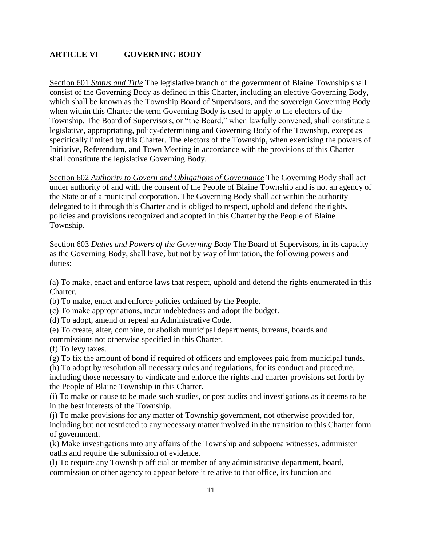## **ARTICLE VI GOVERNING BODY**

Section 601 *Status and Title* The legislative branch of the government of Blaine Township shall consist of the Governing Body as defined in this Charter, including an elective Governing Body, which shall be known as the Township Board of Supervisors, and the sovereign Governing Body when within this Charter the term Governing Body is used to apply to the electors of the Township. The Board of Supervisors, or "the Board," when lawfully convened, shall constitute a legislative, appropriating, policy-determining and Governing Body of the Township, except as specifically limited by this Charter. The electors of the Township, when exercising the powers of Initiative, Referendum, and Town Meeting in accordance with the provisions of this Charter shall constitute the legislative Governing Body.

Section 602 *Authority to Govern and Obligations of Governance* The Governing Body shall act under authority of and with the consent of the People of Blaine Township and is not an agency of the State or of a municipal corporation. The Governing Body shall act within the authority delegated to it through this Charter and is obliged to respect, uphold and defend the rights, policies and provisions recognized and adopted in this Charter by the People of Blaine Township.

Section 603 *Duties and Powers of the Governing Body* The Board of Supervisors, in its capacity as the Governing Body, shall have, but not by way of limitation, the following powers and duties:

(a) To make, enact and enforce laws that respect, uphold and defend the rights enumerated in this Charter.

(b) To make, enact and enforce policies ordained by the People.

(c) To make appropriations, incur indebtedness and adopt the budget.

(d) To adopt, amend or repeal an Administrative Code.

(e) To create, alter, combine, or abolish municipal departments, bureaus, boards and

commissions not otherwise specified in this Charter.

(f) To levy taxes.

(g) To fix the amount of bond if required of officers and employees paid from municipal funds.

(h) To adopt by resolution all necessary rules and regulations, for its conduct and procedure, including those necessary to vindicate and enforce the rights and charter provisions set forth by the People of Blaine Township in this Charter.

(i) To make or cause to be made such studies, or post audits and investigations as it deems to be in the best interests of the Township.

(j) To make provisions for any matter of Township government, not otherwise provided for, including but not restricted to any necessary matter involved in the transition to this Charter form of government.

(k) Make investigations into any affairs of the Township and subpoena witnesses, administer oaths and require the submission of evidence.

(l) To require any Township official or member of any administrative department, board, commission or other agency to appear before it relative to that office, its function and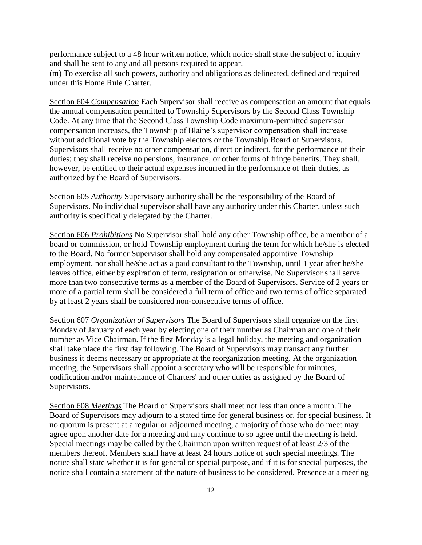performance subject to a 48 hour written notice, which notice shall state the subject of inquiry and shall be sent to any and all persons required to appear.

(m) To exercise all such powers, authority and obligations as delineated, defined and required under this Home Rule Charter.

Section 604 *Compensation* Each Supervisor shall receive as compensation an amount that equals the annual compensation permitted to Township Supervisors by the Second Class Township Code. At any time that the Second Class Township Code maximum-permitted supervisor compensation increases, the Township of Blaine's supervisor compensation shall increase without additional vote by the Township electors or the Township Board of Supervisors. Supervisors shall receive no other compensation, direct or indirect, for the performance of their duties; they shall receive no pensions, insurance, or other forms of fringe benefits. They shall, however, be entitled to their actual expenses incurred in the performance of their duties, as authorized by the Board of Supervisors.

Section 605 *Authority* Supervisory authority shall be the responsibility of the Board of Supervisors. No individual supervisor shall have any authority under this Charter, unless such authority is specifically delegated by the Charter.

Section 606 *Prohibitions* No Supervisor shall hold any other Township office, be a member of a board or commission, or hold Township employment during the term for which he/she is elected to the Board. No former Supervisor shall hold any compensated appointive Township employment, nor shall he/she act as a paid consultant to the Township, until 1 year after he/she leaves office, either by expiration of term, resignation or otherwise. No Supervisor shall serve more than two consecutive terms as a member of the Board of Supervisors. Service of 2 years or more of a partial term shall be considered a full term of office and two terms of office separated by at least 2 years shall be considered non-consecutive terms of office.

Section 607 *Organization of Supervisors* The Board of Supervisors shall organize on the first Monday of January of each year by electing one of their number as Chairman and one of their number as Vice Chairman. If the first Monday is a legal holiday, the meeting and organization shall take place the first day following. The Board of Supervisors may transact any further business it deems necessary or appropriate at the reorganization meeting. At the organization meeting, the Supervisors shall appoint a secretary who will be responsible for minutes, codification and/or maintenance of Charters' and other duties as assigned by the Board of Supervisors.

Section 608 *Meetings* The Board of Supervisors shall meet not less than once a month. The Board of Supervisors may adjourn to a stated time for general business or, for special business. If no quorum is present at a regular or adjourned meeting, a majority of those who do meet may agree upon another date for a meeting and may continue to so agree until the meeting is held. Special meetings may be called by the Chairman upon written request of at least 2/3 of the members thereof. Members shall have at least 24 hours notice of such special meetings. The notice shall state whether it is for general or special purpose, and if it is for special purposes, the notice shall contain a statement of the nature of business to be considered. Presence at a meeting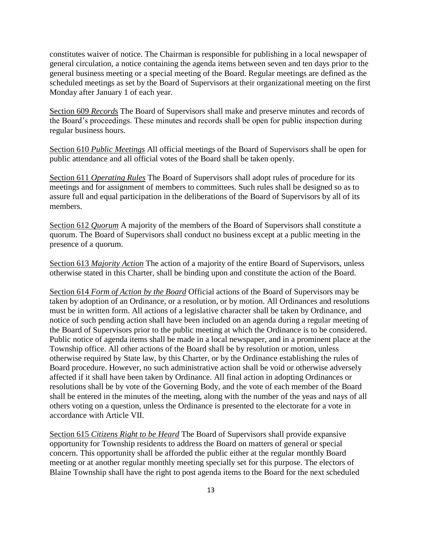constitutes waiver of notice. The Chairman is responsible for publishing in a local newspaper of general circulation, a notice containing the agenda items between seven and ten days prior to the general business meeting or a special meeting of the Board. Regular meetings are defined as the scheduled meetings as set by the Board of Supervisors at their organizational meeting on the first Monday after January 1 of each year.

Section 609 *Records* The Board of Supervisors shall make and preserve minutes and records of the Board's proceedings. These minutes and records shall be open for public inspection during regular business hours.

Section 610 *Public Meetings* All official meetings of the Board of Supervisors shall be open for public attendance and all official votes of the Board shall be taken openly.

Section 611 *Operating Rules* The Board of Supervisors shall adopt rules of procedure for its meetings and for assignment of members to committees. Such rules shall be designed so as to assure full and equal participation in the deliberations of the Board of Supervisors by all of its members.

Section 612 *Quorum* A majority of the members of the Board of Supervisors shall constitute a quorum. The Board of Supervisors shall conduct no business except at a public meeting in the presence of a quorum.

Section 613 *Majority Action* The action of a majority of the entire Board of Supervisors, unless otherwise stated in this Charter, shall be binding upon and constitute the action of the Board.

Section 614 *Form of Action by the Board* Official actions of the Board of Supervisors may be taken by adoption of an Ordinance, or a resolution, or by motion. All Ordinances and resolutions must be in written form. All actions of a legislative character shall be taken by Ordinance, and notice of such pending action shall have been included on an agenda during a regular meeting of the Board of Supervisors prior to the public meeting at which the Ordinance is to be considered. Public notice of agenda items shall be made in a local newspaper, and in a prominent place at the Township office. All other actions of the Board shall be by resolution or motion, unless otherwise required by State law, by this Charter, or by the Ordinance establishing the rules of Board procedure. However, no such administrative action shall be void or otherwise adversely affected if it shall have been taken by Ordinance. All final action in adopting Ordinances or resolutions shall be by vote of the Governing Body, and the vote of each member of the Board shall be entered in the minutes of the meeting, along with the number of the yeas and nays of all others voting on a question, unless the Ordinance is presented to the electorate for a vote in accordance with Article VII.

Section 615 *Citizens Right to be Heard* The Board of Supervisors shall provide expansive opportunity for Township residents to address the Board on matters of general or special concern. This opportunity shall be afforded the public either at the regular monthly Board meeting or at another regular monthly meeting specially set for this purpose. The electors of Blaine Township shall have the right to post agenda items to the Board for the next scheduled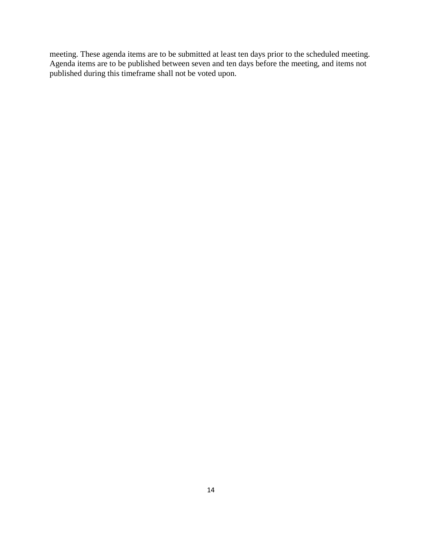meeting. These agenda items are to be submitted at least ten days prior to the scheduled meeting. Agenda items are to be published between seven and ten days before the meeting, and items not published during this timeframe shall not be voted upon.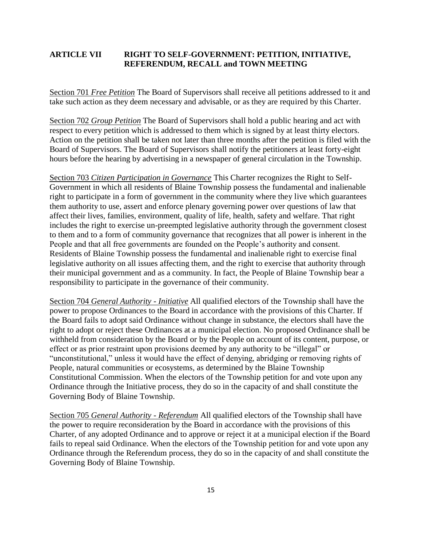## **ARTICLE VII RIGHT TO SELF-GOVERNMENT: PETITION, INITIATIVE, REFERENDUM, RECALL and TOWN MEETING**

Section 701 *Free Petition* The Board of Supervisors shall receive all petitions addressed to it and take such action as they deem necessary and advisable, or as they are required by this Charter.

Section 702 *Group Petition* The Board of Supervisors shall hold a public hearing and act with respect to every petition which is addressed to them which is signed by at least thirty electors. Action on the petition shall be taken not later than three months after the petition is filed with the Board of Supervisors. The Board of Supervisors shall notify the petitioners at least forty-eight hours before the hearing by advertising in a newspaper of general circulation in the Township.

Section 703 *Citizen Participation in Governance* This Charter recognizes the Right to Self-Government in which all residents of Blaine Township possess the fundamental and inalienable right to participate in a form of government in the community where they live which guarantees them authority to use, assert and enforce plenary governing power over questions of law that affect their lives, families, environment, quality of life, health, safety and welfare. That right includes the right to exercise un-preempted legislative authority through the government closest to them and to a form of community governance that recognizes that all power is inherent in the People and that all free governments are founded on the People's authority and consent. Residents of Blaine Township possess the fundamental and inalienable right to exercise final legislative authority on all issues affecting them, and the right to exercise that authority through their municipal government and as a community. In fact, the People of Blaine Township bear a responsibility to participate in the governance of their community.

Section 704 *General Authority - Initiative* All qualified electors of the Township shall have the power to propose Ordinances to the Board in accordance with the provisions of this Charter. If the Board fails to adopt said Ordinance without change in substance, the electors shall have the right to adopt or reject these Ordinances at a municipal election. No proposed Ordinance shall be withheld from consideration by the Board or by the People on account of its content, purpose, or effect or as prior restraint upon provisions deemed by any authority to be "illegal" or "unconstitutional," unless it would have the effect of denying, abridging or removing rights of People, natural communities or ecosystems, as determined by the Blaine Township Constitutional Commission. When the electors of the Township petition for and vote upon any Ordinance through the Initiative process, they do so in the capacity of and shall constitute the Governing Body of Blaine Township.

Section 705 *General Authority - Referendum* All qualified electors of the Township shall have the power to require reconsideration by the Board in accordance with the provisions of this Charter, of any adopted Ordinance and to approve or reject it at a municipal election if the Board fails to repeal said Ordinance. When the electors of the Township petition for and vote upon any Ordinance through the Referendum process, they do so in the capacity of and shall constitute the Governing Body of Blaine Township.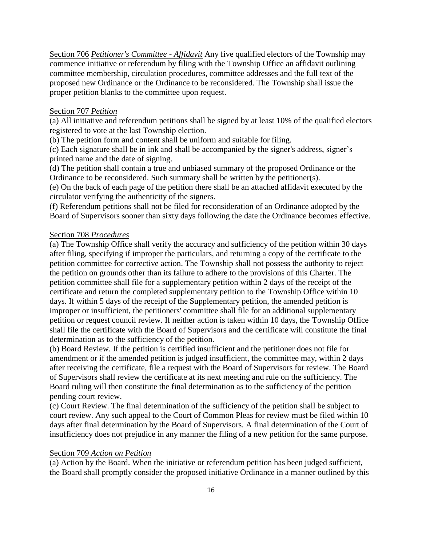Section 706 *Petitioner's Committee - Affidavit* Any five qualified electors of the Township may commence initiative or referendum by filing with the Township Office an affidavit outlining committee membership, circulation procedures, committee addresses and the full text of the proposed new Ordinance or the Ordinance to be reconsidered. The Township shall issue the proper petition blanks to the committee upon request.

#### Section 707 *Petition*

(a) All initiative and referendum petitions shall be signed by at least 10% of the qualified electors registered to vote at the last Township election.

(b) The petition form and content shall be uniform and suitable for filing.

(c) Each signature shall be in ink and shall be accompanied by the signer's address, signer's printed name and the date of signing.

(d) The petition shall contain a true and unbiased summary of the proposed Ordinance or the Ordinance to be reconsidered. Such summary shall be written by the petitioner(s).

(e) On the back of each page of the petition there shall be an attached affidavit executed by the circulator verifying the authenticity of the signers.

(f) Referendum petitions shall not be filed for reconsideration of an Ordinance adopted by the Board of Supervisors sooner than sixty days following the date the Ordinance becomes effective.

#### Section 708 *Procedures*

(a) The Township Office shall verify the accuracy and sufficiency of the petition within 30 days after filing, specifying if improper the particulars, and returning a copy of the certificate to the petition committee for corrective action. The Township shall not possess the authority to reject the petition on grounds other than its failure to adhere to the provisions of this Charter. The petition committee shall file for a supplementary petition within 2 days of the receipt of the certificate and return the completed supplementary petition to the Township Office within 10 days. If within 5 days of the receipt of the Supplementary petition, the amended petition is improper or insufficient, the petitioners' committee shall file for an additional supplementary petition or request council review. If neither action is taken within 10 days, the Township Office shall file the certificate with the Board of Supervisors and the certificate will constitute the final determination as to the sufficiency of the petition.

(b) Board Review. If the petition is certified insufficient and the petitioner does not file for amendment or if the amended petition is judged insufficient, the committee may, within 2 days after receiving the certificate, file a request with the Board of Supervisors for review. The Board of Supervisors shall review the certificate at its next meeting and rule on the sufficiency. The Board ruling will then constitute the final determination as to the sufficiency of the petition pending court review.

(c) Court Review. The final determination of the sufficiency of the petition shall be subject to court review. Any such appeal to the Court of Common Pleas for review must be filed within 10 days after final determination by the Board of Supervisors. A final determination of the Court of insufficiency does not prejudice in any manner the filing of a new petition for the same purpose.

#### Section 709 *Action on Petition*

(a) Action by the Board. When the initiative or referendum petition has been judged sufficient, the Board shall promptly consider the proposed initiative Ordinance in a manner outlined by this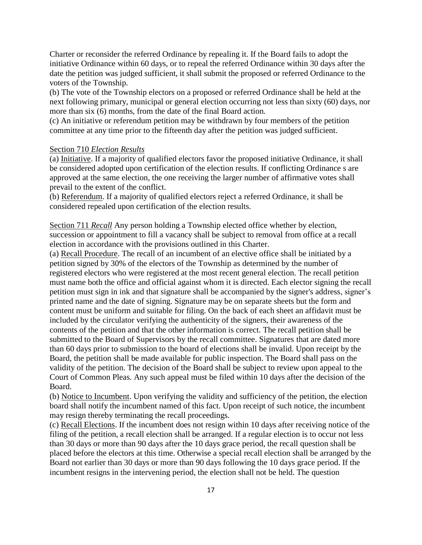Charter or reconsider the referred Ordinance by repealing it. If the Board fails to adopt the initiative Ordinance within 60 days, or to repeal the referred Ordinance within 30 days after the date the petition was judged sufficient, it shall submit the proposed or referred Ordinance to the voters of the Township.

(b) The vote of the Township electors on a proposed or referred Ordinance shall be held at the next following primary, municipal or general election occurring not less than sixty (60) days, nor more than six (6) months, from the date of the final Board action.

(c) An initiative or referendum petition may be withdrawn by four members of the petition committee at any time prior to the fifteenth day after the petition was judged sufficient.

#### Section 710 *Election Results*

(a) Initiative. If a majority of qualified electors favor the proposed initiative Ordinance, it shall be considered adopted upon certification of the election results. If conflicting Ordinance s are approved at the same election, the one receiving the larger number of affirmative votes shall prevail to the extent of the conflict.

(b) Referendum. If a majority of qualified electors reject a referred Ordinance, it shall be considered repealed upon certification of the election results.

Section 711 *Recall* Any person holding a Township elected office whether by election, succession or appointment to fill a vacancy shall be subject to removal from office at a recall election in accordance with the provisions outlined in this Charter.

(a) Recall Procedure. The recall of an incumbent of an elective office shall be initiated by a petition signed by 30% of the electors of the Township as determined by the number of registered electors who were registered at the most recent general election. The recall petition must name both the office and official against whom it is directed. Each elector signing the recall petition must sign in ink and that signature shall be accompanied by the signer's address, signer's printed name and the date of signing. Signature may be on separate sheets but the form and content must be uniform and suitable for filing. On the back of each sheet an affidavit must be included by the circulator verifying the authenticity of the signers, their awareness of the contents of the petition and that the other information is correct. The recall petition shall be submitted to the Board of Supervisors by the recall committee. Signatures that are dated more than 60 days prior to submission to the board of elections shall be invalid. Upon receipt by the Board, the petition shall be made available for public inspection. The Board shall pass on the validity of the petition. The decision of the Board shall be subject to review upon appeal to the Court of Common Pleas. Any such appeal must be filed within 10 days after the decision of the Board.

(b) Notice to Incumbent. Upon verifying the validity and sufficiency of the petition, the election board shall notify the incumbent named of this fact. Upon receipt of such notice, the incumbent may resign thereby terminating the recall proceedings.

(c) Recall Elections. If the incumbent does not resign within 10 days after receiving notice of the filing of the petition, a recall election shall be arranged. If a regular election is to occur not less than 30 days or more than 90 days after the 10 days grace period, the recall question shall be placed before the electors at this time. Otherwise a special recall election shall be arranged by the Board not earlier than 30 days or more than 90 days following the 10 days grace period. If the incumbent resigns in the intervening period, the election shall not be held. The question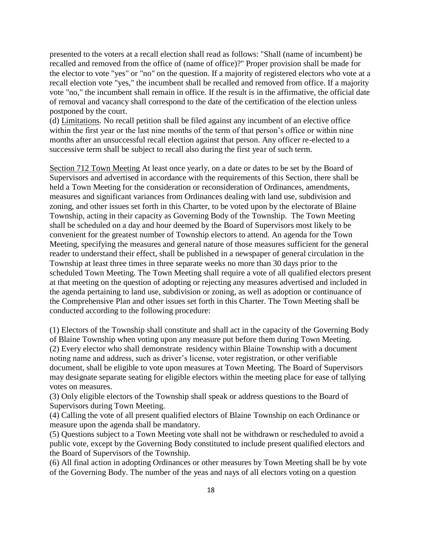presented to the voters at a recall election shall read as follows: "Shall (name of incumbent) be recalled and removed from the office of (name of office)?" Proper provision shall be made for the elector to vote "yes" or "no" on the question. If a majority of registered electors who vote at a recall election vote "yes," the incumbent shall be recalled and removed from office. If a majority vote "no," the incumbent shall remain in office. If the result is in the affirmative, the official date of removal and vacancy shall correspond to the date of the certification of the election unless postponed by the court.

(d) Limitations*.* No recall petition shall be filed against any incumbent of an elective office within the first year or the last nine months of the term of that person's office or within nine months after an unsuccessful recall election against that person. Any officer re-elected to a successive term shall be subject to recall also during the first year of such term.

Section 712 Town Meeting At least once yearly, on a date or dates to be set by the Board of Supervisors and advertised in accordance with the requirements of this Section, there shall be held a Town Meeting for the consideration or reconsideration of Ordinances, amendments, measures and significant variances from Ordinances dealing with land use, subdivision and zoning, and other issues set forth in this Charter, to be voted upon by the electorate of Blaine Township, acting in their capacity as Governing Body of the Township. The Town Meeting shall be scheduled on a day and hour deemed by the Board of Supervisors most likely to be convenient for the greatest number of Township electors to attend. An agenda for the Town Meeting, specifying the measures and general nature of those measures sufficient for the general reader to understand their effect, shall be published in a newspaper of general circulation in the Township at least three times in three separate weeks no more than 30 days prior to the scheduled Town Meeting. The Town Meeting shall require a vote of all qualified electors present at that meeting on the question of adopting or rejecting any measures advertised and included in the agenda pertaining to land use, subdivision or zoning, as well as adoption or continuance of the Comprehensive Plan and other issues set forth in this Charter. The Town Meeting shall be conducted according to the following procedure:

(1) Electors of the Township shall constitute and shall act in the capacity of the Governing Body of Blaine Township when voting upon any measure put before them during Town Meeting. (2) Every elector who shall demonstrate residency within Blaine Township with a document noting name and address, such as driver's license, voter registration, or other verifiable document, shall be eligible to vote upon measures at Town Meeting. The Board of Supervisors may designate separate seating for eligible electors within the meeting place for ease of tallying votes on measures.

(3) Only eligible electors of the Township shall speak or address questions to the Board of Supervisors during Town Meeting.

(4) Calling the vote of all present qualified electors of Blaine Township on each Ordinance or measure upon the agenda shall be mandatory.

(5) Questions subject to a Town Meeting vote shall not be withdrawn or rescheduled to avoid a public vote, except by the Governing Body constituted to include present qualified electors and the Board of Supervisors of the Township.

(6) All final action in adopting Ordinances or other measures by Town Meeting shall be by vote of the Governing Body. The number of the yeas and nays of all electors voting on a question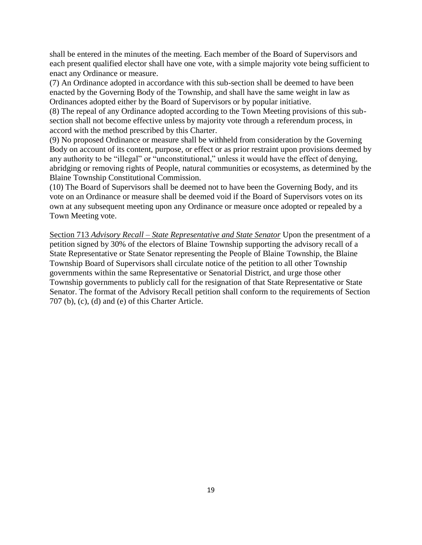shall be entered in the minutes of the meeting. Each member of the Board of Supervisors and each present qualified elector shall have one vote, with a simple majority vote being sufficient to enact any Ordinance or measure.

(7) An Ordinance adopted in accordance with this sub-section shall be deemed to have been enacted by the Governing Body of the Township, and shall have the same weight in law as Ordinances adopted either by the Board of Supervisors or by popular initiative.

(8) The repeal of any Ordinance adopted according to the Town Meeting provisions of this subsection shall not become effective unless by majority vote through a referendum process, in accord with the method prescribed by this Charter.

(9) No proposed Ordinance or measure shall be withheld from consideration by the Governing Body on account of its content, purpose, or effect or as prior restraint upon provisions deemed by any authority to be "illegal" or "unconstitutional," unless it would have the effect of denying, abridging or removing rights of People, natural communities or ecosystems, as determined by the Blaine Township Constitutional Commission.

(10) The Board of Supervisors shall be deemed not to have been the Governing Body, and its vote on an Ordinance or measure shall be deemed void if the Board of Supervisors votes on its own at any subsequent meeting upon any Ordinance or measure once adopted or repealed by a Town Meeting vote.

Section 713 *Advisory Recall – State Representative and State Senator* Upon the presentment of a petition signed by 30% of the electors of Blaine Township supporting the advisory recall of a State Representative or State Senator representing the People of Blaine Township, the Blaine Township Board of Supervisors shall circulate notice of the petition to all other Township governments within the same Representative or Senatorial District, and urge those other Township governments to publicly call for the resignation of that State Representative or State Senator. The format of the Advisory Recall petition shall conform to the requirements of Section 707 (b), (c), (d) and (e) of this Charter Article.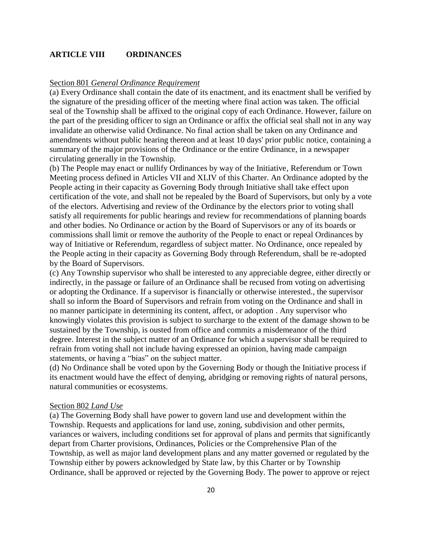### **ARTICLE VIII ORDINANCES**

### Section 801 *General Ordinance Requirement*

(a) Every Ordinance shall contain the date of its enactment, and its enactment shall be verified by the signature of the presiding officer of the meeting where final action was taken. The official seal of the Township shall be affixed to the original copy of each Ordinance. However, failure on the part of the presiding officer to sign an Ordinance or affix the official seal shall not in any way invalidate an otherwise valid Ordinance. No final action shall be taken on any Ordinance and amendments without public hearing thereon and at least 10 days' prior public notice, containing a summary of the major provisions of the Ordinance or the entire Ordinance, in a newspaper circulating generally in the Township.

(b) The People may enact or nullify Ordinances by way of the Initiative, Referendum or Town Meeting process defined in Articles VII and XLIV of this Charter. An Ordinance adopted by the People acting in their capacity as Governing Body through Initiative shall take effect upon certification of the vote, and shall not be repealed by the Board of Supervisors, but only by a vote of the electors. Advertising and review of the Ordinance by the electors prior to voting shall satisfy all requirements for public hearings and review for recommendations of planning boards and other bodies. No Ordinance or action by the Board of Supervisors or any of its boards or commissions shall limit or remove the authority of the People to enact or repeal Ordinances by way of Initiative or Referendum, regardless of subject matter. No Ordinance, once repealed by the People acting in their capacity as Governing Body through Referendum, shall be re-adopted by the Board of Supervisors.

(c) Any Township supervisor who shall be interested to any appreciable degree, either directly or indirectly, in the passage or failure of an Ordinance shall be recused from voting on advertising or adopting the Ordinance. If a supervisor is financially or otherwise interested., the supervisor shall so inform the Board of Supervisors and refrain from voting on the Ordinance and shall in no manner participate in determining its content, affect, or adoption . Any supervisor who knowingly violates this provision is subject to surcharge to the extent of the damage shown to be sustained by the Township, is ousted from office and commits a misdemeanor of the third degree. Interest in the subject matter of an Ordinance for which a supervisor shall be required to refrain from voting shall not include having expressed an opinion, having made campaign statements, or having a "bias" on the subject matter.

(d) No Ordinance shall be voted upon by the Governing Body or though the Initiative process if its enactment would have the effect of denying, abridging or removing rights of natural persons, natural communities or ecosystems.

#### Section 802 *Land Use*

(a) The Governing Body shall have power to govern land use and development within the Township. Requests and applications for land use, zoning, subdivision and other permits, variances or waivers, including conditions set for approval of plans and permits that significantly depart from Charter provisions, Ordinances, Policies or the Comprehensive Plan of the Township, as well as major land development plans and any matter governed or regulated by the Township either by powers acknowledged by State law, by this Charter or by Township Ordinance, shall be approved or rejected by the Governing Body. The power to approve or reject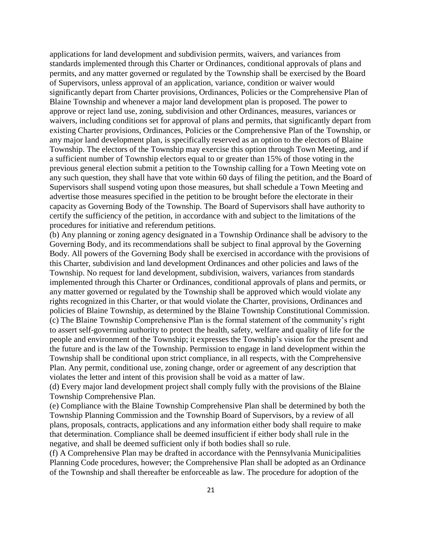applications for land development and subdivision permits, waivers, and variances from standards implemented through this Charter or Ordinances, conditional approvals of plans and permits, and any matter governed or regulated by the Township shall be exercised by the Board of Supervisors, unless approval of an application, variance, condition or waiver would significantly depart from Charter provisions, Ordinances, Policies or the Comprehensive Plan of Blaine Township and whenever a major land development plan is proposed. The power to approve or reject land use, zoning, subdivision and other Ordinances, measures, variances or waivers, including conditions set for approval of plans and permits, that significantly depart from existing Charter provisions, Ordinances, Policies or the Comprehensive Plan of the Township, or any major land development plan, is specifically reserved as an option to the electors of Blaine Township. The electors of the Township may exercise this option through Town Meeting, and if a sufficient number of Township electors equal to or greater than 15% of those voting in the previous general election submit a petition to the Township calling for a Town Meeting vote on any such question, they shall have that vote within 60 days of filing the petition, and the Board of Supervisors shall suspend voting upon those measures, but shall schedule a Town Meeting and advertise those measures specified in the petition to be brought before the electorate in their capacity as Governing Body of the Township. The Board of Supervisors shall have authority to certify the sufficiency of the petition, in accordance with and subject to the limitations of the procedures for initiative and referendum petitions.

(b) Any planning or zoning agency designated in a Township Ordinance shall be advisory to the Governing Body, and its recommendations shall be subject to final approval by the Governing Body. All powers of the Governing Body shall be exercised in accordance with the provisions of this Charter, subdivision and land development Ordinances and other policies and laws of the Township. No request for land development, subdivision, waivers, variances from standards implemented through this Charter or Ordinances, conditional approvals of plans and permits, or any matter governed or regulated by the Township shall be approved which would violate any rights recognized in this Charter, or that would violate the Charter, provisions, Ordinances and policies of Blaine Township, as determined by the Blaine Township Constitutional Commission. (c) The Blaine Township Comprehensive Plan is the formal statement of the community's right to assert self-governing authority to protect the health, safety, welfare and quality of life for the people and environment of the Township; it expresses the Township's vision for the present and the future and is the law of the Township. Permission to engage in land development within the Township shall be conditional upon strict compliance, in all respects, with the Comprehensive Plan. Any permit, conditional use, zoning change, order or agreement of any description that violates the letter and intent of this provision shall be void as a matter of law.

(d) Every major land development project shall comply fully with the provisions of the Blaine Township Comprehensive Plan.

(e) Compliance with the Blaine Township Comprehensive Plan shall be determined by both the Township Planning Commission and the Township Board of Supervisors, by a review of all plans, proposals, contracts, applications and any information either body shall require to make that determination. Compliance shall be deemed insufficient if either body shall rule in the negative, and shall be deemed sufficient only if both bodies shall so rule.

(f) A Comprehensive Plan may be drafted in accordance with the Pennsylvania Municipalities Planning Code procedures, however; the Comprehensive Plan shall be adopted as an Ordinance of the Township and shall thereafter be enforceable as law. The procedure for adoption of the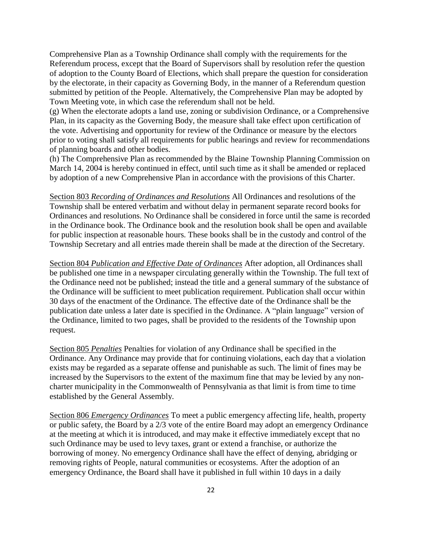Comprehensive Plan as a Township Ordinance shall comply with the requirements for the Referendum process, except that the Board of Supervisors shall by resolution refer the question of adoption to the County Board of Elections, which shall prepare the question for consideration by the electorate, in their capacity as Governing Body, in the manner of a Referendum question submitted by petition of the People. Alternatively, the Comprehensive Plan may be adopted by Town Meeting vote, in which case the referendum shall not be held.

(g) When the electorate adopts a land use, zoning or subdivision Ordinance, or a Comprehensive Plan, in its capacity as the Governing Body, the measure shall take effect upon certification of the vote. Advertising and opportunity for review of the Ordinance or measure by the electors prior to voting shall satisfy all requirements for public hearings and review for recommendations of planning boards and other bodies.

(h) The Comprehensive Plan as recommended by the Blaine Township Planning Commission on March 14, 2004 is hereby continued in effect, until such time as it shall be amended or replaced by adoption of a new Comprehensive Plan in accordance with the provisions of this Charter.

Section 803 *Recording of Ordinances and Resolutions* All Ordinances and resolutions of the Township shall be entered verbatim and without delay in permanent separate record books for Ordinances and resolutions. No Ordinance shall be considered in force until the same is recorded in the Ordinance book. The Ordinance book and the resolution book shall be open and available for public inspection at reasonable hours. These books shall be in the custody and control of the Township Secretary and all entries made therein shall be made at the direction of the Secretary.

Section 804 *Publication and Effective Date of Ordinances* After adoption, all Ordinances shall be published one time in a newspaper circulating generally within the Township. The full text of the Ordinance need not be published; instead the title and a general summary of the substance of the Ordinance will be sufficient to meet publication requirement. Publication shall occur within 30 days of the enactment of the Ordinance. The effective date of the Ordinance shall be the publication date unless a later date is specified in the Ordinance. A "plain language" version of the Ordinance, limited to two pages, shall be provided to the residents of the Township upon request.

Section 805 *Penalties* Penalties for violation of any Ordinance shall be specified in the Ordinance. Any Ordinance may provide that for continuing violations, each day that a violation exists may be regarded as a separate offense and punishable as such. The limit of fines may be increased by the Supervisors to the extent of the maximum fine that may be levied by any noncharter municipality in the Commonwealth of Pennsylvania as that limit is from time to time established by the General Assembly.

Section 806 *Emergency Ordinances* To meet a public emergency affecting life, health, property or public safety, the Board by a 2/3 vote of the entire Board may adopt an emergency Ordinance at the meeting at which it is introduced, and may make it effective immediately except that no such Ordinance may be used to levy taxes, grant or extend a franchise, or authorize the borrowing of money. No emergency Ordinance shall have the effect of denying, abridging or removing rights of People, natural communities or ecosystems. After the adoption of an emergency Ordinance, the Board shall have it published in full within 10 days in a daily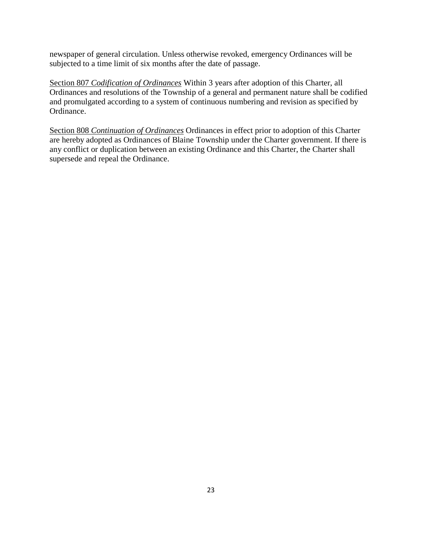newspaper of general circulation. Unless otherwise revoked, emergency Ordinances will be subjected to a time limit of six months after the date of passage.

Section 807 *Codification of Ordinances* Within 3 years after adoption of this Charter, all Ordinances and resolutions of the Township of a general and permanent nature shall be codified and promulgated according to a system of continuous numbering and revision as specified by Ordinance.

Section 808 *Continuation of Ordinances* Ordinances in effect prior to adoption of this Charter are hereby adopted as Ordinances of Blaine Township under the Charter government. If there is any conflict or duplication between an existing Ordinance and this Charter, the Charter shall supersede and repeal the Ordinance.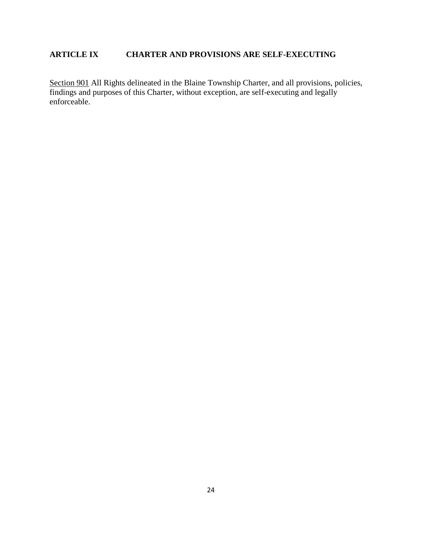# **ARTICLE IX CHARTER AND PROVISIONS ARE SELF-EXECUTING**

Section 901 All Rights delineated in the Blaine Township Charter, and all provisions, policies, findings and purposes of this Charter, without exception, are self-executing and legally enforceable.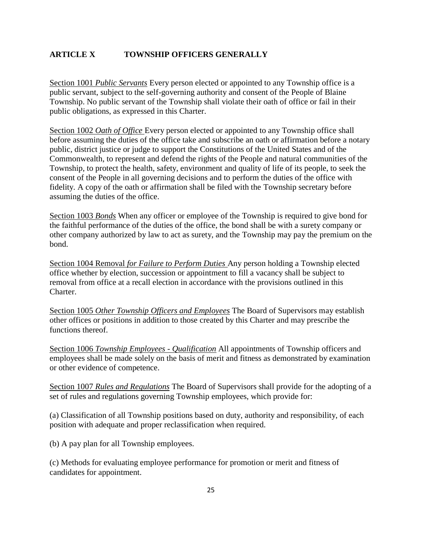# **ARTICLE X TOWNSHIP OFFICERS GENERALLY**

Section 1001 *Public Servants* Every person elected or appointed to any Township office is a public servant, subject to the self-governing authority and consent of the People of Blaine Township. No public servant of the Township shall violate their oath of office or fail in their public obligations, as expressed in this Charter.

Section 1002 *Oath of Office* Every person elected or appointed to any Township office shall before assuming the duties of the office take and subscribe an oath or affirmation before a notary public, district justice or judge to support the Constitutions of the United States and of the Commonwealth, to represent and defend the rights of the People and natural communities of the Township, to protect the health, safety, environment and quality of life of its people, to seek the consent of the People in all governing decisions and to perform the duties of the office with fidelity. A copy of the oath or affirmation shall be filed with the Township secretary before assuming the duties of the office.

Section 1003 *Bonds* When any officer or employee of the Township is required to give bond for the faithful performance of the duties of the office, the bond shall be with a surety company or other company authorized by law to act as surety, and the Township may pay the premium on the bond.

Section 1004 Removal *for Failure to Perform Duties* Any person holding a Township elected office whether by election, succession or appointment to fill a vacancy shall be subject to removal from office at a recall election in accordance with the provisions outlined in this Charter.

Section 1005 *Other Township Officers and Employees* The Board of Supervisors may establish other offices or positions in addition to those created by this Charter and may prescribe the functions thereof.

Section 1006 *Township Employees - Qualification* All appointments of Township officers and employees shall be made solely on the basis of merit and fitness as demonstrated by examination or other evidence of competence.

Section 1007 *Rules and Regulations* The Board of Supervisors shall provide for the adopting of a set of rules and regulations governing Township employees, which provide for:

(a) Classification of all Township positions based on duty, authority and responsibility, of each position with adequate and proper reclassification when required.

(b) A pay plan for all Township employees.

(c) Methods for evaluating employee performance for promotion or merit and fitness of candidates for appointment.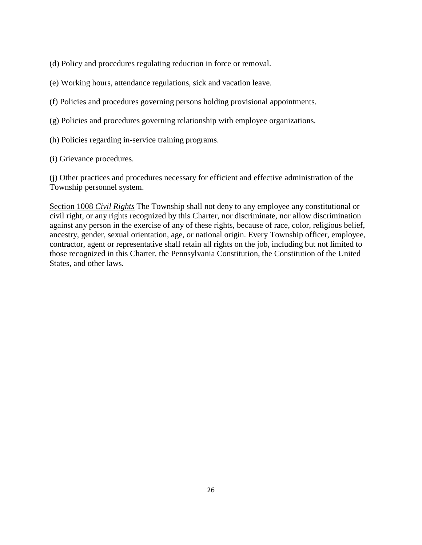(d) Policy and procedures regulating reduction in force or removal.

- (e) Working hours, attendance regulations, sick and vacation leave.
- (f) Policies and procedures governing persons holding provisional appointments.
- (g) Policies and procedures governing relationship with employee organizations.
- (h) Policies regarding in-service training programs.
- (i) Grievance procedures.

(j) Other practices and procedures necessary for efficient and effective administration of the Township personnel system.

Section 1008 *Civil Rights* The Township shall not deny to any employee any constitutional or civil right, or any rights recognized by this Charter, nor discriminate, nor allow discrimination against any person in the exercise of any of these rights, because of race, color, religious belief, ancestry, gender, sexual orientation, age, or national origin. Every Township officer, employee, contractor, agent or representative shall retain all rights on the job, including but not limited to those recognized in this Charter, the Pennsylvania Constitution, the Constitution of the United States, and other laws.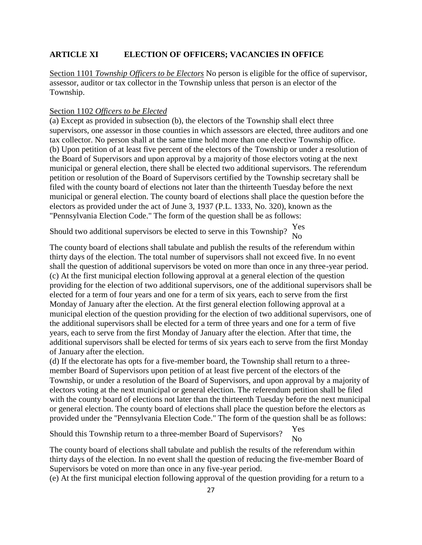### **ARTICLE XI ELECTION OF OFFICERS; VACANCIES IN OFFICE**

Section 1101 *Township Officers to be Electors* No person is eligible for the office of supervisor, assessor, auditor or tax collector in the Township unless that person is an elector of the Township.

#### Section 1102 *Officers to be Elected*

(a) Except as provided in subsection (b), the electors of the Township shall elect three supervisors, one assessor in those counties in which assessors are elected, three auditors and one tax collector. No person shall at the same time hold more than one elective Township office. (b) Upon petition of at least five percent of the electors of the Township or under a resolution of the Board of Supervisors and upon approval by a majority of those electors voting at the next municipal or general election, there shall be elected two additional supervisors. The referendum petition or resolution of the Board of Supervisors certified by the Township secretary shall be filed with the county board of elections not later than the thirteenth Tuesday before the next municipal or general election. The county board of elections shall place the question before the electors as provided under the act of June 3, 1937 (P.L. 1333, No. 320), known as the "Pennsylvania Election Code." The form of the question shall be as follows:

Should two additional supervisors be elected to serve in this Township?  $\frac{Yes}{N}$ No

The county board of elections shall tabulate and publish the results of the referendum within thirty days of the election. The total number of supervisors shall not exceed five. In no event shall the question of additional supervisors be voted on more than once in any three-year period. (c) At the first municipal election following approval at a general election of the question providing for the election of two additional supervisors, one of the additional supervisors shall be elected for a term of four years and one for a term of six years, each to serve from the first Monday of January after the election. At the first general election following approval at a municipal election of the question providing for the election of two additional supervisors, one of the additional supervisors shall be elected for a term of three years and one for a term of five years, each to serve from the first Monday of January after the election. After that time, the additional supervisors shall be elected for terms of six years each to serve from the first Monday of January after the election.

(d) If the electorate has opts for a five-member board, the Township shall return to a threemember Board of Supervisors upon petition of at least five percent of the electors of the Township, or under a resolution of the Board of Supervisors, and upon approval by a majority of electors voting at the next municipal or general election. The referendum petition shall be filed with the county board of elections not later than the thirteenth Tuesday before the next municipal or general election. The county board of elections shall place the question before the electors as provided under the "Pennsylvania Election Code." The form of the question shall be as follows:

Should this Township return to a three-member Board of Supervisors? Yes  $N<sub>0</sub>$ 

The county board of elections shall tabulate and publish the results of the referendum within thirty days of the election. In no event shall the question of reducing the five-member Board of Supervisors be voted on more than once in any five-year period.

(e) At the first municipal election following approval of the question providing for a return to a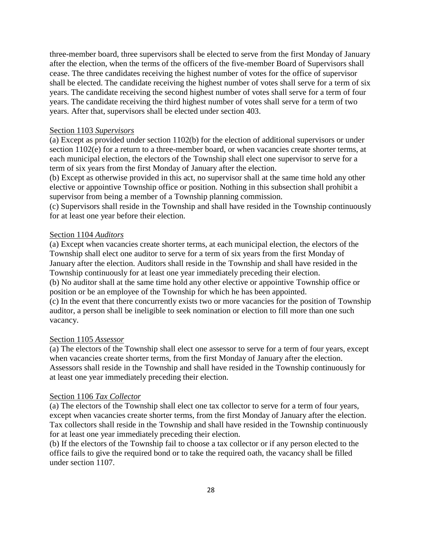three-member board, three supervisors shall be elected to serve from the first Monday of January after the election, when the terms of the officers of the five-member Board of Supervisors shall cease. The three candidates receiving the highest number of votes for the office of supervisor shall be elected. The candidate receiving the highest number of votes shall serve for a term of six years. The candidate receiving the second highest number of votes shall serve for a term of four years. The candidate receiving the third highest number of votes shall serve for a term of two years. After that, supervisors shall be elected under section 403.

#### Section 1103 *Supervisors*

(a) Except as provided under section 1102(b) for the election of additional supervisors or under section 1102(e) for a return to a three-member board, or when vacancies create shorter terms, at each municipal election, the electors of the Township shall elect one supervisor to serve for a term of six years from the first Monday of January after the election.

(b) Except as otherwise provided in this act, no supervisor shall at the same time hold any other elective or appointive Township office or position. Nothing in this subsection shall prohibit a supervisor from being a member of a Township planning commission.

(c) Supervisors shall reside in the Township and shall have resided in the Township continuously for at least one year before their election.

#### Section 1104 *Auditors*

(a) Except when vacancies create shorter terms, at each municipal election, the electors of the Township shall elect one auditor to serve for a term of six years from the first Monday of January after the election. Auditors shall reside in the Township and shall have resided in the Township continuously for at least one year immediately preceding their election. (b) No auditor shall at the same time hold any other elective or appointive Township office or position or be an employee of the Township for which he has been appointed. (c) In the event that there concurrently exists two or more vacancies for the position of Township auditor, a person shall be ineligible to seek nomination or election to fill more than one such vacancy.

#### Section 1105 *Assessor*

(a) The electors of the Township shall elect one assessor to serve for a term of four years, except when vacancies create shorter terms, from the first Monday of January after the election. Assessors shall reside in the Township and shall have resided in the Township continuously for at least one year immediately preceding their election.

#### Section 1106 *Tax Collector*

(a) The electors of the Township shall elect one tax collector to serve for a term of four years, except when vacancies create shorter terms, from the first Monday of January after the election. Tax collectors shall reside in the Township and shall have resided in the Township continuously for at least one year immediately preceding their election.

(b) If the electors of the Township fail to choose a tax collector or if any person elected to the office fails to give the required bond or to take the required oath, the vacancy shall be filled under section 1107.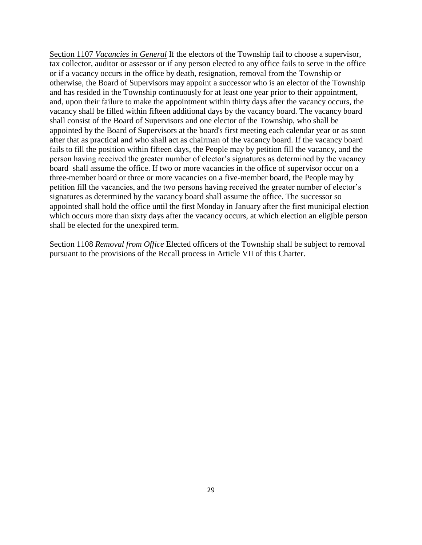Section 1107 *Vacancies in General* If the electors of the Township fail to choose a supervisor, tax collector, auditor or assessor or if any person elected to any office fails to serve in the office or if a vacancy occurs in the office by death, resignation, removal from the Township or otherwise, the Board of Supervisors may appoint a successor who is an elector of the Township and has resided in the Township continuously for at least one year prior to their appointment, and, upon their failure to make the appointment within thirty days after the vacancy occurs, the vacancy shall be filled within fifteen additional days by the vacancy board. The vacancy board shall consist of the Board of Supervisors and one elector of the Township, who shall be appointed by the Board of Supervisors at the board's first meeting each calendar year or as soon after that as practical and who shall act as chairman of the vacancy board. If the vacancy board fails to fill the position within fifteen days, the People may by petition fill the vacancy, and the person having received the greater number of elector's signatures as determined by the vacancy board shall assume the office. If two or more vacancies in the office of supervisor occur on a three-member board or three or more vacancies on a five-member board, the People may by petition fill the vacancies, and the two persons having received the greater number of elector's signatures as determined by the vacancy board shall assume the office. The successor so appointed shall hold the office until the first Monday in January after the first municipal election which occurs more than sixty days after the vacancy occurs, at which election an eligible person shall be elected for the unexpired term.

Section 1108 *Removal from Office* Elected officers of the Township shall be subject to removal pursuant to the provisions of the Recall process in Article VII of this Charter.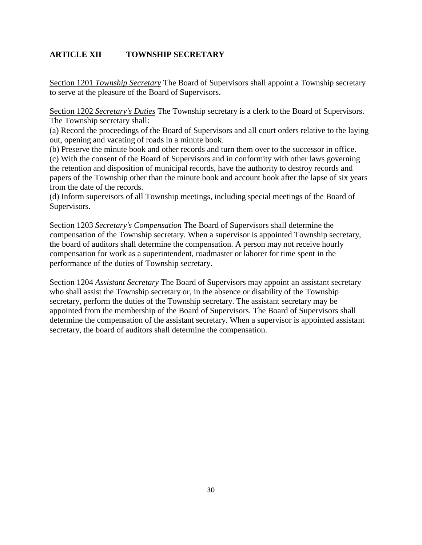# **ARTICLE XII TOWNSHIP SECRETARY**

Section 1201 *Township Secretary* The Board of Supervisors shall appoint a Township secretary to serve at the pleasure of the Board of Supervisors.

Section 1202 *Secretary's Duties* The Township secretary is a clerk to the Board of Supervisors. The Township secretary shall:

(a) Record the proceedings of the Board of Supervisors and all court orders relative to the laying out, opening and vacating of roads in a minute book.

(b) Preserve the minute book and other records and turn them over to the successor in office.

(c) With the consent of the Board of Supervisors and in conformity with other laws governing the retention and disposition of municipal records, have the authority to destroy records and papers of the Township other than the minute book and account book after the lapse of six years from the date of the records.

(d) Inform supervisors of all Township meetings, including special meetings of the Board of Supervisors.

Section 1203 *Secretary's Compensation* The Board of Supervisors shall determine the compensation of the Township secretary. When a supervisor is appointed Township secretary, the board of auditors shall determine the compensation. A person may not receive hourly compensation for work as a superintendent, roadmaster or laborer for time spent in the performance of the duties of Township secretary.

Section 1204 *Assistant Secretary* The Board of Supervisors may appoint an assistant secretary who shall assist the Township secretary or, in the absence or disability of the Township secretary, perform the duties of the Township secretary. The assistant secretary may be appointed from the membership of the Board of Supervisors. The Board of Supervisors shall determine the compensation of the assistant secretary. When a supervisor is appointed assistant secretary, the board of auditors shall determine the compensation.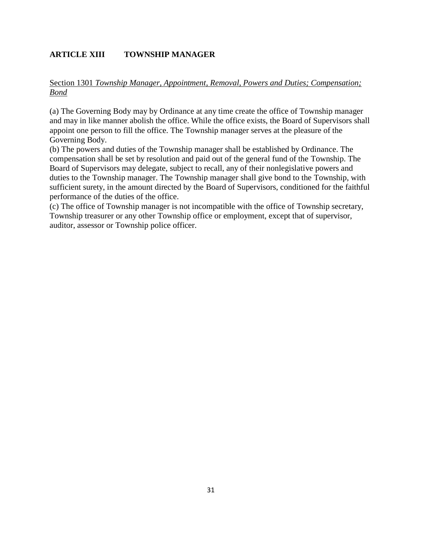# **ARTICLE XIII TOWNSHIP MANAGER**

# Section 1301 *Township Manager, Appointment, Removal, Powers and Duties; Compensation; Bond*

(a) The Governing Body may by Ordinance at any time create the office of Township manager and may in like manner abolish the office. While the office exists, the Board of Supervisors shall appoint one person to fill the office. The Township manager serves at the pleasure of the Governing Body.

(b) The powers and duties of the Township manager shall be established by Ordinance. The compensation shall be set by resolution and paid out of the general fund of the Township. The Board of Supervisors may delegate, subject to recall, any of their nonlegislative powers and duties to the Township manager. The Township manager shall give bond to the Township, with sufficient surety, in the amount directed by the Board of Supervisors, conditioned for the faithful performance of the duties of the office.

(c) The office of Township manager is not incompatible with the office of Township secretary, Township treasurer or any other Township office or employment, except that of supervisor, auditor, assessor or Township police officer.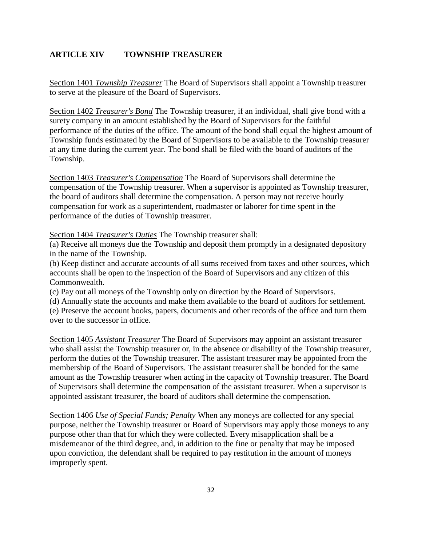# **ARTICLE XIV TOWNSHIP TREASURER**

Section 1401 *Township Treasurer* The Board of Supervisors shall appoint a Township treasurer to serve at the pleasure of the Board of Supervisors.

Section 1402 *Treasurer's Bond* The Township treasurer, if an individual, shall give bond with a surety company in an amount established by the Board of Supervisors for the faithful performance of the duties of the office. The amount of the bond shall equal the highest amount of Township funds estimated by the Board of Supervisors to be available to the Township treasurer at any time during the current year. The bond shall be filed with the board of auditors of the Township.

Section 1403 *Treasurer's Compensation* The Board of Supervisors shall determine the compensation of the Township treasurer. When a supervisor is appointed as Township treasurer, the board of auditors shall determine the compensation. A person may not receive hourly compensation for work as a superintendent, roadmaster or laborer for time spent in the performance of the duties of Township treasurer.

Section 1404 *Treasurer's Duties* The Township treasurer shall:

(a) Receive all moneys due the Township and deposit them promptly in a designated depository in the name of the Township.

(b) Keep distinct and accurate accounts of all sums received from taxes and other sources, which accounts shall be open to the inspection of the Board of Supervisors and any citizen of this Commonwealth.

(c) Pay out all moneys of the Township only on direction by the Board of Supervisors.

(d) Annually state the accounts and make them available to the board of auditors for settlement. (e) Preserve the account books, papers, documents and other records of the office and turn them over to the successor in office.

Section 1405 *Assistant Treasurer* The Board of Supervisors may appoint an assistant treasurer who shall assist the Township treasurer or, in the absence or disability of the Township treasurer, perform the duties of the Township treasurer. The assistant treasurer may be appointed from the membership of the Board of Supervisors. The assistant treasurer shall be bonded for the same amount as the Township treasurer when acting in the capacity of Township treasurer. The Board of Supervisors shall determine the compensation of the assistant treasurer. When a supervisor is appointed assistant treasurer, the board of auditors shall determine the compensation.

Section 1406 *Use of Special Funds; Penalty* When any moneys are collected for any special purpose, neither the Township treasurer or Board of Supervisors may apply those moneys to any purpose other than that for which they were collected. Every misapplication shall be a misdemeanor of the third degree, and, in addition to the fine or penalty that may be imposed upon conviction, the defendant shall be required to pay restitution in the amount of moneys improperly spent.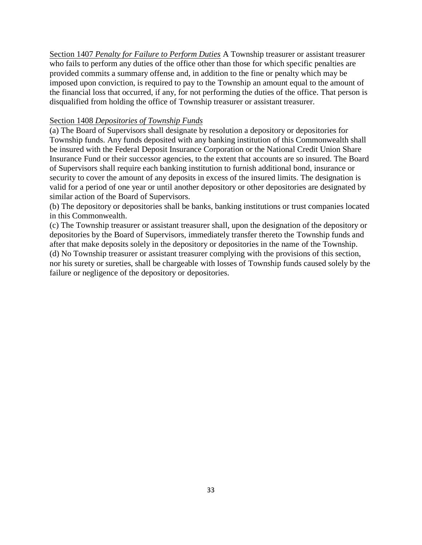Section 1407 *Penalty for Failure to Perform Duties* A Township treasurer or assistant treasurer who fails to perform any duties of the office other than those for which specific penalties are provided commits a summary offense and, in addition to the fine or penalty which may be imposed upon conviction, is required to pay to the Township an amount equal to the amount of the financial loss that occurred, if any, for not performing the duties of the office. That person is disqualified from holding the office of Township treasurer or assistant treasurer.

### Section 1408 *Depositories of Township Funds*

(a) The Board of Supervisors shall designate by resolution a depository or depositories for Township funds. Any funds deposited with any banking institution of this Commonwealth shall be insured with the Federal Deposit Insurance Corporation or the National Credit Union Share Insurance Fund or their successor agencies, to the extent that accounts are so insured. The Board of Supervisors shall require each banking institution to furnish additional bond, insurance or security to cover the amount of any deposits in excess of the insured limits. The designation is valid for a period of one year or until another depository or other depositories are designated by similar action of the Board of Supervisors.

(b) The depository or depositories shall be banks, banking institutions or trust companies located in this Commonwealth.

(c) The Township treasurer or assistant treasurer shall, upon the designation of the depository or depositories by the Board of Supervisors, immediately transfer thereto the Township funds and after that make deposits solely in the depository or depositories in the name of the Township. (d) No Township treasurer or assistant treasurer complying with the provisions of this section, nor his surety or sureties, shall be chargeable with losses of Township funds caused solely by the failure or negligence of the depository or depositories.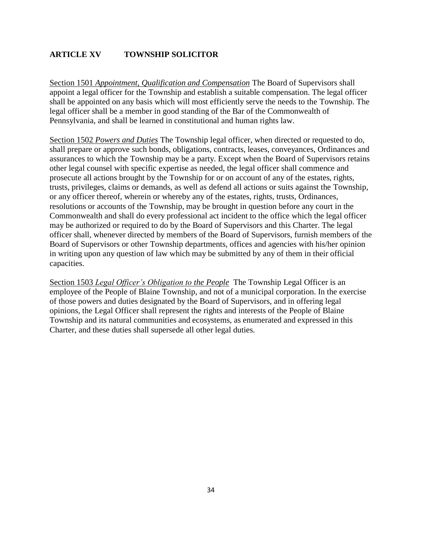# **ARTICLE XV TOWNSHIP SOLICITOR**

Section 1501 *Appointment, Qualification and Compensation* The Board of Supervisors shall appoint a legal officer for the Township and establish a suitable compensation. The legal officer shall be appointed on any basis which will most efficiently serve the needs to the Township. The legal officer shall be a member in good standing of the Bar of the Commonwealth of Pennsylvania, and shall be learned in constitutional and human rights law.

Section 1502 *Powers and Duties* The Township legal officer, when directed or requested to do, shall prepare or approve such bonds, obligations, contracts, leases, conveyances, Ordinances and assurances to which the Township may be a party. Except when the Board of Supervisors retains other legal counsel with specific expertise as needed, the legal officer shall commence and prosecute all actions brought by the Township for or on account of any of the estates, rights, trusts, privileges, claims or demands, as well as defend all actions or suits against the Township, or any officer thereof, wherein or whereby any of the estates, rights, trusts, Ordinances, resolutions or accounts of the Township, may be brought in question before any court in the Commonwealth and shall do every professional act incident to the office which the legal officer may be authorized or required to do by the Board of Supervisors and this Charter. The legal officer shall, whenever directed by members of the Board of Supervisors, furnish members of the Board of Supervisors or other Township departments, offices and agencies with his/her opinion in writing upon any question of law which may be submitted by any of them in their official capacities.

Section 1503 *Legal Officer's Obligation to the People* The Township Legal Officer is an employee of the People of Blaine Township, and not of a municipal corporation. In the exercise of those powers and duties designated by the Board of Supervisors, and in offering legal opinions, the Legal Officer shall represent the rights and interests of the People of Blaine Township and its natural communities and ecosystems, as enumerated and expressed in this Charter, and these duties shall supersede all other legal duties.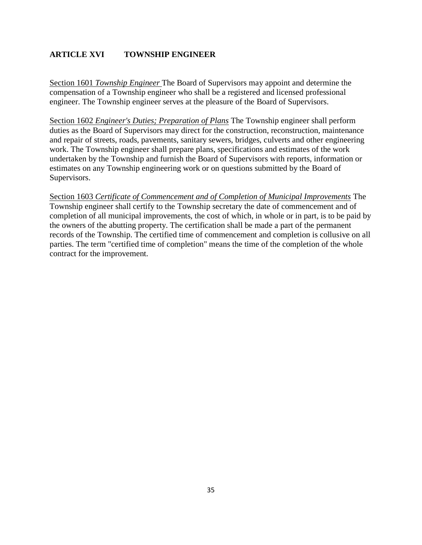# **ARTICLE XVI TOWNSHIP ENGINEER**

Section 1601 *Township Engineer* The Board of Supervisors may appoint and determine the compensation of a Township engineer who shall be a registered and licensed professional engineer. The Township engineer serves at the pleasure of the Board of Supervisors.

Section 1602 *Engineer's Duties; Preparation of Plans* The Township engineer shall perform duties as the Board of Supervisors may direct for the construction, reconstruction, maintenance and repair of streets, roads, pavements, sanitary sewers, bridges, culverts and other engineering work. The Township engineer shall prepare plans, specifications and estimates of the work undertaken by the Township and furnish the Board of Supervisors with reports, information or estimates on any Township engineering work or on questions submitted by the Board of Supervisors.

Section 1603 *Certificate of Commencement and of Completion of Municipal Improvements* The Township engineer shall certify to the Township secretary the date of commencement and of completion of all municipal improvements, the cost of which, in whole or in part, is to be paid by the owners of the abutting property. The certification shall be made a part of the permanent records of the Township. The certified time of commencement and completion is collusive on all parties. The term "certified time of completion" means the time of the completion of the whole contract for the improvement.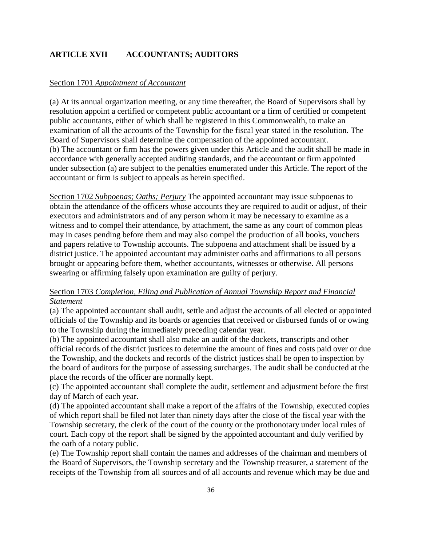# **ARTICLE XVII ACCOUNTANTS; AUDITORS**

#### Section 1701 *Appointment of Accountant*

(a) At its annual organization meeting, or any time thereafter, the Board of Supervisors shall by resolution appoint a certified or competent public accountant or a firm of certified or competent public accountants, either of which shall be registered in this Commonwealth, to make an examination of all the accounts of the Township for the fiscal year stated in the resolution. The Board of Supervisors shall determine the compensation of the appointed accountant. (b) The accountant or firm has the powers given under this Article and the audit shall be made in accordance with generally accepted auditing standards, and the accountant or firm appointed under subsection (a) are subject to the penalties enumerated under this Article. The report of the accountant or firm is subject to appeals as herein specified.

Section 1702 *Subpoenas; Oaths; Perjury* The appointed accountant may issue subpoenas to obtain the attendance of the officers whose accounts they are required to audit or adjust, of their executors and administrators and of any person whom it may be necessary to examine as a witness and to compel their attendance, by attachment, the same as any court of common pleas may in cases pending before them and may also compel the production of all books, vouchers and papers relative to Township accounts. The subpoena and attachment shall be issued by a district justice. The appointed accountant may administer oaths and affirmations to all persons brought or appearing before them, whether accountants, witnesses or otherwise. All persons swearing or affirming falsely upon examination are guilty of perjury.

# Section 1703 *Completion, Filing and Publication of Annual Township Report and Financial Statement*

(a) The appointed accountant shall audit, settle and adjust the accounts of all elected or appointed officials of the Township and its boards or agencies that received or disbursed funds of or owing to the Township during the immediately preceding calendar year.

(b) The appointed accountant shall also make an audit of the dockets, transcripts and other official records of the district justices to determine the amount of fines and costs paid over or due the Township, and the dockets and records of the district justices shall be open to inspection by the board of auditors for the purpose of assessing surcharges. The audit shall be conducted at the place the records of the officer are normally kept.

(c) The appointed accountant shall complete the audit, settlement and adjustment before the first day of March of each year.

(d) The appointed accountant shall make a report of the affairs of the Township, executed copies of which report shall be filed not later than ninety days after the close of the fiscal year with the Township secretary, the clerk of the court of the county or the prothonotary under local rules of court. Each copy of the report shall be signed by the appointed accountant and duly verified by the oath of a notary public.

(e) The Township report shall contain the names and addresses of the chairman and members of the Board of Supervisors, the Township secretary and the Township treasurer, a statement of the receipts of the Township from all sources and of all accounts and revenue which may be due and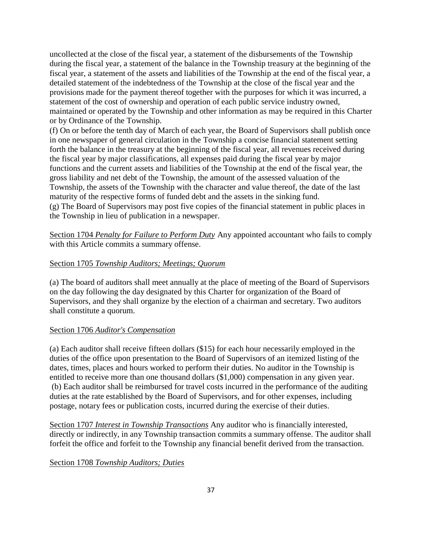uncollected at the close of the fiscal year, a statement of the disbursements of the Township during the fiscal year, a statement of the balance in the Township treasury at the beginning of the fiscal year, a statement of the assets and liabilities of the Township at the end of the fiscal year, a detailed statement of the indebtedness of the Township at the close of the fiscal year and the provisions made for the payment thereof together with the purposes for which it was incurred, a statement of the cost of ownership and operation of each public service industry owned, maintained or operated by the Township and other information as may be required in this Charter or by Ordinance of the Township.

(f) On or before the tenth day of March of each year, the Board of Supervisors shall publish once in one newspaper of general circulation in the Township a concise financial statement setting forth the balance in the treasury at the beginning of the fiscal year, all revenues received during the fiscal year by major classifications, all expenses paid during the fiscal year by major functions and the current assets and liabilities of the Township at the end of the fiscal year, the gross liability and net debt of the Township, the amount of the assessed valuation of the Township, the assets of the Township with the character and value thereof, the date of the last maturity of the respective forms of funded debt and the assets in the sinking fund. (g) The Board of Supervisors may post five copies of the financial statement in public places in the Township in lieu of publication in a newspaper.

Section 1704 *Penalty for Failure to Perform Duty* Any appointed accountant who fails to comply with this Article commits a summary offense.

# Section 1705 *Township Auditors; Meetings; Quorum*

(a) The board of auditors shall meet annually at the place of meeting of the Board of Supervisors on the day following the day designated by this Charter for organization of the Board of Supervisors, and they shall organize by the election of a chairman and secretary. Two auditors shall constitute a quorum.

# Section 1706 *Auditor's Compensation*

(a) Each auditor shall receive fifteen dollars (\$15) for each hour necessarily employed in the duties of the office upon presentation to the Board of Supervisors of an itemized listing of the dates, times, places and hours worked to perform their duties. No auditor in the Township is entitled to receive more than one thousand dollars (\$1,000) compensation in any given year. (b) Each auditor shall be reimbursed for travel costs incurred in the performance of the auditing duties at the rate established by the Board of Supervisors, and for other expenses, including postage, notary fees or publication costs, incurred during the exercise of their duties.

Section 1707 *Interest in Township Transactions* Any auditor who is financially interested, directly or indirectly, in any Township transaction commits a summary offense. The auditor shall forfeit the office and forfeit to the Township any financial benefit derived from the transaction.

Section 1708 *Township Auditors; Duties*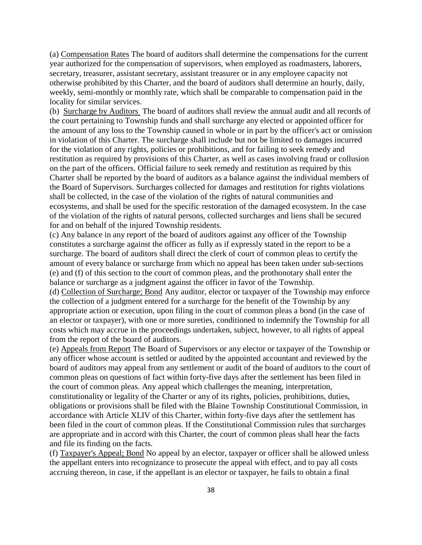(a) Compensation Rates The board of auditors shall determine the compensations for the current year authorized for the compensation of supervisors, when employed as roadmasters, laborers, secretary, treasurer, assistant secretary, assistant treasurer or in any employee capacity not otherwise prohibited by this Charter, and the board of auditors shall determine an hourly, daily, weekly, semi-monthly or monthly rate, which shall be comparable to compensation paid in the locality for similar services.

(b) Surcharge by Auditors The board of auditors shall review the annual audit and all records of the court pertaining to Township funds and shall surcharge any elected or appointed officer for the amount of any loss to the Township caused in whole or in part by the officer's act or omission in violation of this Charter. The surcharge shall include but not be limited to damages incurred for the violation of any rights, policies or prohibitions, and for failing to seek remedy and restitution as required by provisions of this Charter, as well as cases involving fraud or collusion on the part of the officers. Official failure to seek remedy and restitution as required by this Charter shall be reported by the board of auditors as a balance against the individual members of the Board of Supervisors. Surcharges collected for damages and restitution for rights violations shall be collected, in the case of the violation of the rights of natural communities and ecosystems, and shall be used for the specific restoration of the damaged ecosystem. In the case of the violation of the rights of natural persons, collected surcharges and liens shall be secured for and on behalf of the injured Township residents.

(c) Any balance in any report of the board of auditors against any officer of the Township constitutes a surcharge against the officer as fully as if expressly stated in the report to be a surcharge. The board of auditors shall direct the clerk of court of common pleas to certify the amount of every balance or surcharge from which no appeal has been taken under sub-sections (e) and (f) of this section to the court of common pleas, and the prothonotary shall enter the balance or surcharge as a judgment against the officer in favor of the Township. (d) Collection of Surcharge; Bond Any auditor, elector or taxpayer of the Township may enforce the collection of a judgment entered for a surcharge for the benefit of the Township by any

appropriate action or execution, upon filing in the court of common pleas a bond (in the case of an elector or taxpayer), with one or more sureties, conditioned to indemnify the Township for all costs which may accrue in the proceedings undertaken, subject, however, to all rights of appeal from the report of the board of auditors.

(e) Appeals from Report The Board of Supervisors or any elector or taxpayer of the Township or any officer whose account is settled or audited by the appointed accountant and reviewed by the board of auditors may appeal from any settlement or audit of the board of auditors to the court of common pleas on questions of fact within forty-five days after the settlement has been filed in the court of common pleas. Any appeal which challenges the meaning, interpretation, constitutionality or legality of the Charter or any of its rights, policies, prohibitions, duties, obligations or provisions shall be filed with the Blaine Township Constitutional Commission, in accordance with Article XLIV of this Charter, within forty-five days after the settlement has been filed in the court of common pleas. If the Constitutional Commission rules that surcharges are appropriate and in accord with this Charter, the court of common pleas shall hear the facts and file its finding on the facts.

(f) Taxpayer's Appeal; Bond No appeal by an elector, taxpayer or officer shall be allowed unless the appellant enters into recognizance to prosecute the appeal with effect, and to pay all costs accruing thereon, in case, if the appellant is an elector or taxpayer, he fails to obtain a final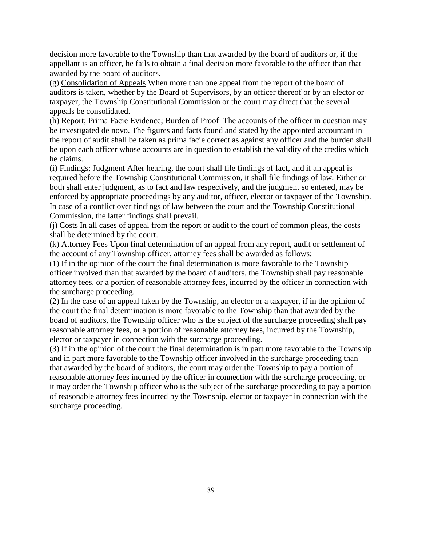decision more favorable to the Township than that awarded by the board of auditors or, if the appellant is an officer, he fails to obtain a final decision more favorable to the officer than that awarded by the board of auditors.

(g) Consolidation of Appeals When more than one appeal from the report of the board of auditors is taken, whether by the Board of Supervisors, by an officer thereof or by an elector or taxpayer, the Township Constitutional Commission or the court may direct that the several appeals be consolidated.

(h) Report; Prima Facie Evidence; Burden of Proof The accounts of the officer in question may be investigated de novo. The figures and facts found and stated by the appointed accountant in the report of audit shall be taken as prima facie correct as against any officer and the burden shall be upon each officer whose accounts are in question to establish the validity of the credits which he claims.

(i) Findings; Judgment After hearing, the court shall file findings of fact, and if an appeal is required before the Township Constitutional Commission, it shall file findings of law. Either or both shall enter judgment, as to fact and law respectively, and the judgment so entered, may be enforced by appropriate proceedings by any auditor, officer, elector or taxpayer of the Township. In case of a conflict over findings of law between the court and the Township Constitutional Commission, the latter findings shall prevail.

(j) Costs In all cases of appeal from the report or audit to the court of common pleas, the costs shall be determined by the court.

(k) Attorney Fees Upon final determination of an appeal from any report, audit or settlement of the account of any Township officer, attorney fees shall be awarded as follows:

(1) If in the opinion of the court the final determination is more favorable to the Township officer involved than that awarded by the board of auditors, the Township shall pay reasonable attorney fees, or a portion of reasonable attorney fees, incurred by the officer in connection with the surcharge proceeding.

(2) In the case of an appeal taken by the Township, an elector or a taxpayer, if in the opinion of the court the final determination is more favorable to the Township than that awarded by the board of auditors, the Township officer who is the subject of the surcharge proceeding shall pay reasonable attorney fees, or a portion of reasonable attorney fees, incurred by the Township, elector or taxpayer in connection with the surcharge proceeding.

(3) If in the opinion of the court the final determination is in part more favorable to the Township and in part more favorable to the Township officer involved in the surcharge proceeding than that awarded by the board of auditors, the court may order the Township to pay a portion of reasonable attorney fees incurred by the officer in connection with the surcharge proceeding, or it may order the Township officer who is the subject of the surcharge proceeding to pay a portion of reasonable attorney fees incurred by the Township, elector or taxpayer in connection with the surcharge proceeding.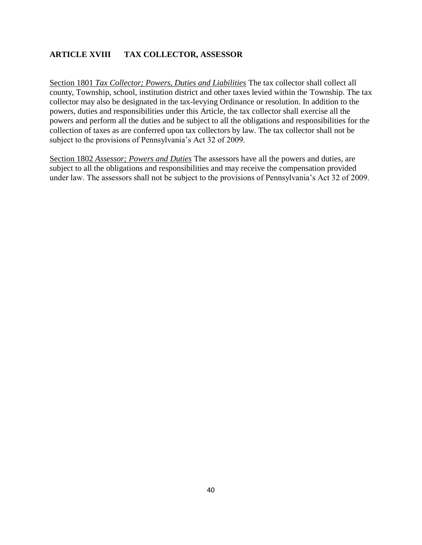# **ARTICLE XVIII TAX COLLECTOR, ASSESSOR**

Section 1801 *Tax Collector; Powers, Duties and Liabilities* The tax collector shall collect all county, Township, school, institution district and other taxes levied within the Township. The tax collector may also be designated in the tax-levying Ordinance or resolution. In addition to the powers, duties and responsibilities under this Article, the tax collector shall exercise all the powers and perform all the duties and be subject to all the obligations and responsibilities for the collection of taxes as are conferred upon tax collectors by law. The tax collector shall not be subject to the provisions of Pennsylvania's Act 32 of 2009.

Section 1802 *Assessor; Powers and Duties* The assessors have all the powers and duties, are subject to all the obligations and responsibilities and may receive the compensation provided under law. The assessors shall not be subject to the provisions of Pennsylvania's Act 32 of 2009.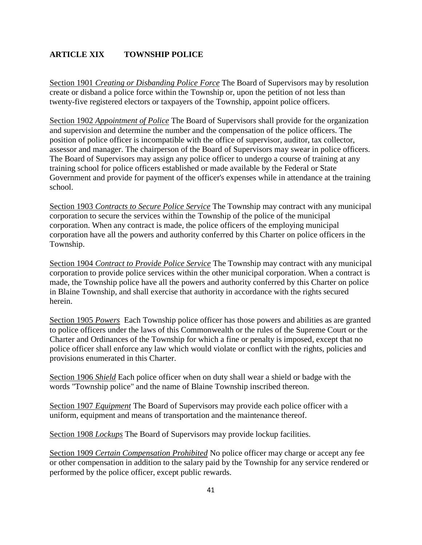# **ARTICLE XIX TOWNSHIP POLICE**

Section 1901 *Creating or Disbanding Police Force* The Board of Supervisors may by resolution create or disband a police force within the Township or, upon the petition of not less than twenty-five registered electors or taxpayers of the Township, appoint police officers.

Section 1902 *Appointment of Police* The Board of Supervisors shall provide for the organization and supervision and determine the number and the compensation of the police officers. The position of police officer is incompatible with the office of supervisor, auditor, tax collector, assessor and manager. The chairperson of the Board of Supervisors may swear in police officers. The Board of Supervisors may assign any police officer to undergo a course of training at any training school for police officers established or made available by the Federal or State Government and provide for payment of the officer's expenses while in attendance at the training school.

Section 1903 *Contracts to Secure Police Service* The Township may contract with any municipal corporation to secure the services within the Township of the police of the municipal corporation. When any contract is made, the police officers of the employing municipal corporation have all the powers and authority conferred by this Charter on police officers in the Township.

Section 1904 *Contract to Provide Police Service* The Township may contract with any municipal corporation to provide police services within the other municipal corporation. When a contract is made, the Township police have all the powers and authority conferred by this Charter on police in Blaine Township, and shall exercise that authority in accordance with the rights secured herein.

Section 1905 *Powers* Each Township police officer has those powers and abilities as are granted to police officers under the laws of this Commonwealth or the rules of the Supreme Court or the Charter and Ordinances of the Township for which a fine or penalty is imposed, except that no police officer shall enforce any law which would violate or conflict with the rights, policies and provisions enumerated in this Charter.

Section 1906 *Shield* Each police officer when on duty shall wear a shield or badge with the words "Township police" and the name of Blaine Township inscribed thereon.

Section 1907 *Equipment* The Board of Supervisors may provide each police officer with a uniform, equipment and means of transportation and the maintenance thereof.

Section 1908 *Lockups* The Board of Supervisors may provide lockup facilities.

Section 1909 *Certain Compensation Prohibited* No police officer may charge or accept any fee or other compensation in addition to the salary paid by the Township for any service rendered or performed by the police officer, except public rewards.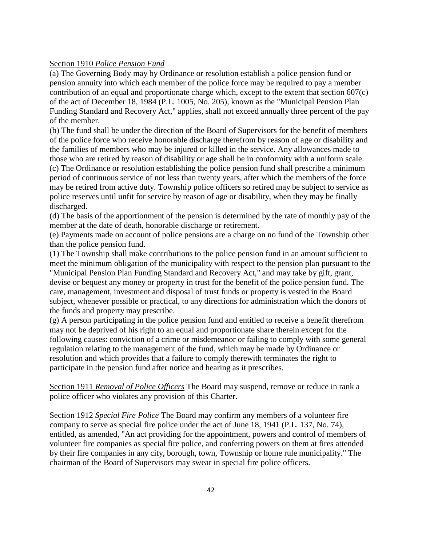### Section 1910 *Police Pension Fund*

(a) The Governing Body may by Ordinance or resolution establish a police pension fund or pension annuity into which each member of the police force may be required to pay a member contribution of an equal and proportionate charge which, except to the extent that section 607(c) of the act of December 18, 1984 (P.L. 1005, No. 205), known as the "Municipal Pension Plan Funding Standard and Recovery Act," applies, shall not exceed annually three percent of the pay of the member.

(b) The fund shall be under the direction of the Board of Supervisors for the benefit of members of the police force who receive honorable discharge therefrom by reason of age or disability and the families of members who may be injured or killed in the service. Any allowances made to those who are retired by reason of disability or age shall be in conformity with a uniform scale. (c) The Ordinance or resolution establishing the police pension fund shall prescribe a minimum period of continuous service of not less than twenty years, after which the members of the force may be retired from active duty. Township police officers so retired may be subject to service as police reserves until unfit for service by reason of age or disability, when they may be finally discharged.

(d) The basis of the apportionment of the pension is determined by the rate of monthly pay of the member at the date of death, honorable discharge or retirement.

(e) Payments made on account of police pensions are a charge on no fund of the Township other than the police pension fund.

(1) The Township shall make contributions to the police pension fund in an amount sufficient to meet the minimum obligation of the municipality with respect to the pension plan pursuant to the "Municipal Pension Plan Funding Standard and Recovery Act," and may take by gift, grant, devise or bequest any money or property in trust for the benefit of the police pension fund. The care, management, investment and disposal of trust funds or property is vested in the Board subject, whenever possible or practical, to any directions for administration which the donors of the funds and property may prescribe.

(g) A person participating in the police pension fund and entitled to receive a benefit therefrom may not be deprived of his right to an equal and proportionate share therein except for the following causes: conviction of a crime or misdemeanor or failing to comply with some general regulation relating to the management of the fund, which may be made by Ordinance or resolution and which provides that a failure to comply therewith terminates the right to participate in the pension fund after notice and hearing as it prescribes.

Section 1911 *Removal of Police Officers* The Board may suspend, remove or reduce in rank a police officer who violates any provision of this Charter.

Section 1912 *Special Fire Police* The Board may confirm any members of a volunteer fire company to serve as special fire police under the act of June 18, 1941 (P.L. 137, No. 74), entitled, as amended, "An act providing for the appointment, powers and control of members of volunteer fire companies as special fire police, and conferring powers on them at fires attended by their fire companies in any city, borough, town, Township or home rule municipality." The chairman of the Board of Supervisors may swear in special fire police officers.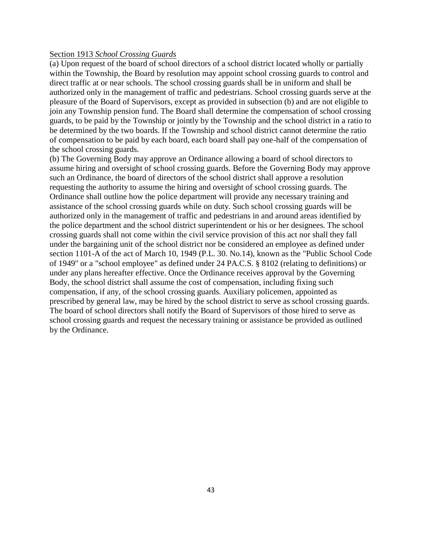### Section 1913 *School Crossing Guards*

(a) Upon request of the board of school directors of a school district located wholly or partially within the Township, the Board by resolution may appoint school crossing guards to control and direct traffic at or near schools. The school crossing guards shall be in uniform and shall be authorized only in the management of traffic and pedestrians. School crossing guards serve at the pleasure of the Board of Supervisors, except as provided in subsection (b) and are not eligible to join any Township pension fund. The Board shall determine the compensation of school crossing guards, to be paid by the Township or jointly by the Township and the school district in a ratio to be determined by the two boards. If the Township and school district cannot determine the ratio of compensation to be paid by each board, each board shall pay one-half of the compensation of the school crossing guards.

(b) The Governing Body may approve an Ordinance allowing a board of school directors to assume hiring and oversight of school crossing guards. Before the Governing Body may approve such an Ordinance, the board of directors of the school district shall approve a resolution requesting the authority to assume the hiring and oversight of school crossing guards. The Ordinance shall outline how the police department will provide any necessary training and assistance of the school crossing guards while on duty. Such school crossing guards will be authorized only in the management of traffic and pedestrians in and around areas identified by the police department and the school district superintendent or his or her designees. The school crossing guards shall not come within the civil service provision of this act nor shall they fall under the bargaining unit of the school district nor be considered an employee as defined under section 1101-A of the act of March 10, 1949 (P.L. 30. No.14), known as the "Public School Code of 1949" or a "school employee" as defined under 24 PA.C.S. § 8102 (relating to definitions) or under any plans hereafter effective. Once the Ordinance receives approval by the Governing Body, the school district shall assume the cost of compensation, including fixing such compensation, if any, of the school crossing guards. Auxiliary policemen, appointed as prescribed by general law, may be hired by the school district to serve as school crossing guards. The board of school directors shall notify the Board of Supervisors of those hired to serve as school crossing guards and request the necessary training or assistance be provided as outlined by the Ordinance.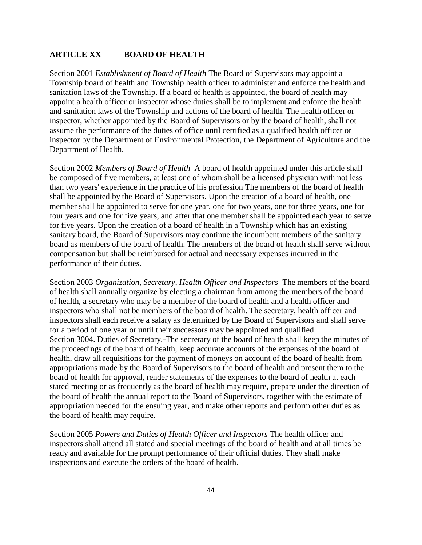# **ARTICLE XX BOARD OF HEALTH**

Section 2001 *Establishment of Board of Health* The Board of Supervisors may appoint a Township board of health and Township health officer to administer and enforce the health and sanitation laws of the Township. If a board of health is appointed, the board of health may appoint a health officer or inspector whose duties shall be to implement and enforce the health and sanitation laws of the Township and actions of the board of health. The health officer or inspector, whether appointed by the Board of Supervisors or by the board of health, shall not assume the performance of the duties of office until certified as a qualified health officer or inspector by the Department of Environmental Protection, the Department of Agriculture and the Department of Health.

Section 2002 *Members of Board of Health* A board of health appointed under this article shall be composed of five members, at least one of whom shall be a licensed physician with not less than two years' experience in the practice of his profession The members of the board of health shall be appointed by the Board of Supervisors. Upon the creation of a board of health, one member shall be appointed to serve for one year, one for two years, one for three years, one for four years and one for five years, and after that one member shall be appointed each year to serve for five years. Upon the creation of a board of health in a Township which has an existing sanitary board, the Board of Supervisors may continue the incumbent members of the sanitary board as members of the board of health. The members of the board of health shall serve without compensation but shall be reimbursed for actual and necessary expenses incurred in the performance of their duties.

Section 2003 *Organization, Secretary, Health Officer and Inspectors* The members of the board of health shall annually organize by electing a chairman from among the members of the board of health, a secretary who may be a member of the board of health and a health officer and inspectors who shall not be members of the board of health. The secretary, health officer and inspectors shall each receive a salary as determined by the Board of Supervisors and shall serve for a period of one year or until their successors may be appointed and qualified. Section 3004. Duties of Secretary.-The secretary of the board of health shall keep the minutes of the proceedings of the board of health, keep accurate accounts of the expenses of the board of health, draw all requisitions for the payment of moneys on account of the board of health from appropriations made by the Board of Supervisors to the board of health and present them to the board of health for approval, render statements of the expenses to the board of health at each stated meeting or as frequently as the board of health may require, prepare under the direction of the board of health the annual report to the Board of Supervisors, together with the estimate of appropriation needed for the ensuing year, and make other reports and perform other duties as the board of health may require.

Section 2005 *Powers and Duties of Health Officer and Inspectors* The health officer and inspectors shall attend all stated and special meetings of the board of health and at all times be ready and available for the prompt performance of their official duties. They shall make inspections and execute the orders of the board of health.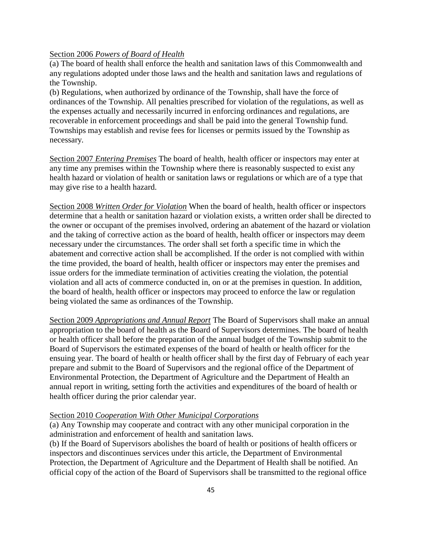## Section 2006 *Powers of Board of Health*

(a) The board of health shall enforce the health and sanitation laws of this Commonwealth and any regulations adopted under those laws and the health and sanitation laws and regulations of the Township.

(b) Regulations, when authorized by ordinance of the Township, shall have the force of ordinances of the Township. All penalties prescribed for violation of the regulations, as well as the expenses actually and necessarily incurred in enforcing ordinances and regulations, are recoverable in enforcement proceedings and shall be paid into the general Township fund. Townships may establish and revise fees for licenses or permits issued by the Township as necessary.

Section 2007 *Entering Premises* The board of health, health officer or inspectors may enter at any time any premises within the Township where there is reasonably suspected to exist any health hazard or violation of health or sanitation laws or regulations or which are of a type that may give rise to a health hazard.

Section 2008 *Written Order for Violation* When the board of health, health officer or inspectors determine that a health or sanitation hazard or violation exists, a written order shall be directed to the owner or occupant of the premises involved, ordering an abatement of the hazard or violation and the taking of corrective action as the board of health, health officer or inspectors may deem necessary under the circumstances. The order shall set forth a specific time in which the abatement and corrective action shall be accomplished. If the order is not complied with within the time provided, the board of health, health officer or inspectors may enter the premises and issue orders for the immediate termination of activities creating the violation, the potential violation and all acts of commerce conducted in, on or at the premises in question. In addition, the board of health, health officer or inspectors may proceed to enforce the law or regulation being violated the same as ordinances of the Township.

Section 2009 *Appropriations and Annual Report* The Board of Supervisors shall make an annual appropriation to the board of health as the Board of Supervisors determines. The board of health or health officer shall before the preparation of the annual budget of the Township submit to the Board of Supervisors the estimated expenses of the board of health or health officer for the ensuing year. The board of health or health officer shall by the first day of February of each year prepare and submit to the Board of Supervisors and the regional office of the Department of Environmental Protection, the Department of Agriculture and the Department of Health an annual report in writing, setting forth the activities and expenditures of the board of health or health officer during the prior calendar year.

### Section 2010 *Cooperation With Other Municipal Corporations*

(a) Any Township may cooperate and contract with any other municipal corporation in the administration and enforcement of health and sanitation laws.

(b) If the Board of Supervisors abolishes the board of health or positions of health officers or inspectors and discontinues services under this article, the Department of Environmental Protection, the Department of Agriculture and the Department of Health shall be notified. An official copy of the action of the Board of Supervisors shall be transmitted to the regional office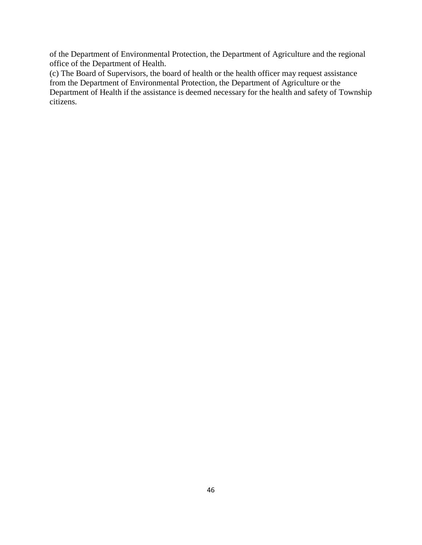of the Department of Environmental Protection, the Department of Agriculture and the regional office of the Department of Health.

(c) The Board of Supervisors, the board of health or the health officer may request assistance from the Department of Environmental Protection, the Department of Agriculture or the Department of Health if the assistance is deemed necessary for the health and safety of Township citizens.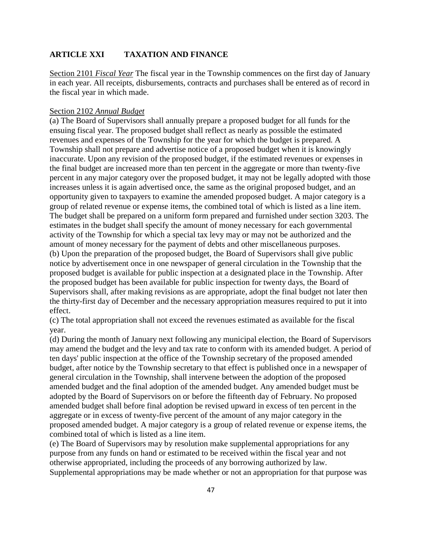# **ARTICLE XXI TAXATION AND FINANCE**

Section 2101 *Fiscal Year* The fiscal year in the Township commences on the first day of January in each year. All receipts, disbursements, contracts and purchases shall be entered as of record in the fiscal year in which made.

### Section 2102 *Annual Budget*

(a) The Board of Supervisors shall annually prepare a proposed budget for all funds for the ensuing fiscal year. The proposed budget shall reflect as nearly as possible the estimated revenues and expenses of the Township for the year for which the budget is prepared. A Township shall not prepare and advertise notice of a proposed budget when it is knowingly inaccurate. Upon any revision of the proposed budget, if the estimated revenues or expenses in the final budget are increased more than ten percent in the aggregate or more than twenty-five percent in any major category over the proposed budget, it may not be legally adopted with those increases unless it is again advertised once, the same as the original proposed budget, and an opportunity given to taxpayers to examine the amended proposed budget. A major category is a group of related revenue or expense items, the combined total of which is listed as a line item. The budget shall be prepared on a uniform form prepared and furnished under section 3203. The estimates in the budget shall specify the amount of money necessary for each governmental activity of the Township for which a special tax levy may or may not be authorized and the amount of money necessary for the payment of debts and other miscellaneous purposes. (b) Upon the preparation of the proposed budget, the Board of Supervisors shall give public notice by advertisement once in one newspaper of general circulation in the Township that the proposed budget is available for public inspection at a designated place in the Township. After the proposed budget has been available for public inspection for twenty days, the Board of Supervisors shall, after making revisions as are appropriate, adopt the final budget not later then the thirty-first day of December and the necessary appropriation measures required to put it into effect.

(c) The total appropriation shall not exceed the revenues estimated as available for the fiscal year.

(d) During the month of January next following any municipal election, the Board of Supervisors may amend the budget and the levy and tax rate to conform with its amended budget. A period of ten days' public inspection at the office of the Township secretary of the proposed amended budget, after notice by the Township secretary to that effect is published once in a newspaper of general circulation in the Township, shall intervene between the adoption of the proposed amended budget and the final adoption of the amended budget. Any amended budget must be adopted by the Board of Supervisors on or before the fifteenth day of February. No proposed amended budget shall before final adoption be revised upward in excess of ten percent in the aggregate or in excess of twenty-five percent of the amount of any major category in the proposed amended budget. A major category is a group of related revenue or expense items, the combined total of which is listed as a line item.

(e) The Board of Supervisors may by resolution make supplemental appropriations for any purpose from any funds on hand or estimated to be received within the fiscal year and not otherwise appropriated, including the proceeds of any borrowing authorized by law. Supplemental appropriations may be made whether or not an appropriation for that purpose was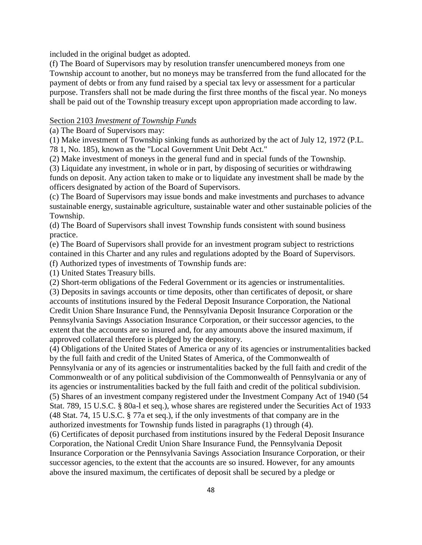included in the original budget as adopted.

(f) The Board of Supervisors may by resolution transfer unencumbered moneys from one Township account to another, but no moneys may be transferred from the fund allocated for the payment of debts or from any fund raised by a special tax levy or assessment for a particular purpose. Transfers shall not be made during the first three months of the fiscal year. No moneys shall be paid out of the Township treasury except upon appropriation made according to law.

## Section 2103 *Investment of Township Funds*

(a) The Board of Supervisors may:

(1) Make investment of Township sinking funds as authorized by the act of July 12, 1972 (P.L. 78 1, No. 185), known as the "Local Government Unit Debt Act."

(2) Make investment of moneys in the general fund and in special funds of the Township.

(3) Liquidate any investment, in whole or in part, by disposing of securities or withdrawing funds on deposit. Any action taken to make or to liquidate any investment shall be made by the officers designated by action of the Board of Supervisors.

(c) The Board of Supervisors may issue bonds and make investments and purchases to advance sustainable energy, sustainable agriculture, sustainable water and other sustainable policies of the Township.

(d) The Board of Supervisors shall invest Township funds consistent with sound business practice.

(e) The Board of Supervisors shall provide for an investment program subject to restrictions contained in this Charter and any rules and regulations adopted by the Board of Supervisors.

(f) Authorized types of investments of Township funds are:

(1) United States Treasury bills.

(2) Short-term obligations of the Federal Government or its agencies or instrumentalities.

(3) Deposits in savings accounts or time deposits, other than certificates of deposit, or share accounts of institutions insured by the Federal Deposit Insurance Corporation, the National Credit Union Share Insurance Fund, the Pennsylvania Deposit Insurance Corporation or the Pennsylvania Savings Association Insurance Corporation, or their successor agencies, to the extent that the accounts are so insured and, for any amounts above the insured maximum, if approved collateral therefore is pledged by the depository.

(4) Obligations of the United States of America or any of its agencies or instrumentalities backed by the full faith and credit of the United States of America, of the Commonwealth of Pennsylvania or any of its agencies or instrumentalities backed by the full faith and credit of the Commonwealth or of any political subdivision of the Commonwealth of Pennsylvania or any of its agencies or instrumentalities backed by the full faith and credit of the political subdivision. (5) Shares of an investment company registered under the Investment Company Act of 1940 (54 Stat. 789, 15 U.S.C. § 80a-l et seq.), whose shares are registered under the Securities Act of 1933 (48 Stat. 74, 15 U.S.C. § 77a et seq.), if the only investments of that company are in the authorized investments for Township funds listed in paragraphs (1) through (4).

(6) Certificates of deposit purchased from institutions insured by the Federal Deposit Insurance Corporation, the National Credit Union Share Insurance Fund, the Pennsylvania Deposit Insurance Corporation or the Pennsylvania Savings Association Insurance Corporation, or their successor agencies, to the extent that the accounts are so insured. However, for any amounts above the insured maximum, the certificates of deposit shall be secured by a pledge or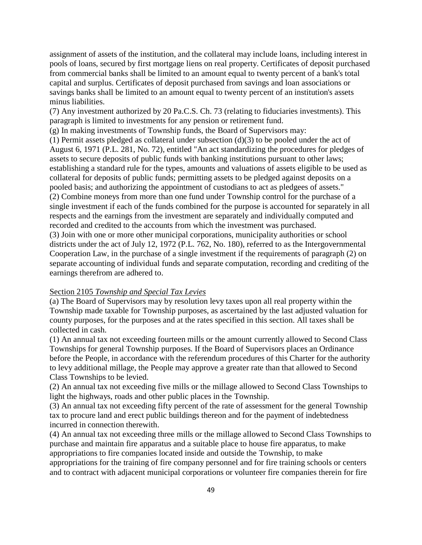assignment of assets of the institution, and the collateral may include loans, including interest in pools of loans, secured by first mortgage liens on real property. Certificates of deposit purchased from commercial banks shall be limited to an amount equal to twenty percent of a bank's total capital and surplus. Certificates of deposit purchased from savings and loan associations or savings banks shall be limited to an amount equal to twenty percent of an institution's assets minus liabilities.

(7) Any investment authorized by 20 Pa.C.S. Ch. 73 (relating to fiduciaries investments). This paragraph is limited to investments for any pension or retirement fund.

(g) In making investments of Township funds, the Board of Supervisors may:

(1) Permit assets pledged as collateral under subsection (d)(3) to be pooled under the act of August 6, 1971 (P.L. 281, No. 72), entitled "An act standardizing the procedures for pledges of assets to secure deposits of public funds with banking institutions pursuant to other laws; establishing a standard rule for the types, amounts and valuations of assets eligible to be used as collateral for deposits of public funds; permitting assets to be pledged against deposits on a pooled basis; and authorizing the appointment of custodians to act as pledgees of assets." (2) Combine moneys from more than one fund under Township control for the purchase of a single investment if each of the funds combined for the purpose is accounted for separately in all respects and the earnings from the investment are separately and individually computed and recorded and credited to the accounts from which the investment was purchased. (3) Join with one or more other municipal corporations, municipality authorities or school districts under the act of July 12, 1972 (P.L. 762, No. 180), referred to as the Intergovernmental Cooperation Law, in the purchase of a single investment if the requirements of paragraph (2) on separate accounting of individual funds and separate computation, recording and crediting of the earnings therefrom are adhered to.

## Section 2105 *Township and Special Tax Levies*

(a) The Board of Supervisors may by resolution levy taxes upon all real property within the Township made taxable for Township purposes, as ascertained by the last adjusted valuation for county purposes, for the purposes and at the rates specified in this section. All taxes shall be collected in cash.

(1) An annual tax not exceeding fourteen mills or the amount currently allowed to Second Class Townships for general Township purposes. If the Board of Supervisors places an Ordinance before the People, in accordance with the referendum procedures of this Charter for the authority to levy additional millage, the People may approve a greater rate than that allowed to Second Class Townships to be levied.

(2) An annual tax not exceeding five mills or the millage allowed to Second Class Townships to light the highways, roads and other public places in the Township.

(3) An annual tax not exceeding fifty percent of the rate of assessment for the general Township tax to procure land and erect public buildings thereon and for the payment of indebtedness incurred in connection therewith.

(4) An annual tax not exceeding three mills or the millage allowed to Second Class Townships to purchase and maintain fire apparatus and a suitable place to house fire apparatus, to make appropriations to fire companies located inside and outside the Township, to make appropriations for the training of fire company personnel and for fire training schools or centers and to contract with adjacent municipal corporations or volunteer fire companies therein for fire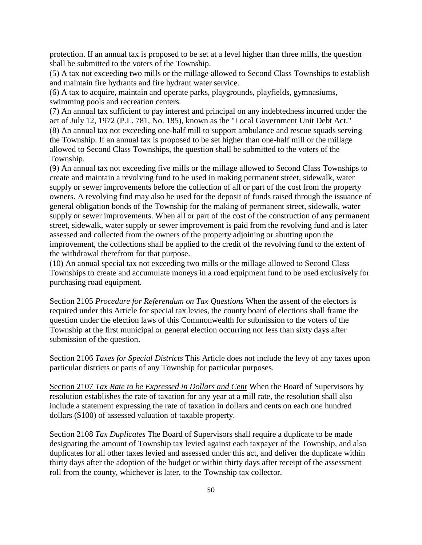protection. If an annual tax is proposed to be set at a level higher than three mills, the question shall be submitted to the voters of the Township.

(5) A tax not exceeding two mills or the millage allowed to Second Class Townships to establish and maintain fire hydrants and fire hydrant water service.

(6) A tax to acquire, maintain and operate parks, playgrounds, playfields, gymnasiums, swimming pools and recreation centers.

(7) An annual tax sufficient to pay interest and principal on any indebtedness incurred under the act of July 12, 1972 (P.L. 781, No. 185), known as the "Local Government Unit Debt Act." (8) An annual tax not exceeding one-half mill to support ambulance and rescue squads serving the Township. If an annual tax is proposed to be set higher than one-half mill or the millage allowed to Second Class Townships, the question shall be submitted to the voters of the Township.

(9) An annual tax not exceeding five mills or the millage allowed to Second Class Townships to create and maintain a revolving fund to be used in making permanent street, sidewalk, water supply or sewer improvements before the collection of all or part of the cost from the property owners. A revolving find may also be used for the deposit of funds raised through the issuance of general obligation bonds of the Township for the making of permanent street, sidewalk, water supply or sewer improvements. When all or part of the cost of the construction of any permanent street, sidewalk, water supply or sewer improvement is paid from the revolving fund and is later assessed and collected from the owners of the property adjoining or abutting upon the improvement, the collections shall be applied to the credit of the revolving fund to the extent of the withdrawal therefrom for that purpose.

(10) An annual special tax not exceeding two mills or the millage allowed to Second Class Townships to create and accumulate moneys in a road equipment fund to be used exclusively for purchasing road equipment.

Section 2105 *Procedure for Referendum on Tax Questions* When the assent of the electors is required under this Article for special tax levies, the county board of elections shall frame the question under the election laws of this Commonwealth for submission to the voters of the Township at the first municipal or general election occurring not less than sixty days after submission of the question.

Section 2106 *Taxes for Special Districts* This Article does not include the levy of any taxes upon particular districts or parts of any Township for particular purposes.

Section 2107 *Tax Rate to be Expressed in Dollars and Cent* When the Board of Supervisors by resolution establishes the rate of taxation for any year at a mill rate, the resolution shall also include a statement expressing the rate of taxation in dollars and cents on each one hundred dollars (\$100) of assessed valuation of taxable property.

Section 2108 *Tax Duplicates* The Board of Supervisors shall require a duplicate to be made designating the amount of Township tax levied against each taxpayer of the Township, and also duplicates for all other taxes levied and assessed under this act, and deliver the duplicate within thirty days after the adoption of the budget or within thirty days after receipt of the assessment roll from the county, whichever is later, to the Township tax collector.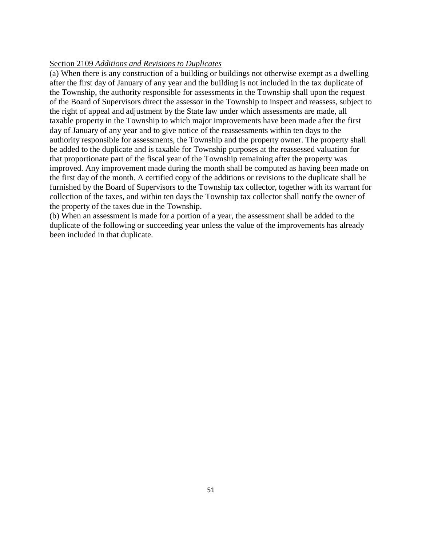### Section 2109 *Additions and Revisions to Duplicates*

(a) When there is any construction of a building or buildings not otherwise exempt as a dwelling after the first day of January of any year and the building is not included in the tax duplicate of the Township, the authority responsible for assessments in the Township shall upon the request of the Board of Supervisors direct the assessor in the Township to inspect and reassess, subject to the right of appeal and adjustment by the State law under which assessments are made, all taxable property in the Township to which major improvements have been made after the first day of January of any year and to give notice of the reassessments within ten days to the authority responsible for assessments, the Township and the property owner. The property shall be added to the duplicate and is taxable for Township purposes at the reassessed valuation for that proportionate part of the fiscal year of the Township remaining after the property was improved. Any improvement made during the month shall be computed as having been made on the first day of the month. A certified copy of the additions or revisions to the duplicate shall be furnished by the Board of Supervisors to the Township tax collector, together with its warrant for collection of the taxes, and within ten days the Township tax collector shall notify the owner of the property of the taxes due in the Township.

(b) When an assessment is made for a portion of a year, the assessment shall be added to the duplicate of the following or succeeding year unless the value of the improvements has already been included in that duplicate.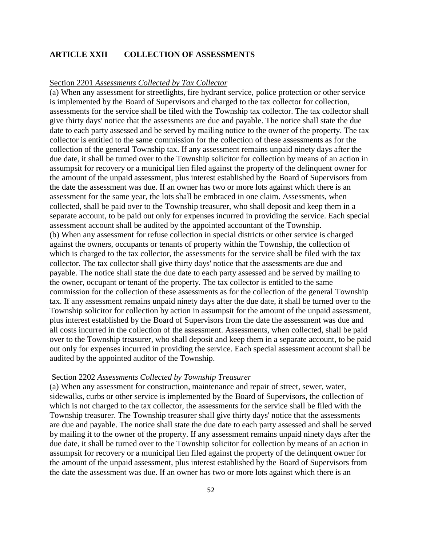# **ARTICLE XXII COLLECTION OF ASSESSMENTS**

## Section 2201 *Assessments Collected by Tax Collector*

(a) When any assessment for streetlights, fire hydrant service, police protection or other service is implemented by the Board of Supervisors and charged to the tax collector for collection, assessments for the service shall be filed with the Township tax collector. The tax collector shall give thirty days' notice that the assessments are due and payable. The notice shall state the due date to each party assessed and be served by mailing notice to the owner of the property. The tax collector is entitled to the same commission for the collection of these assessments as for the collection of the general Township tax. If any assessment remains unpaid ninety days after the due date, it shall be turned over to the Township solicitor for collection by means of an action in assumpsit for recovery or a municipal lien filed against the property of the delinquent owner for the amount of the unpaid assessment, plus interest established by the Board of Supervisors from the date the assessment was due. If an owner has two or more lots against which there is an assessment for the same year, the lots shall be embraced in one claim. Assessments, when collected, shall be paid over to the Township treasurer, who shall deposit and keep them in a separate account, to be paid out only for expenses incurred in providing the service. Each special assessment account shall be audited by the appointed accountant of the Township. (b) When any assessment for refuse collection in special districts or other service is charged against the owners, occupants or tenants of property within the Township, the collection of which is charged to the tax collector, the assessments for the service shall be filed with the tax collector. The tax collector shall give thirty days' notice that the assessments are due and payable. The notice shall state the due date to each party assessed and be served by mailing to the owner, occupant or tenant of the property. The tax collector is entitled to the same commission for the collection of these assessments as for the collection of the general Township tax. If any assessment remains unpaid ninety days after the due date, it shall be turned over to the Township solicitor for collection by action in assumpsit for the amount of the unpaid assessment, plus interest established by the Board of Supervisors from the date the assessment was due and all costs incurred in the collection of the assessment. Assessments, when collected, shall be paid over to the Township treasurer, who shall deposit and keep them in a separate account, to be paid out only for expenses incurred in providing the service. Each special assessment account shall be audited by the appointed auditor of the Township.

### Section 2202 *Assessments Collected by Township Treasurer*

(a) When any assessment for construction, maintenance and repair of street, sewer, water, sidewalks, curbs or other service is implemented by the Board of Supervisors, the collection of which is not charged to the tax collector, the assessments for the service shall be filed with the Township treasurer. The Township treasurer shall give thirty days' notice that the assessments are due and payable. The notice shall state the due date to each party assessed and shall be served by mailing it to the owner of the property. If any assessment remains unpaid ninety days after the due date, it shall be turned over to the Township solicitor for collection by means of an action in assumpsit for recovery or a municipal lien filed against the property of the delinquent owner for the amount of the unpaid assessment, plus interest established by the Board of Supervisors from the date the assessment was due. If an owner has two or more lots against which there is an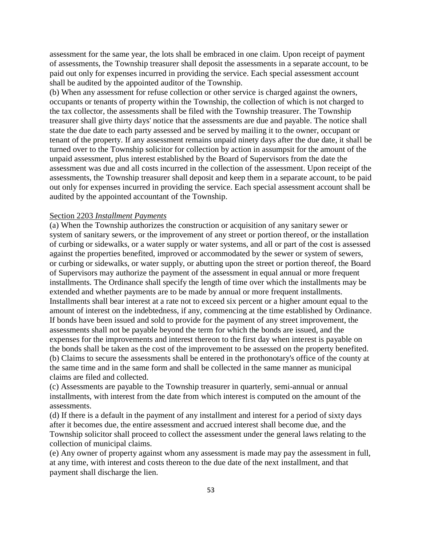assessment for the same year, the lots shall be embraced in one claim. Upon receipt of payment of assessments, the Township treasurer shall deposit the assessments in a separate account, to be paid out only for expenses incurred in providing the service. Each special assessment account shall be audited by the appointed auditor of the Township.

(b) When any assessment for refuse collection or other service is charged against the owners, occupants or tenants of property within the Township, the collection of which is not charged to the tax collector, the assessments shall be filed with the Township treasurer. The Township treasurer shall give thirty days' notice that the assessments are due and payable. The notice shall state the due date to each party assessed and be served by mailing it to the owner, occupant or tenant of the property. If any assessment remains unpaid ninety days after the due date, it shall be turned over to the Township solicitor for collection by action in assumpsit for the amount of the unpaid assessment, plus interest established by the Board of Supervisors from the date the assessment was due and all costs incurred in the collection of the assessment. Upon receipt of the assessments, the Township treasurer shall deposit and keep them in a separate account, to be paid out only for expenses incurred in providing the service. Each special assessment account shall be audited by the appointed accountant of the Township.

## Section 2203 *Installment Payments*

(a) When the Township authorizes the construction or acquisition of any sanitary sewer or system of sanitary sewers, or the improvement of any street or portion thereof, or the installation of curbing or sidewalks, or a water supply or water systems, and all or part of the cost is assessed against the properties benefited, improved or accommodated by the sewer or system of sewers, or curbing or sidewalks, or water supply, or abutting upon the street or portion thereof, the Board of Supervisors may authorize the payment of the assessment in equal annual or more frequent installments. The Ordinance shall specify the length of time over which the installments may be extended and whether payments are to be made by annual or more frequent installments. Installments shall bear interest at a rate not to exceed six percent or a higher amount equal to the amount of interest on the indebtedness, if any, commencing at the time established by Ordinance. If bonds have been issued and sold to provide for the payment of any street improvement, the assessments shall not be payable beyond the term for which the bonds are issued, and the expenses for the improvements and interest thereon to the first day when interest is payable on the bonds shall be taken as the cost of the improvement to be assessed on the property benefited. (b) Claims to secure the assessments shall be entered in the prothonotary's office of the county at the same time and in the same form and shall be collected in the same manner as municipal claims are filed and collected.

(c) Assessments are payable to the Township treasurer in quarterly, semi-annual or annual installments, with interest from the date from which interest is computed on the amount of the assessments.

(d) If there is a default in the payment of any installment and interest for a period of sixty days after it becomes due, the entire assessment and accrued interest shall become due, and the Township solicitor shall proceed to collect the assessment under the general laws relating to the collection of municipal claims.

(e) Any owner of property against whom any assessment is made may pay the assessment in full, at any time, with interest and costs thereon to the due date of the next installment, and that payment shall discharge the lien.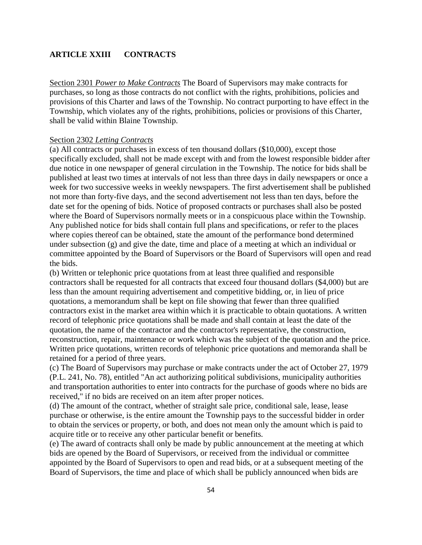# **ARTICLE XXIII CONTRACTS**

Section 2301 *Power to Make Contracts* The Board of Supervisors may make contracts for purchases, so long as those contracts do not conflict with the rights, prohibitions, policies and provisions of this Charter and laws of the Township. No contract purporting to have effect in the Township, which violates any of the rights, prohibitions, policies or provisions of this Charter, shall be valid within Blaine Township.

### Section 2302 *Letting Contracts*

(a) All contracts or purchases in excess of ten thousand dollars (\$10,000), except those specifically excluded, shall not be made except with and from the lowest responsible bidder after due notice in one newspaper of general circulation in the Township. The notice for bids shall be published at least two times at intervals of not less than three days in daily newspapers or once a week for two successive weeks in weekly newspapers. The first advertisement shall be published not more than forty-five days, and the second advertisement not less than ten days, before the date set for the opening of bids. Notice of proposed contracts or purchases shall also be posted where the Board of Supervisors normally meets or in a conspicuous place within the Township. Any published notice for bids shall contain full plans and specifications, or refer to the places where copies thereof can be obtained, state the amount of the performance bond determined under subsection (g) and give the date, time and place of a meeting at which an individual or committee appointed by the Board of Supervisors or the Board of Supervisors will open and read the bids.

(b) Written or telephonic price quotations from at least three qualified and responsible contractors shall be requested for all contracts that exceed four thousand dollars (\$4,000) but are less than the amount requiring advertisement and competitive bidding, or, in lieu of price quotations, a memorandum shall be kept on file showing that fewer than three qualified contractors exist in the market area within which it is practicable to obtain quotations. A written record of telephonic price quotations shall be made and shall contain at least the date of the quotation, the name of the contractor and the contractor's representative, the construction, reconstruction, repair, maintenance or work which was the subject of the quotation and the price. Written price quotations, written records of telephonic price quotations and memoranda shall be retained for a period of three years.

(c) The Board of Supervisors may purchase or make contracts under the act of October 27, 1979 (P.L. 241, No. 78), entitled "An act authorizing political subdivisions, municipality authorities and transportation authorities to enter into contracts for the purchase of goods where no bids are received," if no bids are received on an item after proper notices.

(d) The amount of the contract, whether of straight sale price, conditional sale, lease, lease purchase or otherwise, is the entire amount the Township pays to the successful bidder in order to obtain the services or property, or both, and does not mean only the amount which is paid to acquire title or to receive any other particular benefit or benefits.

(e) The award of contracts shall only be made by public announcement at the meeting at which bids are opened by the Board of Supervisors, or received from the individual or committee appointed by the Board of Supervisors to open and read bids, or at a subsequent meeting of the Board of Supervisors, the time and place of which shall be publicly announced when bids are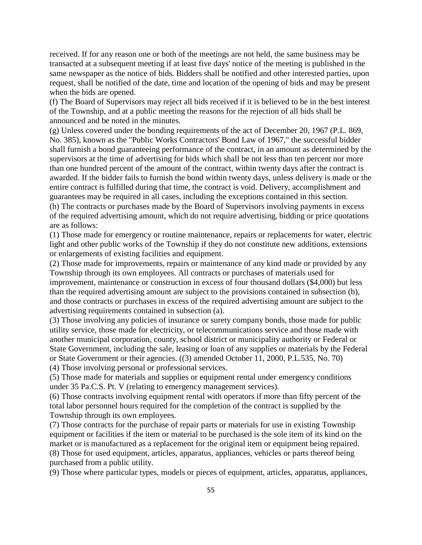received. If for any reason one or both of the meetings are not held, the same business may be transacted at a subsequent meeting if at least five days' notice of the meeting is published in the same newspaper as the notice of bids. Bidders shall be notified and other interested parties, upon request, shall be notified of the date, time and location of the opening of bids and may be present when the bids are opened.

(f) The Board of Supervisors may reject all bids received if it is believed to be in the best interest of the Township, and at a public meeting the reasons for the rejection of all bids shall be announced and be noted in the minutes.

(g) Unless covered under the bonding requirements of the act of December 20, 1967 (P.L. 869, No. 385), known as the "Public Works Contractors' Bond Law of 1967," the successful bidder shall furnish a bond guaranteeing performance of the contract, in an amount as determined by the supervisors at the time of advertising for bids which shall be not less than ten percent nor more than one hundred percent of the amount of the contract, within twenty days after the contract is awarded. If the bidder fails to furnish the bond within twenty days, unless delivery is made or the entire contract is fulfilled during that time, the contract is void. Delivery, accomplishment and guarantees may be required in all cases, including the exceptions contained in this section. (h) The contracts or purchases made by the Board of Supervisors involving payments in excess of the required advertising amount, which do not require advertising, bidding or price quotations are as follows:

(1) Those made for emergency or routine maintenance, repairs or replacements for water, electric light and other public works of the Township if they do not constitute new additions, extensions or enlargements of existing facilities and equipment.

(2) Those made for improvements, repairs or maintenance of any kind made or provided by any Township through its own employees. All contracts or purchases of materials used for improvement, maintenance or construction in excess of four thousand dollars (\$4,000) but less than the required advertising amount are subject to the provisions contained in subsection (b), and those contracts or purchases in excess of the required advertising amount are subject to the advertising requirements contained in subsection (a).

(3) Those involving any policies of insurance or surety company bonds, those made for public utility service, those made for electricity, or telecommunications service and those made with another municipal corporation, county, school district or municipality authority or Federal or State Government, including the sale, leasing or loan of any supplies or materials by the Federal or State Government or their agencies. ((3) amended October 11, 2000, P.L.535, No. 70)

(4) Those involving personal or professional services.

(5) Those made for materials and supplies or equipment rental under emergency conditions under 35 Pa.C.S. Pt. V (relating to emergency management services).

(6) Those contracts involving equipment rental with operators if more than fifty percent of the total labor personnel hours required for the completion of the contract is supplied by the Township through its own employees.

(7) Those contracts for the purchase of repair parts or materials for use in existing Township equipment or facilities if the item or material to be purchased is the sole item of its kind on the market or is manufactured as a replacement for the original item or equipment being repaired. (8) Those for used equipment, articles, apparatus, appliances, vehicles or parts thereof being purchased from a public utility.

(9) Those where particular types, models or pieces of equipment, articles, apparatus, appliances,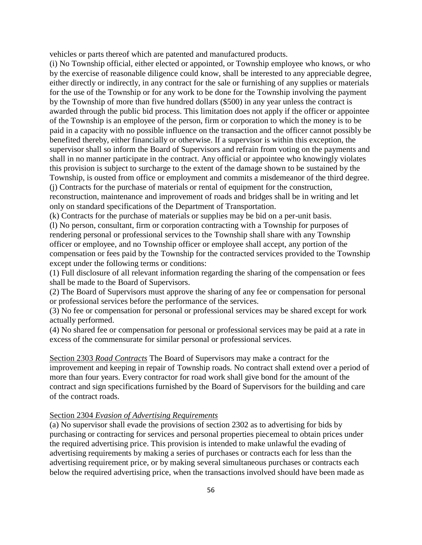vehicles or parts thereof which are patented and manufactured products.

(i) No Township official, either elected or appointed, or Township employee who knows, or who by the exercise of reasonable diligence could know, shall be interested to any appreciable degree, either directly or indirectly, in any contract for the sale or furnishing of any supplies or materials for the use of the Township or for any work to be done for the Township involving the payment by the Township of more than five hundred dollars (\$500) in any year unless the contract is awarded through the public bid process. This limitation does not apply if the officer or appointee of the Township is an employee of the person, firm or corporation to which the money is to be paid in a capacity with no possible influence on the transaction and the officer cannot possibly be benefited thereby, either financially or otherwise. If a supervisor is within this exception, the supervisor shall so inform the Board of Supervisors and refrain from voting on the payments and shall in no manner participate in the contract. Any official or appointee who knowingly violates this provision is subject to surcharge to the extent of the damage shown to be sustained by the Township, is ousted from office or employment and commits a misdemeanor of the third degree. (j) Contracts for the purchase of materials or rental of equipment for the construction,

reconstruction, maintenance and improvement of roads and bridges shall be in writing and let only on standard specifications of the Department of Transportation.

(k) Contracts for the purchase of materials or supplies may be bid on a per-unit basis.

(l) No person, consultant, firm or corporation contracting with a Township for purposes of rendering personal or professional services to the Township shall share with any Township officer or employee, and no Township officer or employee shall accept, any portion of the compensation or fees paid by the Township for the contracted services provided to the Township except under the following terms or conditions:

(1) Full disclosure of all relevant information regarding the sharing of the compensation or fees shall be made to the Board of Supervisors.

(2) The Board of Supervisors must approve the sharing of any fee or compensation for personal or professional services before the performance of the services.

(3) No fee or compensation for personal or professional services may be shared except for work actually performed.

(4) No shared fee or compensation for personal or professional services may be paid at a rate in excess of the commensurate for similar personal or professional services.

Section 2303 *Road Contracts* The Board of Supervisors may make a contract for the improvement and keeping in repair of Township roads. No contract shall extend over a period of more than four years. Every contractor for road work shall give bond for the amount of the contract and sign specifications furnished by the Board of Supervisors for the building and care of the contract roads.

### Section 2304 *Evasion of Advertising Requirements*

(a) No supervisor shall evade the provisions of section 2302 as to advertising for bids by purchasing or contracting for services and personal properties piecemeal to obtain prices under the required advertising price. This provision is intended to make unlawful the evading of advertising requirements by making a series of purchases or contracts each for less than the advertising requirement price, or by making several simultaneous purchases or contracts each below the required advertising price, when the transactions involved should have been made as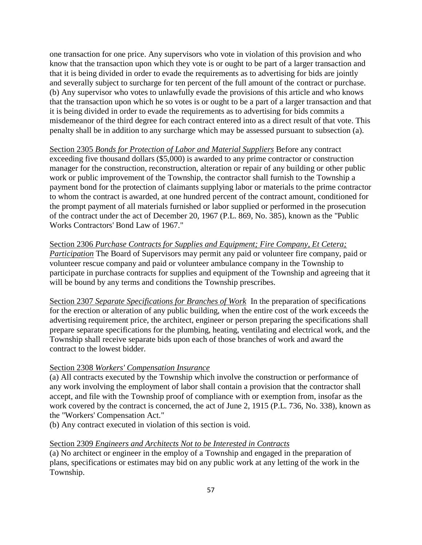one transaction for one price. Any supervisors who vote in violation of this provision and who know that the transaction upon which they vote is or ought to be part of a larger transaction and that it is being divided in order to evade the requirements as to advertising for bids are jointly and severally subject to surcharge for ten percent of the full amount of the contract or purchase. (b) Any supervisor who votes to unlawfully evade the provisions of this article and who knows that the transaction upon which he so votes is or ought to be a part of a larger transaction and that it is being divided in order to evade the requirements as to advertising for bids commits a misdemeanor of the third degree for each contract entered into as a direct result of that vote. This penalty shall be in addition to any surcharge which may be assessed pursuant to subsection (a).

Section 2305 *Bonds for Protection of Labor and Material Suppliers* Before any contract exceeding five thousand dollars (\$5,000) is awarded to any prime contractor or construction manager for the construction, reconstruction, alteration or repair of any building or other public work or public improvement of the Township, the contractor shall furnish to the Township a payment bond for the protection of claimants supplying labor or materials to the prime contractor to whom the contract is awarded, at one hundred percent of the contract amount, conditioned for the prompt payment of all materials furnished or labor supplied or performed in the prosecution of the contract under the act of December 20, 1967 (P.L. 869, No. 385), known as the "Public Works Contractors' Bond Law of 1967."

Section 2306 *Purchase Contracts for Supplies and Equipment; Fire Company, Et Cetera; Participation* The Board of Supervisors may permit any paid or volunteer fire company, paid or volunteer rescue company and paid or volunteer ambulance company in the Township to participate in purchase contracts for supplies and equipment of the Township and agreeing that it will be bound by any terms and conditions the Township prescribes.

Section 2307 *Separate Specifications for Branches of Work* In the preparation of specifications for the erection or alteration of any public building, when the entire cost of the work exceeds the advertising requirement price, the architect, engineer or person preparing the specifications shall prepare separate specifications for the plumbing, heating, ventilating and electrical work, and the Township shall receive separate bids upon each of those branches of work and award the contract to the lowest bidder.

# Section 2308 *Workers' Compensation Insurance*

(a) All contracts executed by the Township which involve the construction or performance of any work involving the employment of labor shall contain a provision that the contractor shall accept, and file with the Township proof of compliance with or exemption from, insofar as the work covered by the contract is concerned, the act of June 2, 1915 (P.L. 736, No. 338), known as the "Workers' Compensation Act."

(b) Any contract executed in violation of this section is void.

### Section 2309 *Engineers and Architects Not to be Interested in Contracts*

(a) No architect or engineer in the employ of a Township and engaged in the preparation of plans, specifications or estimates may bid on any public work at any letting of the work in the Township.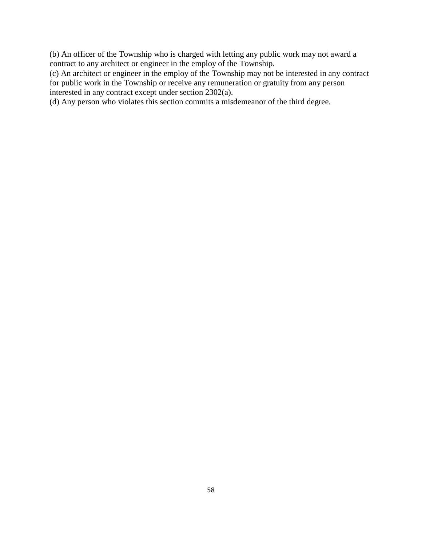(b) An officer of the Township who is charged with letting any public work may not award a contract to any architect or engineer in the employ of the Township.

(c) An architect or engineer in the employ of the Township may not be interested in any contract for public work in the Township or receive any remuneration or gratuity from any person interested in any contract except under section 2302(a).

(d) Any person who violates this section commits a misdemeanor of the third degree.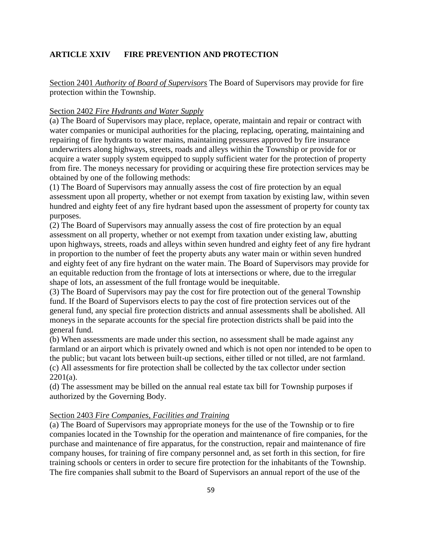# **ARTICLE XXIV FIRE PREVENTION AND PROTECTION**

Section 2401 *Authority of Board of Supervisors* The Board of Supervisors may provide for fire protection within the Township.

# Section 2402 *Fire Hydrants and Water Supply*

(a) The Board of Supervisors may place, replace, operate, maintain and repair or contract with water companies or municipal authorities for the placing, replacing, operating, maintaining and repairing of fire hydrants to water mains, maintaining pressures approved by fire insurance underwriters along highways, streets, roads and alleys within the Township or provide for or acquire a water supply system equipped to supply sufficient water for the protection of property from fire. The moneys necessary for providing or acquiring these fire protection services may be obtained by one of the following methods:

(1) The Board of Supervisors may annually assess the cost of fire protection by an equal assessment upon all property, whether or not exempt from taxation by existing law, within seven hundred and eighty feet of any fire hydrant based upon the assessment of property for county tax purposes.

(2) The Board of Supervisors may annually assess the cost of fire protection by an equal assessment on all property, whether or not exempt from taxation under existing law, abutting upon highways, streets, roads and alleys within seven hundred and eighty feet of any fire hydrant in proportion to the number of feet the property abuts any water main or within seven hundred and eighty feet of any fire hydrant on the water main. The Board of Supervisors may provide for an equitable reduction from the frontage of lots at intersections or where, due to the irregular shape of lots, an assessment of the full frontage would be inequitable.

(3) The Board of Supervisors may pay the cost for fire protection out of the general Township fund. If the Board of Supervisors elects to pay the cost of fire protection services out of the general fund, any special fire protection districts and annual assessments shall be abolished. All moneys in the separate accounts for the special fire protection districts shall be paid into the general fund.

(b) When assessments are made under this section, no assessment shall be made against any farmland or an airport which is privately owned and which is not open nor intended to be open to the public; but vacant lots between built-up sections, either tilled or not tilled, are not farmland. (c) All assessments for fire protection shall be collected by the tax collector under section  $2201(a)$ .

(d) The assessment may be billed on the annual real estate tax bill for Township purposes if authorized by the Governing Body.

### Section 2403 *Fire Companies, Facilities and Training*

(a) The Board of Supervisors may appropriate moneys for the use of the Township or to fire companies located in the Township for the operation and maintenance of fire companies, for the purchase and maintenance of fire apparatus, for the construction, repair and maintenance of fire company houses, for training of fire company personnel and, as set forth in this section, for fire training schools or centers in order to secure fire protection for the inhabitants of the Township. The fire companies shall submit to the Board of Supervisors an annual report of the use of the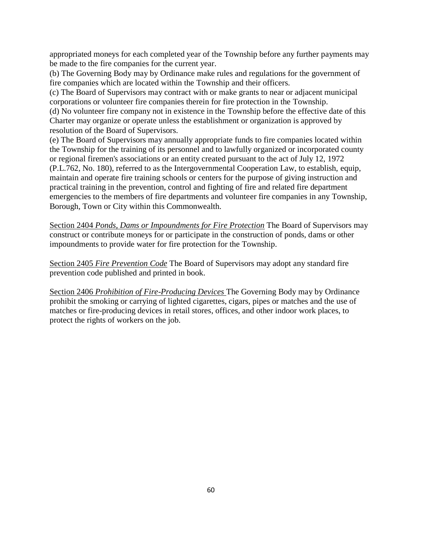appropriated moneys for each completed year of the Township before any further payments may be made to the fire companies for the current year.

(b) The Governing Body may by Ordinance make rules and regulations for the government of fire companies which are located within the Township and their officers.

(c) The Board of Supervisors may contract with or make grants to near or adjacent municipal corporations or volunteer fire companies therein for fire protection in the Township.

(d) No volunteer fire company not in existence in the Township before the effective date of this Charter may organize or operate unless the establishment or organization is approved by resolution of the Board of Supervisors.

(e) The Board of Supervisors may annually appropriate funds to fire companies located within the Township for the training of its personnel and to lawfully organized or incorporated county or regional firemen's associations or an entity created pursuant to the act of July 12, 1972 (P.L.762, No. 180), referred to as the Intergovernmental Cooperation Law, to establish, equip, maintain and operate fire training schools or centers for the purpose of giving instruction and practical training in the prevention, control and fighting of fire and related fire department emergencies to the members of fire departments and volunteer fire companies in any Township, Borough, Town or City within this Commonwealth.

Section 2404 *Ponds, Dams or Impoundments for Fire Protection* The Board of Supervisors may construct or contribute moneys for or participate in the construction of ponds, dams or other impoundments to provide water for fire protection for the Township.

Section 2405 *Fire Prevention Code* The Board of Supervisors may adopt any standard fire prevention code published and printed in book.

Section 2406 *Prohibition of Fire-Producing Devices* The Governing Body may by Ordinance prohibit the smoking or carrying of lighted cigarettes, cigars, pipes or matches and the use of matches or fire-producing devices in retail stores, offices, and other indoor work places, to protect the rights of workers on the job.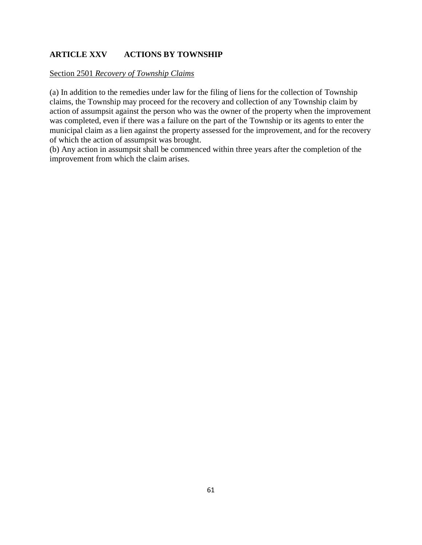# **ARTICLE XXV ACTIONS BY TOWNSHIP**

# Section 2501 *Recovery of Township Claims*

(a) In addition to the remedies under law for the filing of liens for the collection of Township claims, the Township may proceed for the recovery and collection of any Township claim by action of assumpsit against the person who was the owner of the property when the improvement was completed, even if there was a failure on the part of the Township or its agents to enter the municipal claim as a lien against the property assessed for the improvement, and for the recovery of which the action of assumpsit was brought.

(b) Any action in assumpsit shall be commenced within three years after the completion of the improvement from which the claim arises.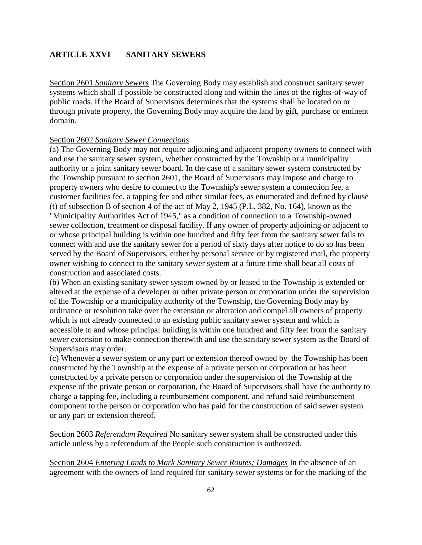# **ARTICLE XXVI SANITARY SEWERS**

Section 2601 *Sanitary Sewers* The Governing Body may establish and construct sanitary sewer systems which shall if possible be constructed along and within the lines of the rights-of-way of public roads. If the Board of Supervisors determines that the systems shall be located on or through private property, the Governing Body may acquire the land by gift, purchase or eminent domain.

## Section 2602 *Sanitary Sewer Connections*

(a) The Governing Body may not require adjoining and adjacent property owners to connect with and use the sanitary sewer system, whether constructed by the Township or a municipality authority or a joint sanitary sewer board. In the case of a sanitary sewer system constructed by the Township pursuant to section 2601, the Board of Supervisors may impose and charge to property owners who desire to connect to the Township's sewer system a connection fee, a customer facilities fee, a tapping fee and other similar fees, as enumerated and defined by clause (t) of subsection B of section 4 of the act of May 2, 1945 (P.L. 382, No. 164), known as the "Municipality Authorities Act of 1945," as a condition of connection to a Township-owned sewer collection, treatment or disposal facility. If any owner of property adjoining or adjacent to or whose principal building is within one hundred and fifty feet from the sanitary sewer fails to connect with and use the sanitary sewer for a period of sixty days after notice to do so has been served by the Board of Supervisors, either by personal service or by registered mail, the property owner wishing to connect to the sanitary sewer system at a future time shall bear all costs of construction and associated costs.

(b) When an existing sanitary sewer system owned by or leased to the Township is extended or altered at the expense of a developer or other private person or corporation under the supervision of the Township or a municipality authority of the Township, the Governing Body may by ordinance or resolution take over the extension or alteration and compel all owners of property which is not already connected to an existing public sanitary sewer system and which is accessible to and whose principal building is within one hundred and fifty feet from the sanitary sewer extension to make connection therewith and use the sanitary sewer system as the Board of Supervisors may order.

(c) Whenever a sewer system or any part or extension thereof owned by the Township has been constructed by the Township at the expense of a private person or corporation or has been constructed by a private person or corporation under the supervision of the Township at the expense of the private person or corporation, the Board of Supervisors shall have the authority to charge a tapping fee, including a reimbursement component, and refund said reimbursement component to the person or corporation who has paid for the construction of said sewer system or any part or extension thereof.

Section 2603 *Referendum Required* No sanitary sewer system shall be constructed under this article unless by a referendum of the People such construction is authorized.

Section 2604 *Entering Lands to Mark Sanitary Sewer Routes; Damages* In the absence of an agreement with the owners of land required for sanitary sewer systems or for the marking of the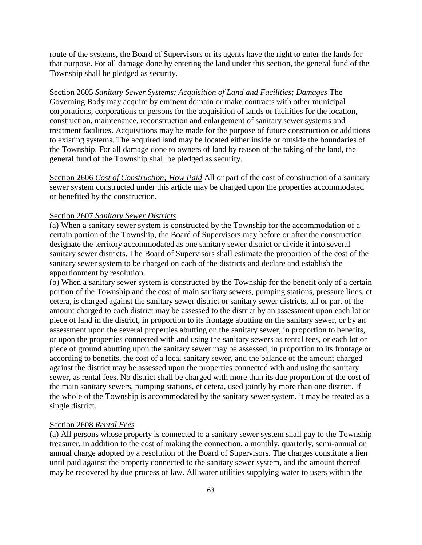route of the systems, the Board of Supervisors or its agents have the right to enter the lands for that purpose. For all damage done by entering the land under this section, the general fund of the Township shall be pledged as security.

Section 2605 *Sanitary Sewer Systems; Acquisition of Land and Facilities; Damages* The Governing Body may acquire by eminent domain or make contracts with other municipal corporations, corporations or persons for the acquisition of lands or facilities for the location, construction, maintenance, reconstruction and enlargement of sanitary sewer systems and treatment facilities. Acquisitions may be made for the purpose of future construction or additions to existing systems. The acquired land may be located either inside or outside the boundaries of the Township. For all damage done to owners of land by reason of the taking of the land, the general fund of the Township shall be pledged as security.

Section 2606 *Cost of Construction; How Paid* All or part of the cost of construction of a sanitary sewer system constructed under this article may be charged upon the properties accommodated or benefited by the construction.

## Section 2607 *Sanitary Sewer Districts*

(a) When a sanitary sewer system is constructed by the Township for the accommodation of a certain portion of the Township, the Board of Supervisors may before or after the construction designate the territory accommodated as one sanitary sewer district or divide it into several sanitary sewer districts. The Board of Supervisors shall estimate the proportion of the cost of the sanitary sewer system to be charged on each of the districts and declare and establish the apportionment by resolution.

(b) When a sanitary sewer system is constructed by the Township for the benefit only of a certain portion of the Township and the cost of main sanitary sewers, pumping stations, pressure lines, et cetera, is charged against the sanitary sewer district or sanitary sewer districts, all or part of the amount charged to each district may be assessed to the district by an assessment upon each lot or piece of land in the district, in proportion to its frontage abutting on the sanitary sewer, or by an assessment upon the several properties abutting on the sanitary sewer, in proportion to benefits, or upon the properties connected with and using the sanitary sewers as rental fees, or each lot or piece of ground abutting upon the sanitary sewer may be assessed, in proportion to its frontage or according to benefits, the cost of a local sanitary sewer, and the balance of the amount charged against the district may be assessed upon the properties connected with and using the sanitary sewer, as rental fees. No district shall be charged with more than its due proportion of the cost of the main sanitary sewers, pumping stations, et cetera, used jointly by more than one district. If the whole of the Township is accommodated by the sanitary sewer system, it may be treated as a single district.

### Section 2608 *Rental Fees*

(a) All persons whose property is connected to a sanitary sewer system shall pay to the Township treasurer, in addition to the cost of making the connection, a monthly, quarterly, semi-annual or annual charge adopted by a resolution of the Board of Supervisors. The charges constitute a lien until paid against the property connected to the sanitary sewer system, and the amount thereof may be recovered by due process of law. All water utilities supplying water to users within the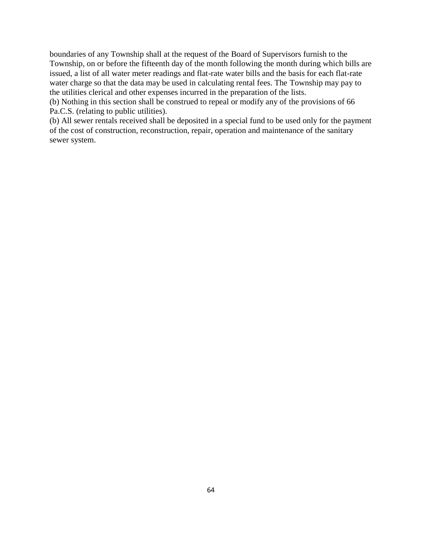boundaries of any Township shall at the request of the Board of Supervisors furnish to the Township, on or before the fifteenth day of the month following the month during which bills are issued, a list of all water meter readings and flat-rate water bills and the basis for each flat-rate water charge so that the data may be used in calculating rental fees. The Township may pay to the utilities clerical and other expenses incurred in the preparation of the lists.

(b) Nothing in this section shall be construed to repeal or modify any of the provisions of 66 Pa.C.S. (relating to public utilities).

(b) All sewer rentals received shall be deposited in a special fund to be used only for the payment of the cost of construction, reconstruction, repair, operation and maintenance of the sanitary sewer system.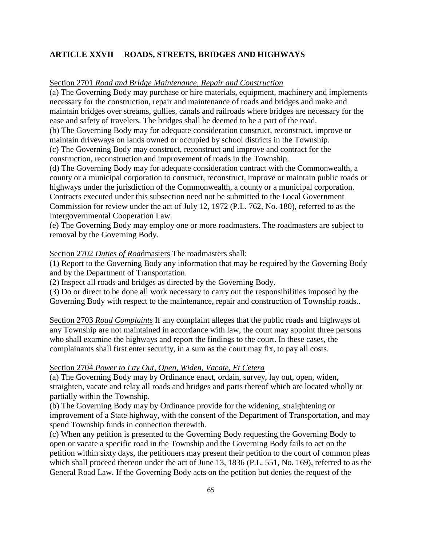# **ARTICLE XXVII ROADS, STREETS, BRIDGES AND HIGHWAYS**

### Section 2701 *Road and Bridge Maintenance, Repair and Construction*

(a) The Governing Body may purchase or hire materials, equipment, machinery and implements necessary for the construction, repair and maintenance of roads and bridges and make and maintain bridges over streams, gullies, canals and railroads where bridges are necessary for the ease and safety of travelers. The bridges shall be deemed to be a part of the road.

(b) The Governing Body may for adequate consideration construct, reconstruct, improve or maintain driveways on lands owned or occupied by school districts in the Township. (c) The Governing Body may construct, reconstruct and improve and contract for the construction, reconstruction and improvement of roads in the Township.

(d) The Governing Body may for adequate consideration contract with the Commonwealth, a county or a municipal corporation to construct, reconstruct, improve or maintain public roads or highways under the jurisdiction of the Commonwealth, a county or a municipal corporation. Contracts executed under this subsection need not be submitted to the Local Government Commission for review under the act of July 12, 1972 (P.L. 762, No. 180), referred to as the Intergovernmental Cooperation Law.

(e) The Governing Body may employ one or more roadmasters. The roadmasters are subject to removal by the Governing Body.

### Section 2702 *Duties of Roa*dmasters The roadmasters shall:

(1) Report to the Governing Body any information that may be required by the Governing Body and by the Department of Transportation.

(2) Inspect all roads and bridges as directed by the Governing Body.

(3) Do or direct to be done all work necessary to carry out the responsibilities imposed by the Governing Body with respect to the maintenance, repair and construction of Township roads..

Section 2703 *Road Complaints* If any complaint alleges that the public roads and highways of any Township are not maintained in accordance with law, the court may appoint three persons who shall examine the highways and report the findings to the court. In these cases, the complainants shall first enter security, in a sum as the court may fix, to pay all costs.

### Section 2704 *Power to Lay Out, Open, Widen, Vacate, Et Cetera*

(a) The Governing Body may by Ordinance enact, ordain, survey, lay out, open, widen, straighten, vacate and relay all roads and bridges and parts thereof which are located wholly or partially within the Township.

(b) The Governing Body may by Ordinance provide for the widening, straightening or improvement of a State highway, with the consent of the Department of Transportation, and may spend Township funds in connection therewith.

(c) When any petition is presented to the Governing Body requesting the Governing Body to open or vacate a specific road in the Township and the Governing Body fails to act on the petition within sixty days, the petitioners may present their petition to the court of common pleas which shall proceed thereon under the act of June 13, 1836 (P.L. 551, No. 169), referred to as the General Road Law. If the Governing Body acts on the petition but denies the request of the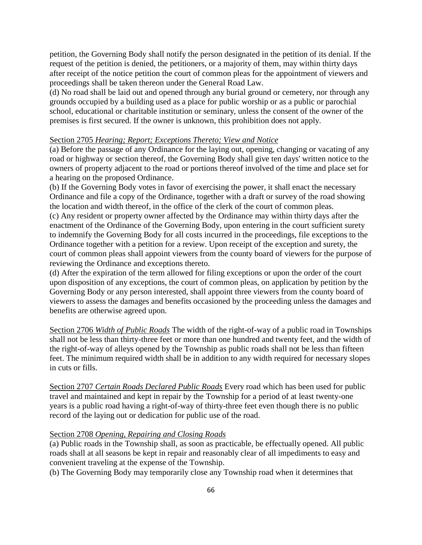petition, the Governing Body shall notify the person designated in the petition of its denial. If the request of the petition is denied, the petitioners, or a majority of them, may within thirty days after receipt of the notice petition the court of common pleas for the appointment of viewers and proceedings shall be taken thereon under the General Road Law.

(d) No road shall be laid out and opened through any burial ground or cemetery, nor through any grounds occupied by a building used as a place for public worship or as a public or parochial school, educational or charitable institution or seminary, unless the consent of the owner of the premises is first secured. If the owner is unknown, this prohibition does not apply.

### Section 2705 *Hearing; Report; Exceptions Thereto; View and Notice*

(a) Before the passage of any Ordinance for the laying out, opening, changing or vacating of any road or highway or section thereof, the Governing Body shall give ten days' written notice to the owners of property adjacent to the road or portions thereof involved of the time and place set for a hearing on the proposed Ordinance.

(b) If the Governing Body votes in favor of exercising the power, it shall enact the necessary Ordinance and file a copy of the Ordinance, together with a draft or survey of the road showing the location and width thereof, in the office of the clerk of the court of common pleas.

(c) Any resident or property owner affected by the Ordinance may within thirty days after the enactment of the Ordinance of the Governing Body, upon entering in the court sufficient surety to indemnify the Governing Body for all costs incurred in the proceedings, file exceptions to the Ordinance together with a petition for a review. Upon receipt of the exception and surety, the court of common pleas shall appoint viewers from the county board of viewers for the purpose of reviewing the Ordinance and exceptions thereto.

(d) After the expiration of the term allowed for filing exceptions or upon the order of the court upon disposition of any exceptions, the court of common pleas, on application by petition by the Governing Body or any person interested, shall appoint three viewers from the county board of viewers to assess the damages and benefits occasioned by the proceeding unless the damages and benefits are otherwise agreed upon.

Section 2706 *Width of Public Roads* The width of the right-of-way of a public road in Townships shall not be less than thirty-three feet or more than one hundred and twenty feet, and the width of the right-of-way of alleys opened by the Township as public roads shall not be less than fifteen feet. The minimum required width shall be in addition to any width required for necessary slopes in cuts or fills.

Section 2707 *Certain Roads Declared Public Roads* Every road which has been used for public travel and maintained and kept in repair by the Township for a period of at least twenty-one years is a public road having a right-of-way of thirty-three feet even though there is no public record of the laying out or dedication for public use of the road.

### Section 2708 *Opening, Repairing and Closing Roads*

(a) Public roads in the Township shall, as soon as practicable, be effectually opened. All public roads shall at all seasons be kept in repair and reasonably clear of all impediments to easy and convenient traveling at the expense of the Township.

(b) The Governing Body may temporarily close any Township road when it determines that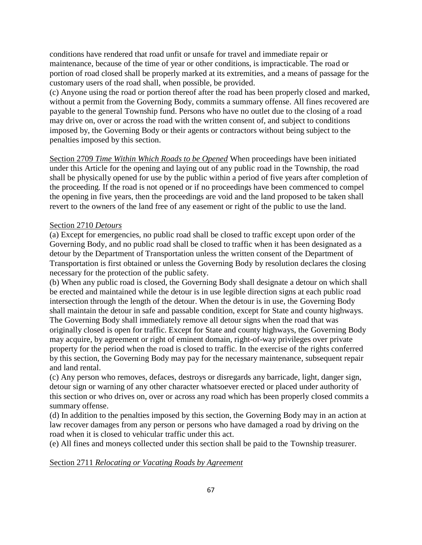conditions have rendered that road unfit or unsafe for travel and immediate repair or maintenance, because of the time of year or other conditions, is impracticable. The road or portion of road closed shall be properly marked at its extremities, and a means of passage for the customary users of the road shall, when possible, be provided.

(c) Anyone using the road or portion thereof after the road has been properly closed and marked, without a permit from the Governing Body, commits a summary offense. All fines recovered are payable to the general Township fund. Persons who have no outlet due to the closing of a road may drive on, over or across the road with the written consent of, and subject to conditions imposed by, the Governing Body or their agents or contractors without being subject to the penalties imposed by this section.

Section 2709 *Time Within Which Roads to be Opened* When proceedings have been initiated under this Article for the opening and laying out of any public road in the Township, the road shall be physically opened for use by the public within a period of five years after completion of the proceeding. If the road is not opened or if no proceedings have been commenced to compel the opening in five years, then the proceedings are void and the land proposed to be taken shall revert to the owners of the land free of any easement or right of the public to use the land.

## Section 2710 *Detours*

(a) Except for emergencies, no public road shall be closed to traffic except upon order of the Governing Body, and no public road shall be closed to traffic when it has been designated as a detour by the Department of Transportation unless the written consent of the Department of Transportation is first obtained or unless the Governing Body by resolution declares the closing necessary for the protection of the public safety.

(b) When any public road is closed, the Governing Body shall designate a detour on which shall be erected and maintained while the detour is in use legible direction signs at each public road intersection through the length of the detour. When the detour is in use, the Governing Body shall maintain the detour in safe and passable condition, except for State and county highways. The Governing Body shall immediately remove all detour signs when the road that was originally closed is open for traffic. Except for State and county highways, the Governing Body may acquire, by agreement or right of eminent domain, right-of-way privileges over private property for the period when the road is closed to traffic. In the exercise of the rights conferred by this section, the Governing Body may pay for the necessary maintenance, subsequent repair and land rental.

(c) Any person who removes, defaces, destroys or disregards any barricade, light, danger sign, detour sign or warning of any other character whatsoever erected or placed under authority of this section or who drives on, over or across any road which has been properly closed commits a summary offense.

(d) In addition to the penalties imposed by this section, the Governing Body may in an action at law recover damages from any person or persons who have damaged a road by driving on the road when it is closed to vehicular traffic under this act.

(e) All fines and moneys collected under this section shall be paid to the Township treasurer.

### Section 2711 *Relocating or Vacating Roads by Agreement*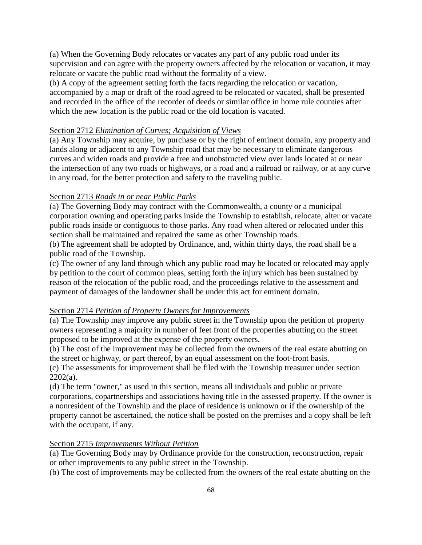(a) When the Governing Body relocates or vacates any part of any public road under its supervision and can agree with the property owners affected by the relocation or vacation, it may relocate or vacate the public road without the formality of a view.

(b) A copy of the agreement setting forth the facts regarding the relocation or vacation, accompanied by a map or draft of the road agreed to be relocated or vacated, shall be presented and recorded in the office of the recorder of deeds or similar office in home rule counties after which the new location is the public road or the old location is vacated.

### Section 2712 *Elimination of Curves; Acquisition of Views*

(a) Any Township may acquire, by purchase or by the right of eminent domain, any property and lands along or adjacent to any Township road that may be necessary to eliminate dangerous curves and widen roads and provide a free and unobstructed view over lands located at or near the intersection of any two roads or highways, or a road and a railroad or railway, or at any curve in any road, for the better protection and safety to the traveling public.

#### Section 2713 *Roads in or near Public Parks*

(a) The Governing Body may contract with the Commonwealth, a county or a municipal corporation owning and operating parks inside the Township to establish, relocate, alter or vacate public roads inside or contiguous to those parks. Any road when altered or relocated under this section shall be maintained and repaired the same as other Township roads.

(b) The agreement shall be adopted by Ordinance, and, within thirty days, the road shall be a public road of the Township.

(c) The owner of any land through which any public road may be located or relocated may apply by petition to the court of common pleas, setting forth the injury which has been sustained by reason of the relocation of the public road, and the proceedings relative to the assessment and payment of damages of the landowner shall be under this act for eminent domain.

### Section 2714 *Petition of Property Owners for Improvements*

(a) The Township may improve any public street in the Township upon the petition of property owners representing a majority in number of feet front of the properties abutting on the street proposed to be improved at the expense of the property owners.

(b) The cost of the improvement may be collected from the owners of the real estate abutting on the street or highway, or part thereof, by an equal assessment on the foot-front basis.

(c) The assessments for improvement shall be filed with the Township treasurer under section  $2202(a)$ .

(d) The term "owner," as used in this section, means all individuals and public or private corporations, copartnerships and associations having title in the assessed property. If the owner is a nonresident of the Township and the place of residence is unknown or if the ownership of the property cannot be ascertained, the notice shall be posted on the premises and a copy shall be left with the occupant, if any.

### Section 2715 *Improvements Without Petition*

(a) The Governing Body may by Ordinance provide for the construction, reconstruction, repair or other improvements to any public street in the Township.

(b) The cost of improvements may be collected from the owners of the real estate abutting on the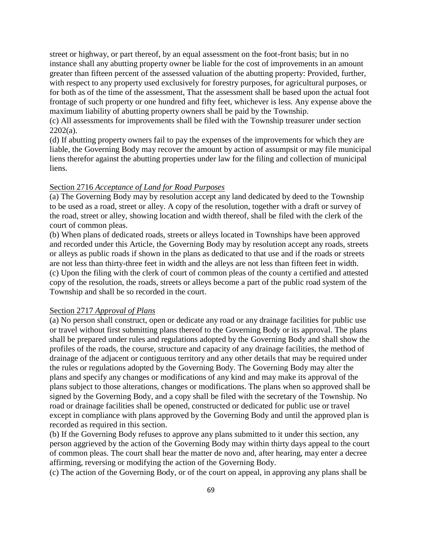street or highway, or part thereof, by an equal assessment on the foot-front basis; but in no instance shall any abutting property owner be liable for the cost of improvements in an amount greater than fifteen percent of the assessed valuation of the abutting property: Provided, further, with respect to any property used exclusively for forestry purposes, for agricultural purposes, or for both as of the time of the assessment, That the assessment shall be based upon the actual foot frontage of such property or one hundred and fifty feet, whichever is less. Any expense above the maximum liability of abutting property owners shall be paid by the Township.

(c) All assessments for improvements shall be filed with the Township treasurer under section  $2202(a)$ .

(d) If abutting property owners fail to pay the expenses of the improvements for which they are liable, the Governing Body may recover the amount by action of assumpsit or may file municipal liens therefor against the abutting properties under law for the filing and collection of municipal liens.

### Section 2716 *Acceptance of Land for Road Purposes*

(a) The Governing Body may by resolution accept any land dedicated by deed to the Township to be used as a road, street or alley. A copy of the resolution, together with a draft or survey of the road, street or alley, showing location and width thereof, shall be filed with the clerk of the court of common pleas.

(b) When plans of dedicated roads, streets or alleys located in Townships have been approved and recorded under this Article, the Governing Body may by resolution accept any roads, streets or alleys as public roads if shown in the plans as dedicated to that use and if the roads or streets are not less than thirty-three feet in width and the alleys are not less than fifteen feet in width. (c) Upon the filing with the clerk of court of common pleas of the county a certified and attested copy of the resolution, the roads, streets or alleys become a part of the public road system of the Township and shall be so recorded in the court.

### Section 2717 *Approval of Plans*

(a) No person shall construct, open or dedicate any road or any drainage facilities for public use or travel without first submitting plans thereof to the Governing Body or its approval. The plans shall be prepared under rules and regulations adopted by the Governing Body and shall show the profiles of the roads, the course, structure and capacity of any drainage facilities, the method of drainage of the adjacent or contiguous territory and any other details that may be required under the rules or regulations adopted by the Governing Body. The Governing Body may alter the plans and specify any changes or modifications of any kind and may make its approval of the plans subject to those alterations, changes or modifications. The plans when so approved shall be signed by the Governing Body, and a copy shall be filed with the secretary of the Township. No road or drainage facilities shall be opened, constructed or dedicated for public use or travel except in compliance with plans approved by the Governing Body and until the approved plan is recorded as required in this section.

(b) If the Governing Body refuses to approve any plans submitted to it under this section, any person aggrieved by the action of the Governing Body may within thirty days appeal to the court of common pleas. The court shall hear the matter de novo and, after hearing, may enter a decree affirming, reversing or modifying the action of the Governing Body.

(c) The action of the Governing Body, or of the court on appeal, in approving any plans shall be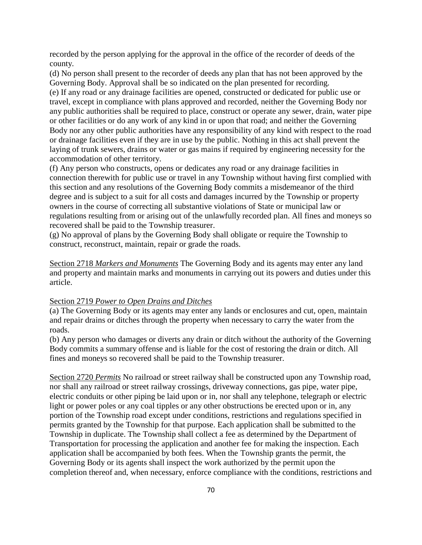recorded by the person applying for the approval in the office of the recorder of deeds of the county.

(d) No person shall present to the recorder of deeds any plan that has not been approved by the Governing Body. Approval shall be so indicated on the plan presented for recording.

(e) If any road or any drainage facilities are opened, constructed or dedicated for public use or travel, except in compliance with plans approved and recorded, neither the Governing Body nor any public authorities shall be required to place, construct or operate any sewer, drain, water pipe or other facilities or do any work of any kind in or upon that road; and neither the Governing Body nor any other public authorities have any responsibility of any kind with respect to the road or drainage facilities even if they are in use by the public. Nothing in this act shall prevent the laying of trunk sewers, drains or water or gas mains if required by engineering necessity for the accommodation of other territory.

(f) Any person who constructs, opens or dedicates any road or any drainage facilities in connection therewith for public use or travel in any Township without having first complied with this section and any resolutions of the Governing Body commits a misdemeanor of the third degree and is subject to a suit for all costs and damages incurred by the Township or property owners in the course of correcting all substantive violations of State or municipal law or regulations resulting from or arising out of the unlawfully recorded plan. All fines and moneys so recovered shall be paid to the Township treasurer.

(g) No approval of plans by the Governing Body shall obligate or require the Township to construct, reconstruct, maintain, repair or grade the roads.

Section 2718 *Markers and Monuments* The Governing Body and its agents may enter any land and property and maintain marks and monuments in carrying out its powers and duties under this article.

#### Section 2719 *Power to Open Drains and Ditches*

(a) The Governing Body or its agents may enter any lands or enclosures and cut, open, maintain and repair drains or ditches through the property when necessary to carry the water from the roads.

(b) Any person who damages or diverts any drain or ditch without the authority of the Governing Body commits a summary offense and is liable for the cost of restoring the drain or ditch. All fines and moneys so recovered shall be paid to the Township treasurer.

Section 2720 *Permits* No railroad or street railway shall be constructed upon any Township road, nor shall any railroad or street railway crossings, driveway connections, gas pipe, water pipe, electric conduits or other piping be laid upon or in, nor shall any telephone, telegraph or electric light or power poles or any coal tipples or any other obstructions be erected upon or in, any portion of the Township road except under conditions, restrictions and regulations specified in permits granted by the Township for that purpose. Each application shall be submitted to the Township in duplicate. The Township shall collect a fee as determined by the Department of Transportation for processing the application and another fee for making the inspection. Each application shall be accompanied by both fees. When the Township grants the permit, the Governing Body or its agents shall inspect the work authorized by the permit upon the completion thereof and, when necessary, enforce compliance with the conditions, restrictions and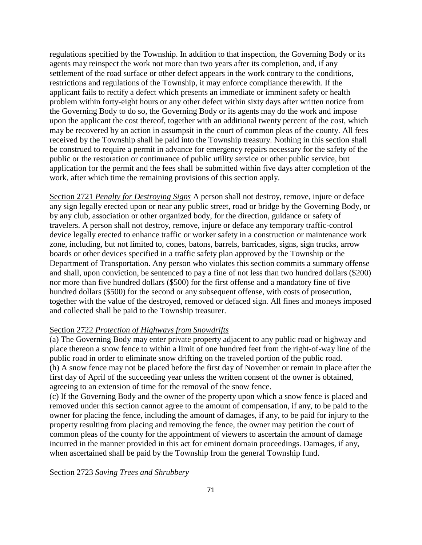regulations specified by the Township. In addition to that inspection, the Governing Body or its agents may reinspect the work not more than two years after its completion, and, if any settlement of the road surface or other defect appears in the work contrary to the conditions, restrictions and regulations of the Township, it may enforce compliance therewith. If the applicant fails to rectify a defect which presents an immediate or imminent safety or health problem within forty-eight hours or any other defect within sixty days after written notice from the Governing Body to do so, the Governing Body or its agents may do the work and impose upon the applicant the cost thereof, together with an additional twenty percent of the cost, which may be recovered by an action in assumpsit in the court of common pleas of the county. All fees received by the Township shall he paid into the Township treasury. Nothing in this section shall be construed to require a permit in advance for emergency repairs necessary for the safety of the public or the restoration or continuance of public utility service or other public service, but application for the permit and the fees shall be submitted within five days after completion of the work, after which time the remaining provisions of this section apply.

Section 2721 *Penalty for Destroying Signs* A person shall not destroy, remove, injure or deface any sign legally erected upon or near any public street, road or bridge by the Governing Body, or by any club, association or other organized body, for the direction, guidance or safety of travelers. A person shall not destroy, remove, injure or deface any temporary traffic-control device legally erected to enhance traffic or worker safety in a construction or maintenance work zone, including, but not limited to, cones, batons, barrels, barricades, signs, sign trucks, arrow boards or other devices specified in a traffic safety plan approved by the Township or the Department of Transportation. Any person who violates this section commits a summary offense and shall, upon conviction, be sentenced to pay a fine of not less than two hundred dollars (\$200) nor more than five hundred dollars (\$500) for the first offense and a mandatory fine of five hundred dollars (\$500) for the second or any subsequent offense, with costs of prosecution, together with the value of the destroyed, removed or defaced sign. All fines and moneys imposed and collected shall be paid to the Township treasurer.

## Section 2722 *Protection of Highways from Snowdrifts*

(a) The Governing Body may enter private property adjacent to any public road or highway and place thereon a snow fence to within a limit of one hundred feet from the right-of-way line of the public road in order to eliminate snow drifting on the traveled portion of the public road. (h) A snow fence may not be placed before the first day of November or remain in place after the first day of April of the succeeding year unless the written consent of the owner is obtained, agreeing to an extension of time for the removal of the snow fence.

(c) If the Governing Body and the owner of the property upon which a snow fence is placed and removed under this section cannot agree to the amount of compensation, if any, to be paid to the owner for placing the fence, including the amount of damages, if any, to be paid for injury to the property resulting from placing and removing the fence, the owner may petition the court of common pleas of the county for the appointment of viewers to ascertain the amount of damage incurred in the manner provided in this act for eminent domain proceedings. Damages, if any, when ascertained shall be paid by the Township from the general Township fund.

Section 2723 *Saving Trees and Shrubbery*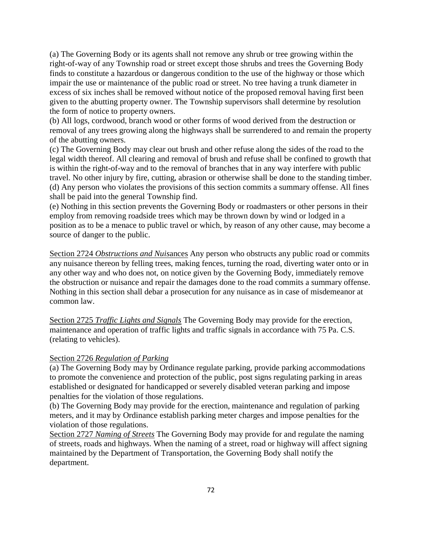(a) The Governing Body or its agents shall not remove any shrub or tree growing within the right-of-way of any Township road or street except those shrubs and trees the Governing Body finds to constitute a hazardous or dangerous condition to the use of the highway or those which impair the use or maintenance of the public road or street. No tree having a trunk diameter in excess of six inches shall be removed without notice of the proposed removal having first been given to the abutting property owner. The Township supervisors shall determine by resolution the form of notice to property owners.

(b) All logs, cordwood, branch wood or other forms of wood derived from the destruction or removal of any trees growing along the highways shall be surrendered to and remain the property of the abutting owners.

(c) The Governing Body may clear out brush and other refuse along the sides of the road to the legal width thereof. All clearing and removal of brush and refuse shall be confined to growth that is within the right-of-way and to the removal of branches that in any way interfere with public travel. No other injury by fire, cutting, abrasion or otherwise shall be done to the standing timber. (d) Any person who violates the provisions of this section commits a summary offense. All fines shall be paid into the general Township find.

(e) Nothing in this section prevents the Governing Body or roadmasters or other persons in their employ from removing roadside trees which may be thrown down by wind or lodged in a position as to be a menace to public travel or which, by reason of any other cause, may become a source of danger to the public.

Section 2724 *Obstructions and Nuis*ances Any person who obstructs any public road or commits any nuisance thereon by felling trees, making fences, turning the road, diverting water onto or in any other way and who does not, on notice given by the Governing Body, immediately remove the obstruction or nuisance and repair the damages done to the road commits a summary offense. Nothing in this section shall debar a prosecution for any nuisance as in case of misdemeanor at common law.

Section 2725 *Traffic Lights and Signals* The Governing Body may provide for the erection, maintenance and operation of traffic lights and traffic signals in accordance with 75 Pa. C.S. (relating to vehicles).

## Section 2726 *Regulation of Parking*

(a) The Governing Body may by Ordinance regulate parking, provide parking accommodations to promote the convenience and protection of the public, post signs regulating parking in areas established or designated for handicapped or severely disabled veteran parking and impose penalties for the violation of those regulations.

(b) The Governing Body may provide for the erection, maintenance and regulation of parking meters, and it may by Ordinance establish parking meter charges and impose penalties for the violation of those regulations.

Section 2727 *Naming of Streets* The Governing Body may provide for and regulate the naming of streets, roads and highways. When the naming of a street, road or highway will affect signing maintained by the Department of Transportation, the Governing Body shall notify the department.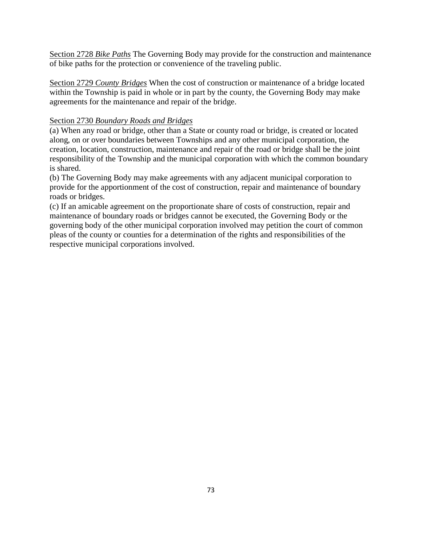Section 2728 *Bike Paths* The Governing Body may provide for the construction and maintenance of bike paths for the protection or convenience of the traveling public.

Section 2729 *County Bridges* When the cost of construction or maintenance of a bridge located within the Township is paid in whole or in part by the county, the Governing Body may make agreements for the maintenance and repair of the bridge.

# Section 2730 *Boundary Roads and Bridges*

(a) When any road or bridge, other than a State or county road or bridge, is created or located along, on or over boundaries between Townships and any other municipal corporation, the creation, location, construction, maintenance and repair of the road or bridge shall be the joint responsibility of the Township and the municipal corporation with which the common boundary is shared.

(b) The Governing Body may make agreements with any adjacent municipal corporation to provide for the apportionment of the cost of construction, repair and maintenance of boundary roads or bridges.

(c) If an amicable agreement on the proportionate share of costs of construction, repair and maintenance of boundary roads or bridges cannot be executed, the Governing Body or the governing body of the other municipal corporation involved may petition the court of common pleas of the county or counties for a determination of the rights and responsibilities of the respective municipal corporations involved.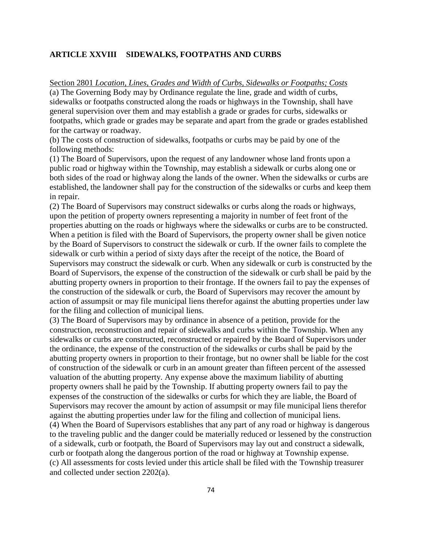### **ARTICLE XXVIII SIDEWALKS, FOOTPATHS AND CURBS**

Section 2801 *Location, Lines, Grades and Width of Curbs, Sidewalks or Footpaths; Costs* (a) The Governing Body may by Ordinance regulate the line, grade and width of curbs, sidewalks or footpaths constructed along the roads or highways in the Township, shall have general supervision over them and may establish a grade or grades for curbs, sidewalks or footpaths, which grade or grades may be separate and apart from the grade or grades established for the cartway or roadway.

(b) The costs of construction of sidewalks, footpaths or curbs may be paid by one of the following methods:

(1) The Board of Supervisors, upon the request of any landowner whose land fronts upon a public road or highway within the Township, may establish a sidewalk or curbs along one or both sides of the road or highway along the lands of the owner. When the sidewalks or curbs are established, the landowner shall pay for the construction of the sidewalks or curbs and keep them in repair.

(2) The Board of Supervisors may construct sidewalks or curbs along the roads or highways, upon the petition of property owners representing a majority in number of feet front of the properties abutting on the roads or highways where the sidewalks or curbs are to be constructed. When a petition is filed with the Board of Supervisors, the property owner shall be given notice by the Board of Supervisors to construct the sidewalk or curb. If the owner fails to complete the sidewalk or curb within a period of sixty days after the receipt of the notice, the Board of Supervisors may construct the sidewalk or curb. When any sidewalk or curb is constructed by the Board of Supervisors, the expense of the construction of the sidewalk or curb shall be paid by the abutting property owners in proportion to their frontage. If the owners fail to pay the expenses of the construction of the sidewalk or curb, the Board of Supervisors may recover the amount by action of assumpsit or may file municipal liens therefor against the abutting properties under law for the filing and collection of municipal liens.

(3) The Board of Supervisors may by ordinance in absence of a petition, provide for the construction, reconstruction and repair of sidewalks and curbs within the Township. When any sidewalks or curbs are constructed, reconstructed or repaired by the Board of Supervisors under the ordinance, the expense of the construction of the sidewalks or curbs shall be paid by the abutting property owners in proportion to their frontage, but no owner shall be liable for the cost of construction of the sidewalk or curb in an amount greater than fifteen percent of the assessed valuation of the abutting property. Any expense above the maximum liability of abutting property owners shall he paid by the Township. If abutting property owners fail to pay the expenses of the construction of the sidewalks or curbs for which they are liable, the Board of Supervisors may recover the amount by action of assumpsit or may file municipal liens therefor against the abutting properties under law for the filing and collection of municipal liens. (4) When the Board of Supervisors establishes that any part of any road or highway is dangerous to the traveling public and the danger could be materially reduced or lessened by the construction of a sidewalk, curb or footpath, the Board of Supervisors may lay out and construct a sidewalk, curb or footpath along the dangerous portion of the road or highway at Township expense. (c) All assessments for costs levied under this article shall be filed with the Township treasurer and collected under section 2202(a).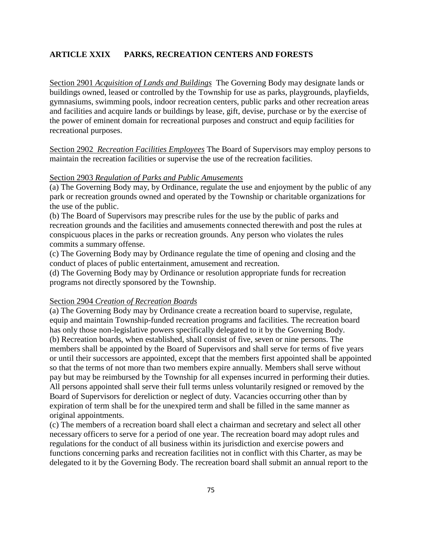### **ARTICLE XXIX PARKS, RECREATION CENTERS AND FORESTS**

Section 2901 *Acquisition of Lands and Buildings* The Governing Body may designate lands or buildings owned, leased or controlled by the Township for use as parks, playgrounds, playfields, gymnasiums, swimming pools, indoor recreation centers, public parks and other recreation areas and facilities and acquire lands or buildings by lease, gift, devise, purchase or by the exercise of the power of eminent domain for recreational purposes and construct and equip facilities for recreational purposes.

Section 2902 *Recreation Facilities Employees* The Board of Supervisors may employ persons to maintain the recreation facilities or supervise the use of the recreation facilities.

#### Section 2903 *Regulation of Parks and Public Amusements*

(a) The Governing Body may, by Ordinance, regulate the use and enjoyment by the public of any park or recreation grounds owned and operated by the Township or charitable organizations for the use of the public.

(b) The Board of Supervisors may prescribe rules for the use by the public of parks and recreation grounds and the facilities and amusements connected therewith and post the rules at conspicuous places in the parks or recreation grounds. Any person who violates the rules commits a summary offense.

(c) The Governing Body may by Ordinance regulate the time of opening and closing and the conduct of places of public entertainment, amusement and recreation.

(d) The Governing Body may by Ordinance or resolution appropriate funds for recreation programs not directly sponsored by the Township.

#### Section 2904 *Creation of Recreation Boards*

(a) The Governing Body may by Ordinance create a recreation board to supervise, regulate, equip and maintain Township-funded recreation programs and facilities. The recreation board has only those non-legislative powers specifically delegated to it by the Governing Body. (b) Recreation boards, when established, shall consist of five, seven or nine persons. The members shall be appointed by the Board of Supervisors and shall serve for terms of five years or until their successors are appointed, except that the members first appointed shall be appointed so that the terms of not more than two members expire annually. Members shall serve without pay but may be reimbursed by the Township for all expenses incurred in performing their duties. All persons appointed shall serve their full terms unless voluntarily resigned or removed by the Board of Supervisors for dereliction or neglect of duty. Vacancies occurring other than by expiration of term shall be for the unexpired term and shall be filled in the same manner as original appointments.

(c) The members of a recreation board shall elect a chairman and secretary and select all other necessary officers to serve for a period of one year. The recreation board may adopt rules and regulations for the conduct of all business within its jurisdiction and exercise powers and functions concerning parks and recreation facilities not in conflict with this Charter, as may be delegated to it by the Governing Body. The recreation board shall submit an annual report to the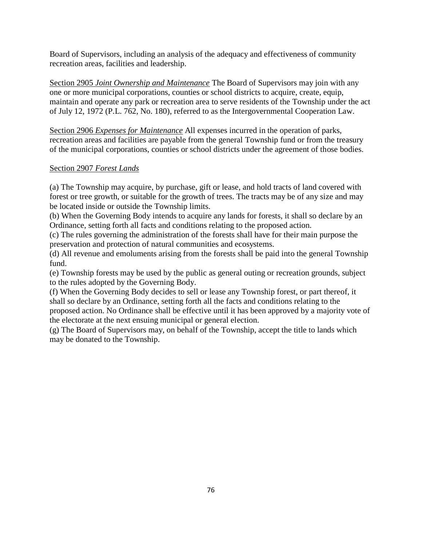Board of Supervisors, including an analysis of the adequacy and effectiveness of community recreation areas, facilities and leadership.

Section 2905 *Joint Ownership and Maintenance* The Board of Supervisors may join with any one or more municipal corporations, counties or school districts to acquire, create, equip, maintain and operate any park or recreation area to serve residents of the Township under the act of July 12, 1972 (P.L. 762, No. 180), referred to as the Intergovernmental Cooperation Law.

Section 2906 *Expenses for Maintenance* All expenses incurred in the operation of parks, recreation areas and facilities are payable from the general Township fund or from the treasury of the municipal corporations, counties or school districts under the agreement of those bodies.

# Section 2907 *Forest Lands*

(a) The Township may acquire, by purchase, gift or lease, and hold tracts of land covered with forest or tree growth, or suitable for the growth of trees. The tracts may be of any size and may be located inside or outside the Township limits.

(b) When the Governing Body intends to acquire any lands for forests, it shall so declare by an Ordinance, setting forth all facts and conditions relating to the proposed action.

(c) The rules governing the administration of the forests shall have for their main purpose the preservation and protection of natural communities and ecosystems.

(d) All revenue and emoluments arising from the forests shall be paid into the general Township fund.

(e) Township forests may be used by the public as general outing or recreation grounds, subject to the rules adopted by the Governing Body.

(f) When the Governing Body decides to sell or lease any Township forest, or part thereof, it shall so declare by an Ordinance, setting forth all the facts and conditions relating to the proposed action. No Ordinance shall be effective until it has been approved by a majority vote of the electorate at the next ensuing municipal or general election.

(g) The Board of Supervisors may, on behalf of the Township, accept the title to lands which may be donated to the Township.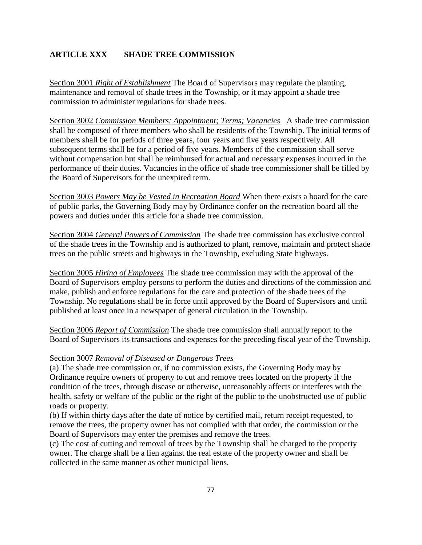## **ARTICLE XXX SHADE TREE COMMISSION**

Section 3001 *Right of Establishment* The Board of Supervisors may regulate the planting, maintenance and removal of shade trees in the Township, or it may appoint a shade tree commission to administer regulations for shade trees.

Section 3002 *Commission Members; Appointment; Terms; Vacancies* A shade tree commission shall be composed of three members who shall be residents of the Township. The initial terms of members shall be for periods of three years, four years and five years respectively. All subsequent terms shall be for a period of five years. Members of the commission shall serve without compensation but shall be reimbursed for actual and necessary expenses incurred in the performance of their duties. Vacancies in the office of shade tree commissioner shall be filled by the Board of Supervisors for the unexpired term.

Section 3003 *Powers May be Vested in Recreation Board* When there exists a board for the care of public parks, the Governing Body may by Ordinance confer on the recreation board all the powers and duties under this article for a shade tree commission.

Section 3004 *General Powers of Commission* The shade tree commission has exclusive control of the shade trees in the Township and is authorized to plant, remove, maintain and protect shade trees on the public streets and highways in the Township, excluding State highways.

Section 3005 *Hiring of Employees* The shade tree commission may with the approval of the Board of Supervisors employ persons to perform the duties and directions of the commission and make, publish and enforce regulations for the care and protection of the shade trees of the Township. No regulations shall be in force until approved by the Board of Supervisors and until published at least once in a newspaper of general circulation in the Township.

Section 3006 *Report of Commission* The shade tree commission shall annually report to the Board of Supervisors its transactions and expenses for the preceding fiscal year of the Township.

### Section 3007 *Removal of Diseased or Dangerous Trees*

(a) The shade tree commission or, if no commission exists, the Governing Body may by Ordinance require owners of property to cut and remove trees located on the property if the condition of the trees, through disease or otherwise, unreasonably affects or interferes with the health, safety or welfare of the public or the right of the public to the unobstructed use of public roads or property.

(b) If within thirty days after the date of notice by certified mail, return receipt requested, to remove the trees, the property owner has not complied with that order, the commission or the Board of Supervisors may enter the premises and remove the trees.

(c) The cost of cutting and removal of trees by the Township shall be charged to the property owner. The charge shall be a lien against the real estate of the property owner and shall be collected in the same manner as other municipal liens.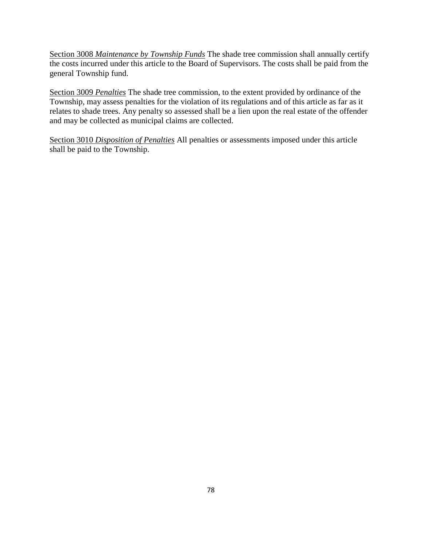Section 3008 *Maintenance by Township Funds* The shade tree commission shall annually certify the costs incurred under this article to the Board of Supervisors. The costs shall be paid from the general Township fund.

Section 3009 *Penalties* The shade tree commission, to the extent provided by ordinance of the Township, may assess penalties for the violation of its regulations and of this article as far as it relates to shade trees. Any penalty so assessed shall be a lien upon the real estate of the offender and may be collected as municipal claims are collected.

Section 3010 *Disposition of Penalties* All penalties or assessments imposed under this article shall be paid to the Township.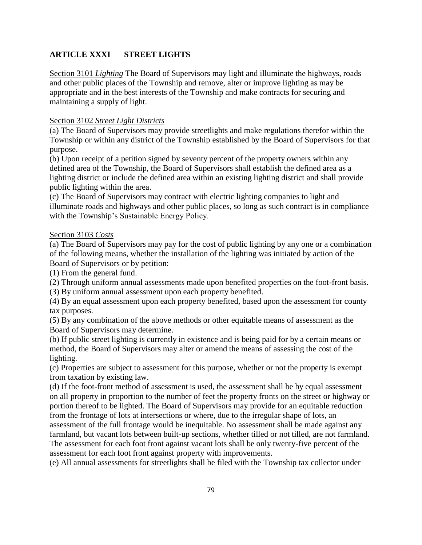# **ARTICLE XXXI STREET LIGHTS**

Section 3101 *Lighting* The Board of Supervisors may light and illuminate the highways, roads and other public places of the Township and remove, alter or improve lighting as may be appropriate and in the best interests of the Township and make contracts for securing and maintaining a supply of light.

## Section 3102 *Street Light Districts*

(a) The Board of Supervisors may provide streetlights and make regulations therefor within the Township or within any district of the Township established by the Board of Supervisors for that purpose.

(b) Upon receipt of a petition signed by seventy percent of the property owners within any defined area of the Township, the Board of Supervisors shall establish the defined area as a lighting district or include the defined area within an existing lighting district and shall provide public lighting within the area.

(c) The Board of Supervisors may contract with electric lighting companies to light and illuminate roads and highways and other public places, so long as such contract is in compliance with the Township's Sustainable Energy Policy.

### Section 3103 *Costs*

(a) The Board of Supervisors may pay for the cost of public lighting by any one or a combination of the following means, whether the installation of the lighting was initiated by action of the Board of Supervisors or by petition:

(1) From the general fund.

(2) Through uniform annual assessments made upon benefited properties on the foot-front basis.

(3) By uniform annual assessment upon each property benefited.

(4) By an equal assessment upon each property benefited, based upon the assessment for county tax purposes.

(5) By any combination of the above methods or other equitable means of assessment as the Board of Supervisors may determine.

(b) If public street lighting is currently in existence and is being paid for by a certain means or method, the Board of Supervisors may alter or amend the means of assessing the cost of the lighting.

(c) Properties are subject to assessment for this purpose, whether or not the property is exempt from taxation by existing law.

(d) If the foot-front method of assessment is used, the assessment shall be by equal assessment on all property in proportion to the number of feet the property fronts on the street or highway or portion thereof to be lighted. The Board of Supervisors may provide for an equitable reduction from the frontage of lots at intersections or where, due to the irregular shape of lots, an assessment of the full frontage would be inequitable. No assessment shall be made against any farmland, but vacant lots between built-up sections, whether tilled or not tilled, are not farmland. The assessment for each foot front against vacant lots shall be only twenty-five percent of the assessment for each foot front against property with improvements.

(e) All annual assessments for streetlights shall be filed with the Township tax collector under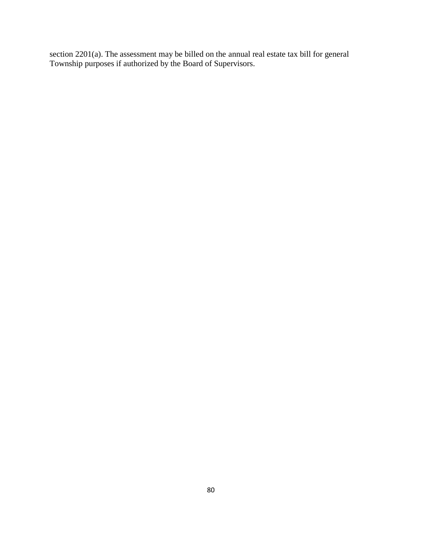section 2201(a). The assessment may be billed on the annual real estate tax bill for general Township purposes if authorized by the Board of Supervisors.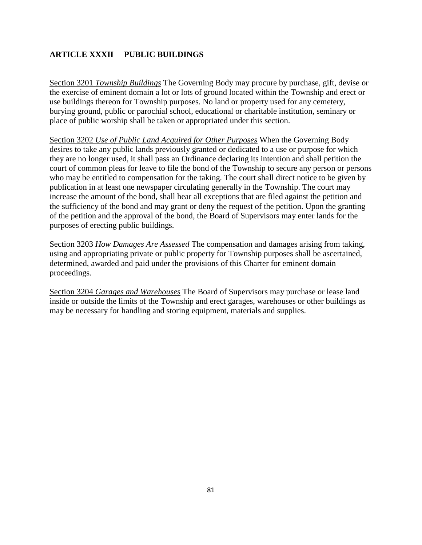# **ARTICLE XXXII PUBLIC BUILDINGS**

Section 3201 *Township Buildings* The Governing Body may procure by purchase, gift, devise or the exercise of eminent domain a lot or lots of ground located within the Township and erect or use buildings thereon for Township purposes. No land or property used for any cemetery, burying ground, public or parochial school, educational or charitable institution, seminary or place of public worship shall be taken or appropriated under this section.

Section 3202 *Use of Public Land Acquired for Other Purposes* When the Governing Body desires to take any public lands previously granted or dedicated to a use or purpose for which they are no longer used, it shall pass an Ordinance declaring its intention and shall petition the court of common pleas for leave to file the bond of the Township to secure any person or persons who may be entitled to compensation for the taking. The court shall direct notice to be given by publication in at least one newspaper circulating generally in the Township. The court may increase the amount of the bond, shall hear all exceptions that are filed against the petition and the sufficiency of the bond and may grant or deny the request of the petition. Upon the granting of the petition and the approval of the bond, the Board of Supervisors may enter lands for the purposes of erecting public buildings.

Section 3203 *How Damages Are Assessed* The compensation and damages arising from taking, using and appropriating private or public property for Township purposes shall be ascertained, determined, awarded and paid under the provisions of this Charter for eminent domain proceedings.

Section 3204 *Garages and Warehouses* The Board of Supervisors may purchase or lease land inside or outside the limits of the Township and erect garages, warehouses or other buildings as may be necessary for handling and storing equipment, materials and supplies.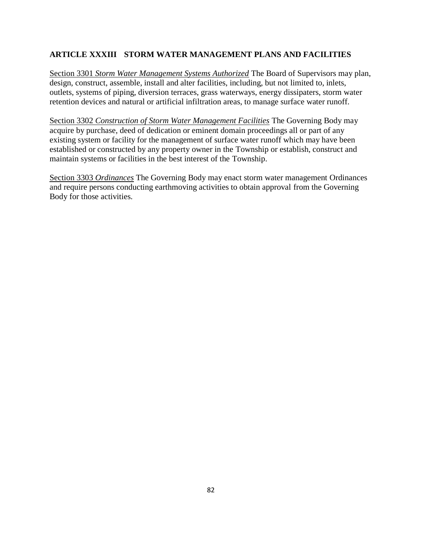# **ARTICLE XXXIII STORM WATER MANAGEMENT PLANS AND FACILITIES**

Section 3301 *Storm Water Management Systems Authorized* The Board of Supervisors may plan, design, construct, assemble, install and alter facilities, including, but not limited to, inlets, outlets, systems of piping, diversion terraces, grass waterways, energy dissipaters, storm water retention devices and natural or artificial infiltration areas, to manage surface water runoff.

Section 3302 *Construction of Storm Water Management Facilities* The Governing Body may acquire by purchase, deed of dedication or eminent domain proceedings all or part of any existing system or facility for the management of surface water runoff which may have been established or constructed by any property owner in the Township or establish, construct and maintain systems or facilities in the best interest of the Township.

Section 3303 *Ordinances* The Governing Body may enact storm water management Ordinances and require persons conducting earthmoving activities to obtain approval from the Governing Body for those activities.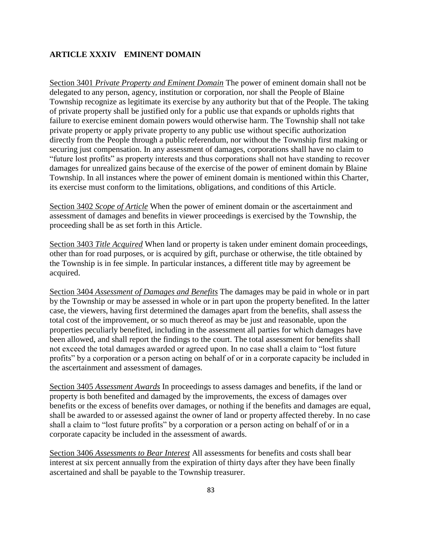### **ARTICLE XXXIV EMINENT DOMAIN**

Section 3401 *Private Property and Eminent Domain* The power of eminent domain shall not be delegated to any person, agency, institution or corporation, nor shall the People of Blaine Township recognize as legitimate its exercise by any authority but that of the People. The taking of private property shall be justified only for a public use that expands or upholds rights that failure to exercise eminent domain powers would otherwise harm. The Township shall not take private property or apply private property to any public use without specific authorization directly from the People through a public referendum, nor without the Township first making or securing just compensation. In any assessment of damages, corporations shall have no claim to "future lost profits" as property interests and thus corporations shall not have standing to recover damages for unrealized gains because of the exercise of the power of eminent domain by Blaine Township. In all instances where the power of eminent domain is mentioned within this Charter, its exercise must conform to the limitations, obligations, and conditions of this Article.

Section 3402 *Scope of Article* When the power of eminent domain or the ascertainment and assessment of damages and benefits in viewer proceedings is exercised by the Township, the proceeding shall be as set forth in this Article.

Section 3403 *Title Acquired* When land or property is taken under eminent domain proceedings, other than for road purposes, or is acquired by gift, purchase or otherwise, the title obtained by the Township is in fee simple. In particular instances, a different title may by agreement be acquired.

Section 3404 *Assessment of Damages and Benefits* The damages may be paid in whole or in part by the Township or may be assessed in whole or in part upon the property benefited. In the latter case, the viewers, having first determined the damages apart from the benefits, shall assess the total cost of the improvement, or so much thereof as may be just and reasonable, upon the properties peculiarly benefited, including in the assessment all parties for which damages have been allowed, and shall report the findings to the court. The total assessment for benefits shall not exceed the total damages awarded or agreed upon. In no case shall a claim to "lost future profits" by a corporation or a person acting on behalf of or in a corporate capacity be included in the ascertainment and assessment of damages.

Section 3405 *Assessment Awards* In proceedings to assess damages and benefits, if the land or property is both benefited and damaged by the improvements, the excess of damages over benefits or the excess of benefits over damages, or nothing if the benefits and damages are equal, shall be awarded to or assessed against the owner of land or property affected thereby. In no case shall a claim to "lost future profits" by a corporation or a person acting on behalf of or in a corporate capacity be included in the assessment of awards.

Section 3406 *Assessments to Bear Interest* All assessments for benefits and costs shall bear interest at six percent annually from the expiration of thirty days after they have been finally ascertained and shall be payable to the Township treasurer.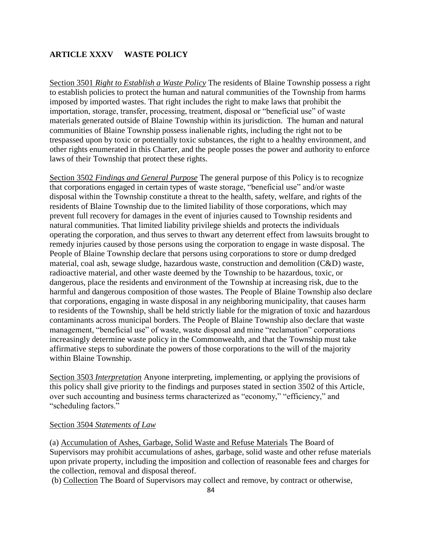## **ARTICLE XXXV WASTE POLICY**

Section 3501 *Right to Establish a Waste Policy* The residents of Blaine Township possess a right to establish policies to protect the human and natural communities of the Township from harms imposed by imported wastes. That right includes the right to make laws that prohibit the importation, storage, transfer, processing, treatment, disposal or "beneficial use" of waste materials generated outside of Blaine Township within its jurisdiction. The human and natural communities of Blaine Township possess inalienable rights, including the right not to be trespassed upon by toxic or potentially toxic substances, the right to a healthy environment, and other rights enumerated in this Charter, and the people posses the power and authority to enforce laws of their Township that protect these rights.

Section 3502 *Findings and General Purpose* The general purpose of this Policy is to recognize that corporations engaged in certain types of waste storage, "beneficial use" and/or waste disposal within the Township constitute a threat to the health, safety, welfare, and rights of the residents of Blaine Township due to the limited liability of those corporations, which may prevent full recovery for damages in the event of injuries caused to Township residents and natural communities. That limited liability privilege shields and protects the individuals operating the corporation, and thus serves to thwart any deterrent effect from lawsuits brought to remedy injuries caused by those persons using the corporation to engage in waste disposal. The People of Blaine Township declare that persons using corporations to store or dump dredged material, coal ash, sewage sludge, hazardous waste, construction and demolition (C&D) waste, radioactive material, and other waste deemed by the Township to be hazardous, toxic, or dangerous, place the residents and environment of the Township at increasing risk, due to the harmful and dangerous composition of those wastes. The People of Blaine Township also declare that corporations, engaging in waste disposal in any neighboring municipality, that causes harm to residents of the Township, shall be held strictly liable for the migration of toxic and hazardous contaminants across municipal borders. The People of Blaine Township also declare that waste management, "beneficial use" of waste, waste disposal and mine "reclamation" corporations increasingly determine waste policy in the Commonwealth, and that the Township must take affirmative steps to subordinate the powers of those corporations to the will of the majority within Blaine Township.

Section 3503 *Interpretation* Anyone interpreting, implementing, or applying the provisions of this policy shall give priority to the findings and purposes stated in section 3502 of this Article, over such accounting and business terms characterized as "economy," "efficiency," and "scheduling factors."

#### Section 3504 *Statements of Law*

(a) Accumulation of Ashes, Garbage, Solid Waste and Refuse Materials The Board of Supervisors may prohibit accumulations of ashes, garbage, solid waste and other refuse materials upon private property, including the imposition and collection of reasonable fees and charges for the collection, removal and disposal thereof.

(b) Collection The Board of Supervisors may collect and remove, by contract or otherwise,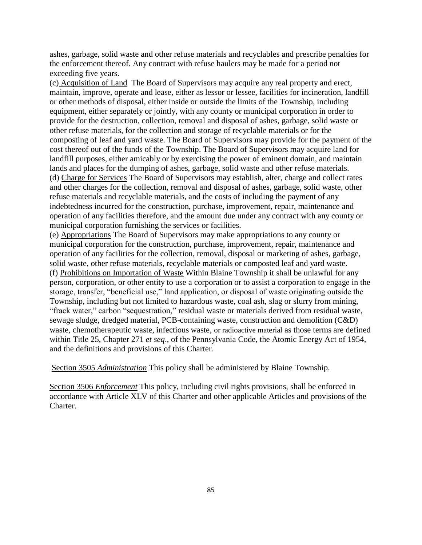ashes, garbage, solid waste and other refuse materials and recyclables and prescribe penalties for the enforcement thereof. Any contract with refuse haulers may be made for a period not exceeding five years.

(c) Acquisition of Land The Board of Supervisors may acquire any real property and erect, maintain, improve, operate and lease, either as lessor or lessee, facilities for incineration, landfill or other methods of disposal, either inside or outside the limits of the Township, including equipment, either separately or jointly, with any county or municipal corporation in order to provide for the destruction, collection, removal and disposal of ashes, garbage, solid waste or other refuse materials, for the collection and storage of recyclable materials or for the composting of leaf and yard waste. The Board of Supervisors may provide for the payment of the cost thereof out of the funds of the Township. The Board of Supervisors may acquire land for landfill purposes, either amicably or by exercising the power of eminent domain, and maintain lands and places for the dumping of ashes, garbage, solid waste and other refuse materials. (d) Charge for Services The Board of Supervisors may establish, alter, charge and collect rates and other charges for the collection, removal and disposal of ashes, garbage, solid waste, other refuse materials and recyclable materials, and the costs of including the payment of any indebtedness incurred for the construction, purchase, improvement, repair, maintenance and operation of any facilities therefore, and the amount due under any contract with any county or municipal corporation furnishing the services or facilities.

(e) Appropriations The Board of Supervisors may make appropriations to any county or municipal corporation for the construction, purchase, improvement, repair, maintenance and operation of any facilities for the collection, removal, disposal or marketing of ashes, garbage, solid waste, other refuse materials, recyclable materials or composted leaf and yard waste. (f) Prohibitions on Importation of Waste Within Blaine Township it shall be unlawful for any person, corporation, or other entity to use a corporation or to assist a corporation to engage in the storage, transfer, "beneficial use," land application, or disposal of waste originating outside the Township, including but not limited to hazardous waste, coal ash, slag or slurry from mining, "frack water," carbon "sequestration," residual waste or materials derived from residual waste, sewage sludge, dredged material, PCB-containing waste, construction and demolition (C&D) waste, chemotherapeutic waste, infectious waste, or radioactive material as those terms are defined within Title 25, Chapter 271 *et seq*., of the Pennsylvania Code, the Atomic Energy Act of 1954, and the definitions and provisions of this Charter.

Section 3505 *Administration* This policy shall be administered by Blaine Township.

Section 3506 *Enforcement* This policy, including civil rights provisions, shall be enforced in accordance with Article XLV of this Charter and other applicable Articles and provisions of the Charter.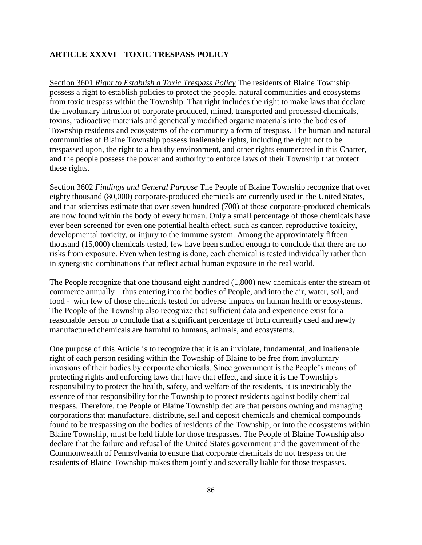### **ARTICLE XXXVI TOXIC TRESPASS POLICY**

Section 3601 *Right to Establish a Toxic Trespass Policy* The residents of Blaine Township possess a right to establish policies to protect the people, natural communities and ecosystems from toxic trespass within the Township. That right includes the right to make laws that declare the involuntary intrusion of corporate produced, mined, transported and processed chemicals, toxins, radioactive materials and genetically modified organic materials into the bodies of Township residents and ecosystems of the community a form of trespass. The human and natural communities of Blaine Township possess inalienable rights, including the right not to be trespassed upon, the right to a healthy environment, and other rights enumerated in this Charter, and the people possess the power and authority to enforce laws of their Township that protect these rights.

Section 3602 *Findings and General Purpose* The People of Blaine Township recognize that over eighty thousand (80,000) corporate-produced chemicals are currently used in the United States, and that scientists estimate that over seven hundred (700) of those corporate-produced chemicals are now found within the body of every human. Only a small percentage of those chemicals have ever been screened for even one potential health effect, such as cancer, reproductive toxicity, developmental toxicity, or injury to the immune system. Among the approximately fifteen thousand (15,000) chemicals tested, few have been studied enough to conclude that there are no risks from exposure. Even when testing is done, each chemical is tested individually rather than in synergistic combinations that reflect actual human exposure in the real world.

The People recognize that one thousand eight hundred (1,800) new chemicals enter the stream of commerce annually – thus entering into the bodies of People, and into the air, water, soil, and food - with few of those chemicals tested for adverse impacts on human health or ecosystems. The People of the Township also recognize that sufficient data and experience exist for a reasonable person to conclude that a significant percentage of both currently used and newly manufactured chemicals are harmful to humans, animals, and ecosystems.

One purpose of this Article is to recognize that it is an inviolate, fundamental, and inalienable right of each person residing within the Township of Blaine to be free from involuntary invasions of their bodies by corporate chemicals. Since government is the People's means of protecting rights and enforcing laws that have that effect, and since it is the Township's responsibility to protect the health, safety, and welfare of the residents, it is inextricably the essence of that responsibility for the Township to protect residents against bodily chemical trespass. Therefore, the People of Blaine Township declare that persons owning and managing corporations that manufacture, distribute, sell and deposit chemicals and chemical compounds found to be trespassing on the bodies of residents of the Township, or into the ecosystems within Blaine Township, must be held liable for those trespasses. The People of Blaine Township also declare that the failure and refusal of the United States government and the government of the Commonwealth of Pennsylvania to ensure that corporate chemicals do not trespass on the residents of Blaine Township makes them jointly and severally liable for those trespasses.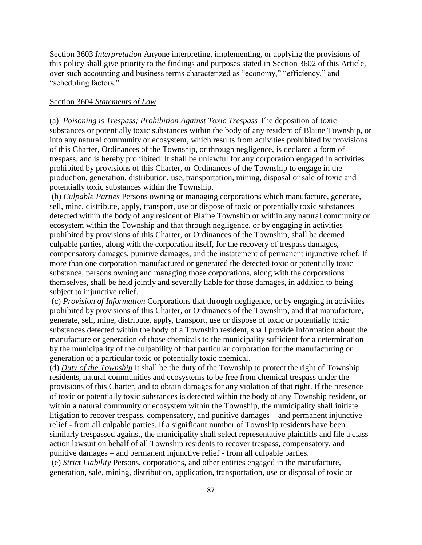Section 3603 *Interpretation* Anyone interpreting, implementing, or applying the provisions of this policy shall give priority to the findings and purposes stated in Section 3602 of this Article, over such accounting and business terms characterized as "economy," "efficiency," and "scheduling factors."

### Section 3604 *Statements of Law*

(a) *Poisoning is Trespass; Prohibition Against Toxic Trespass* The deposition of toxic substances or potentially toxic substances within the body of any resident of Blaine Township, or into any natural community or ecosystem, which results from activities prohibited by provisions of this Charter, Ordinances of the Township, or through negligence, is declared a form of trespass, and is hereby prohibited. It shall be unlawful for any corporation engaged in activities prohibited by provisions of this Charter, or Ordinances of the Township to engage in the production, generation, distribution, use, transportation, mining, disposal or sale of toxic and potentially toxic substances within the Township.

(b) *Culpable Parties* Persons owning or managing corporations which manufacture, generate, sell, mine, distribute, apply, transport, use or dispose of toxic or potentially toxic substances detected within the body of any resident of Blaine Township or within any natural community or ecosystem within the Township and that through negligence, or by engaging in activities prohibited by provisions of this Charter, or Ordinances of the Township, shall be deemed culpable parties, along with the corporation itself, for the recovery of trespass damages, compensatory damages, punitive damages, and the instatement of permanent injunctive relief. If more than one corporation manufactured or generated the detected toxic or potentially toxic substance, persons owning and managing those corporations, along with the corporations themselves, shall be held jointly and severally liable for those damages, in addition to being subject to injunctive relief.

(c) *Provision of Information* Corporations that through negligence, or by engaging in activities prohibited by provisions of this Charter, or Ordinances of the Township, and that manufacture, generate, sell, mine, distribute, apply, transport, use or dispose of toxic or potentially toxic substances detected within the body of a Township resident, shall provide information about the manufacture or generation of those chemicals to the municipality sufficient for a determination by the municipality of the culpability of that particular corporation for the manufacturing or generation of a particular toxic or potentially toxic chemical.

(d) *Duty of the Township* It shall be the duty of the Township to protect the right of Township residents, natural communities and ecosystems to be free from chemical trespass under the provisions of this Charter, and to obtain damages for any violation of that right. If the presence of toxic or potentially toxic substances is detected within the body of any Township resident, or within a natural community or ecosystem within the Township, the municipality shall initiate litigation to recover trespass, compensatory, and punitive damages – and permanent injunctive relief - from all culpable parties. If a significant number of Township residents have been similarly trespassed against, the municipality shall select representative plaintiffs and file a class action lawsuit on behalf of all Township residents to recover trespass, compensatory, and punitive damages – and permanent injunctive relief - from all culpable parties.

(e) *Strict Liability* Persons, corporations, and other entities engaged in the manufacture, generation, sale, mining, distribution, application, transportation, use or disposal of toxic or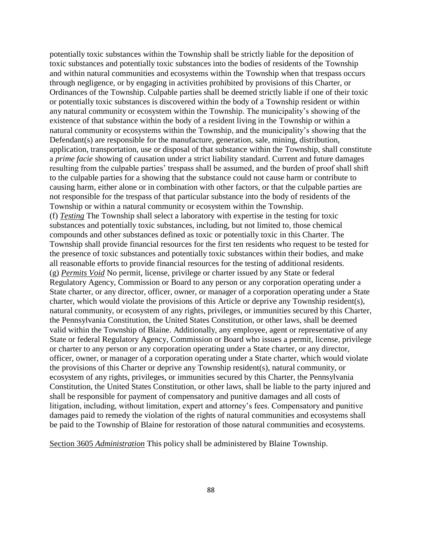potentially toxic substances within the Township shall be strictly liable for the deposition of toxic substances and potentially toxic substances into the bodies of residents of the Township and within natural communities and ecosystems within the Township when that trespass occurs through negligence, or by engaging in activities prohibited by provisions of this Charter, or Ordinances of the Township. Culpable parties shall be deemed strictly liable if one of their toxic or potentially toxic substances is discovered within the body of a Township resident or within any natural community or ecosystem within the Township. The municipality's showing of the existence of that substance within the body of a resident living in the Township or within a natural community or ecosystems within the Township, and the municipality's showing that the Defendant(s) are responsible for the manufacture, generation, sale, mining, distribution, application, transportation, use or disposal of that substance within the Township, shall constitute a *prime facie* showing of causation under a strict liability standard. Current and future damages resulting from the culpable parties' trespass shall be assumed, and the burden of proof shall shift to the culpable parties for a showing that the substance could not cause harm or contribute to causing harm, either alone or in combination with other factors, or that the culpable parties are not responsible for the trespass of that particular substance into the body of residents of the Township or within a natural community or ecosystem within the Township. (f) *Testing* The Township shall select a laboratory with expertise in the testing for toxic substances and potentially toxic substances, including, but not limited to, those chemical compounds and other substances defined as toxic or potentially toxic in this Charter. The Township shall provide financial resources for the first ten residents who request to be tested for the presence of toxic substances and potentially toxic substances within their bodies, and make all reasonable efforts to provide financial resources for the testing of additional residents. (g) *Permits Void* No permit, license, privilege or charter issued by any State or federal Regulatory Agency, Commission or Board to any person or any corporation operating under a State charter, or any director, officer, owner, or manager of a corporation operating under a State charter, which would violate the provisions of this Article or deprive any Township resident(s), natural community, or ecosystem of any rights, privileges, or immunities secured by this Charter, the Pennsylvania Constitution, the United States Constitution, or other laws, shall be deemed valid within the Township of Blaine. Additionally, any employee, agent or representative of any State or federal Regulatory Agency, Commission or Board who issues a permit, license, privilege or charter to any person or any corporation operating under a State charter, or any director, officer, owner, or manager of a corporation operating under a State charter, which would violate the provisions of this Charter or deprive any Township resident(s), natural community, or ecosystem of any rights, privileges, or immunities secured by this Charter, the Pennsylvania Constitution, the United States Constitution, or other laws, shall be liable to the party injured and shall be responsible for payment of compensatory and punitive damages and all costs of litigation, including, without limitation, expert and attorney's fees. Compensatory and punitive damages paid to remedy the violation of the rights of natural communities and ecosystems shall be paid to the Township of Blaine for restoration of those natural communities and ecosystems.

Section 3605 *Administration* This policy shall be administered by Blaine Township.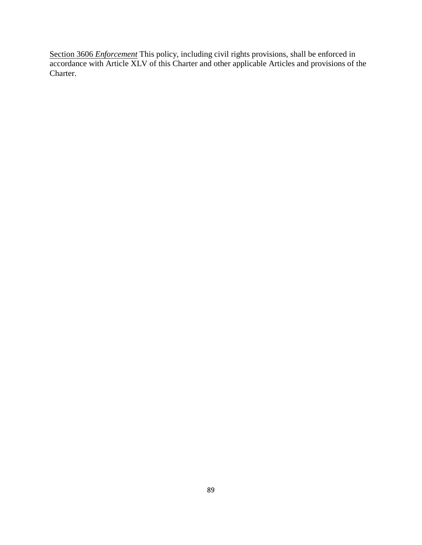Section 3606 *Enforcement* This policy, including civil rights provisions, shall be enforced in accordance with Article XLV of this Charter and other applicable Articles and provisions of the Charter.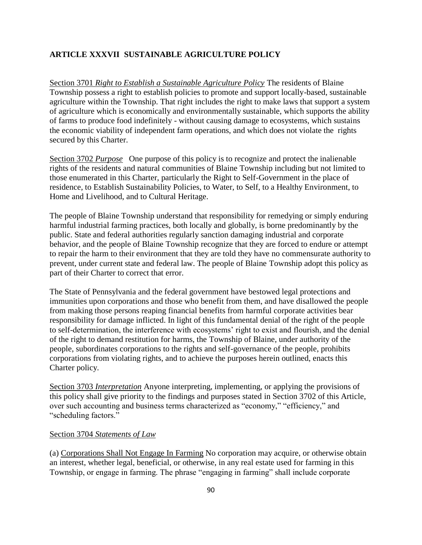# **ARTICLE XXXVII SUSTAINABLE AGRICULTURE POLICY**

Section 3701 *Right to Establish a Sustainable Agriculture Policy* The residents of Blaine Township possess a right to establish policies to promote and support locally-based, sustainable agriculture within the Township. That right includes the right to make laws that support a system of agriculture which is economically and environmentally sustainable, which supports the ability of farms to produce food indefinitely - without causing damage to ecosystems, which sustains the economic viability of independent farm operations, and which does not violate the rights secured by this Charter.

Section 3702 *Purpose* One purpose of this policy is to recognize and protect the inalienable rights of the residents and natural communities of Blaine Township including but not limited to those enumerated in this Charter, particularly the Right to Self-Government in the place of residence, to Establish Sustainability Policies, to Water, to Self, to a Healthy Environment, to Home and Livelihood, and to Cultural Heritage.

The people of Blaine Township understand that responsibility for remedying or simply enduring harmful industrial farming practices, both locally and globally, is borne predominantly by the public. State and federal authorities regularly sanction damaging industrial and corporate behavior, and the people of Blaine Township recognize that they are forced to endure or attempt to repair the harm to their environment that they are told they have no commensurate authority to prevent, under current state and federal law. The people of Blaine Township adopt this policy as part of their Charter to correct that error.

The State of Pennsylvania and the federal government have bestowed legal protections and immunities upon corporations and those who benefit from them, and have disallowed the people from making those persons reaping financial benefits from harmful corporate activities bear responsibility for damage inflicted. In light of this fundamental denial of the right of the people to self-determination, the interference with ecosystems' right to exist and flourish, and the denial of the right to demand restitution for harms, the Township of Blaine, under authority of the people, subordinates corporations to the rights and self-governance of the people, prohibits corporations from violating rights, and to achieve the purposes herein outlined, enacts this Charter policy.

Section 3703 *Interpretation* Anyone interpreting, implementing, or applying the provisions of this policy shall give priority to the findings and purposes stated in Section 3702 of this Article, over such accounting and business terms characterized as "economy," "efficiency," and "scheduling factors."

#### Section 3704 *Statements of Law*

(a) Corporations Shall Not Engage In Farming No corporation may acquire, or otherwise obtain an interest, whether legal, beneficial, or otherwise, in any real estate used for farming in this Township, or engage in farming. The phrase "engaging in farming" shall include corporate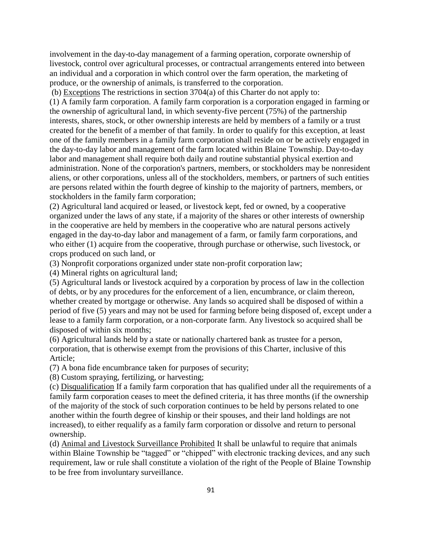involvement in the day-to-day management of a farming operation, corporate ownership of livestock, control over agricultural processes, or contractual arrangements entered into between an individual and a corporation in which control over the farm operation, the marketing of produce, or the ownership of animals, is transferred to the corporation.

(b) Exceptions The restrictions in section 3704(a) of this Charter do not apply to: (1) A family farm corporation. A family farm corporation is a corporation engaged in farming or the ownership of agricultural land, in which seventy-five percent (75%) of the partnership interests, shares, stock, or other ownership interests are held by members of a family or a trust created for the benefit of a member of that family. In order to qualify for this exception, at least one of the family members in a family farm corporation shall reside on or be actively engaged in the day-to-day labor and management of the farm located within Blaine Township. Day-to-day labor and management shall require both daily and routine substantial physical exertion and administration. None of the corporation's partners, members, or stockholders may be nonresident aliens, or other corporations, unless all of the stockholders, members, or partners of such entities are persons related within the fourth degree of kinship to the majority of partners, members, or stockholders in the family farm corporation;

(2) Agricultural land acquired or leased, or livestock kept, fed or owned, by a cooperative organized under the laws of any state, if a majority of the shares or other interests of ownership in the cooperative are held by members in the cooperative who are natural persons actively engaged in the day-to-day labor and management of a farm, or family farm corporations, and who either (1) acquire from the cooperative, through purchase or otherwise, such livestock, or crops produced on such land, or

(3) Nonprofit corporations organized under state non-profit corporation law;

(4) Mineral rights on agricultural land;

(5) Agricultural lands or livestock acquired by a corporation by process of law in the collection of debts, or by any procedures for the enforcement of a lien, encumbrance, or claim thereon, whether created by mortgage or otherwise. Any lands so acquired shall be disposed of within a period of five (5) years and may not be used for farming before being disposed of, except under a lease to a family farm corporation, or a non-corporate farm. Any livestock so acquired shall be disposed of within six months;

(6) Agricultural lands held by a state or nationally chartered bank as trustee for a person, corporation, that is otherwise exempt from the provisions of this Charter, inclusive of this Article;

(7) A bona fide encumbrance taken for purposes of security;

(8) Custom spraying, fertilizing, or harvesting;

(c) Disqualification If a family farm corporation that has qualified under all the requirements of a family farm corporation ceases to meet the defined criteria, it has three months (if the ownership of the majority of the stock of such corporation continues to be held by persons related to one another within the fourth degree of kinship or their spouses, and their land holdings are not increased), to either requalify as a family farm corporation or dissolve and return to personal ownership.

(d) Animal and Livestock Surveillance Prohibited It shall be unlawful to require that animals within Blaine Township be "tagged" or "chipped" with electronic tracking devices, and any such requirement, law or rule shall constitute a violation of the right of the People of Blaine Township to be free from involuntary surveillance.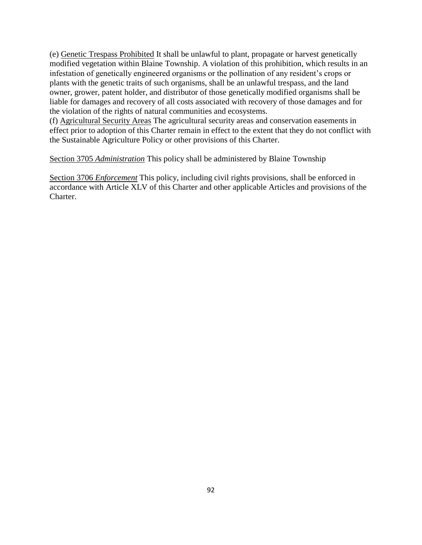(e) Genetic Trespass Prohibited It shall be unlawful to plant, propagate or harvest genetically modified vegetation within Blaine Township. A violation of this prohibition, which results in an infestation of genetically engineered organisms or the pollination of any resident's crops or plants with the genetic traits of such organisms, shall be an unlawful trespass, and the land owner, grower, patent holder, and distributor of those genetically modified organisms shall be liable for damages and recovery of all costs associated with recovery of those damages and for the violation of the rights of natural communities and ecosystems.

(f) Agricultural Security Areas The agricultural security areas and conservation easements in effect prior to adoption of this Charter remain in effect to the extent that they do not conflict with the Sustainable Agriculture Policy or other provisions of this Charter.

Section 3705 *Administration* This policy shall be administered by Blaine Township

Section 3706 *Enforcement* This policy, including civil rights provisions, shall be enforced in accordance with Article XLV of this Charter and other applicable Articles and provisions of the Charter.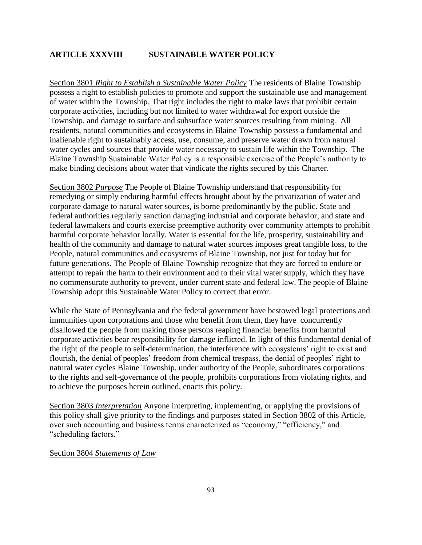## **ARTICLE XXXVIII SUSTAINABLE WATER POLICY**

Section 3801 *Right to Establish a Sustainable Water Policy* The residents of Blaine Township possess a right to establish policies to promote and support the sustainable use and management of water within the Township. That right includes the right to make laws that prohibit certain corporate activities, including but not limited to water withdrawal for export outside the Township, and damage to surface and subsurface water sources resulting from mining. All residents, natural communities and ecosystems in Blaine Township possess a fundamental and inalienable right to sustainably access, use, consume, and preserve water drawn from natural water cycles and sources that provide water necessary to sustain life within the Township. The Blaine Township Sustainable Water Policy is a responsible exercise of the People's authority to make binding decisions about water that vindicate the rights secured by this Charter.

Section 3802 *Purpose* The People of Blaine Township understand that responsibility for remedying or simply enduring harmful effects brought about by the privatization of water and corporate damage to natural water sources, is borne predominantly by the public. State and federal authorities regularly sanction damaging industrial and corporate behavior, and state and federal lawmakers and courts exercise preemptive authority over community attempts to prohibit harmful corporate behavior locally. Water is essential for the life, prosperity, sustainability and health of the community and damage to natural water sources imposes great tangible loss, to the People, natural communities and ecosystems of Blaine Township, not just for today but for future generations. The People of Blaine Township recognize that they are forced to endure or attempt to repair the harm to their environment and to their vital water supply, which they have no commensurate authority to prevent, under current state and federal law. The people of Blaine Township adopt this Sustainable Water Policy to correct that error.

While the State of Pennsylvania and the federal government have bestowed legal protections and immunities upon corporations and those who benefit from them, they have concurrently disallowed the people from making those persons reaping financial benefits from harmful corporate activities bear responsibility for damage inflicted. In light of this fundamental denial of the right of the people to self-determination, the interference with ecosystems' right to exist and flourish, the denial of peoples' freedom from chemical trespass, the denial of peoples' right to natural water cycles Blaine Township, under authority of the People, subordinates corporations to the rights and self-governance of the people, prohibits corporations from violating rights, and to achieve the purposes herein outlined, enacts this policy.

Section 3803 *Interpretation* Anyone interpreting, implementing, or applying the provisions of this policy shall give priority to the findings and purposes stated in Section 3802 of this Article, over such accounting and business terms characterized as "economy," "efficiency," and "scheduling factors."

Section 3804 *Statements of Law*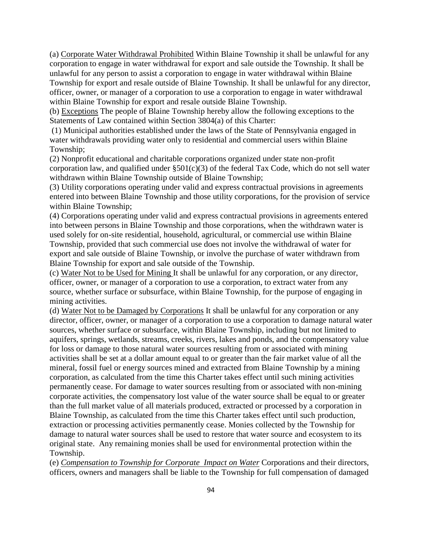(a) Corporate Water Withdrawal Prohibited Within Blaine Township it shall be unlawful for any corporation to engage in water withdrawal for export and sale outside the Township. It shall be unlawful for any person to assist a corporation to engage in water withdrawal within Blaine Township for export and resale outside of Blaine Township. It shall be unlawful for any director, officer, owner, or manager of a corporation to use a corporation to engage in water withdrawal within Blaine Township for export and resale outside Blaine Township.

(b) Exceptions The people of Blaine Township hereby allow the following exceptions to the Statements of Law contained within Section 3804(a) of this Charter:

(1) Municipal authorities established under the laws of the State of Pennsylvania engaged in water withdrawals providing water only to residential and commercial users within Blaine Township;

(2) Nonprofit educational and charitable corporations organized under state non-profit corporation law, and qualified under  $\S501(c)(3)$  of the federal Tax Code, which do not sell water withdrawn within Blaine Township outside of Blaine Township;

(3) Utility corporations operating under valid and express contractual provisions in agreements entered into between Blaine Township and those utility corporations, for the provision of service within Blaine Township;

(4) Corporations operating under valid and express contractual provisions in agreements entered into between persons in Blaine Township and those corporations, when the withdrawn water is used solely for on-site residential, household, agricultural, or commercial use within Blaine Township, provided that such commercial use does not involve the withdrawal of water for export and sale outside of Blaine Township, or involve the purchase of water withdrawn from Blaine Township for export and sale outside of the Township.

(c) Water Not to be Used for Mining It shall be unlawful for any corporation, or any director, officer, owner, or manager of a corporation to use a corporation, to extract water from any source, whether surface or subsurface, within Blaine Township, for the purpose of engaging in mining activities.

(d) Water Not to be Damaged by Corporations It shall be unlawful for any corporation or any director, officer, owner, or manager of a corporation to use a corporation to damage natural water sources, whether surface or subsurface, within Blaine Township, including but not limited to aquifers, springs, wetlands, streams, creeks, rivers, lakes and ponds, and the compensatory value for loss or damage to those natural water sources resulting from or associated with mining activities shall be set at a dollar amount equal to or greater than the fair market value of all the mineral, fossil fuel or energy sources mined and extracted from Blaine Township by a mining corporation, as calculated from the time this Charter takes effect until such mining activities permanently cease. For damage to water sources resulting from or associated with non-mining corporate activities, the compensatory lost value of the water source shall be equal to or greater than the full market value of all materials produced, extracted or processed by a corporation in Blaine Township, as calculated from the time this Charter takes effect until such production, extraction or processing activities permanently cease. Monies collected by the Township for damage to natural water sources shall be used to restore that water source and ecosystem to its original state. Any remaining monies shall be used for environmental protection within the Township.

(e) *Compensation to Township for Corporate Impact on Water* Corporations and their directors, officers, owners and managers shall be liable to the Township for full compensation of damaged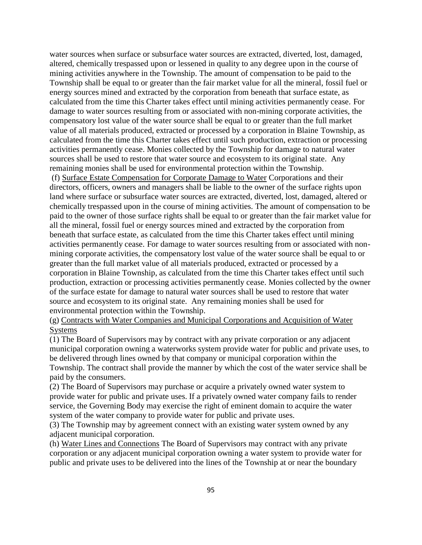water sources when surface or subsurface water sources are extracted, diverted, lost, damaged, altered, chemically trespassed upon or lessened in quality to any degree upon in the course of mining activities anywhere in the Township. The amount of compensation to be paid to the Township shall be equal to or greater than the fair market value for all the mineral, fossil fuel or energy sources mined and extracted by the corporation from beneath that surface estate, as calculated from the time this Charter takes effect until mining activities permanently cease. For damage to water sources resulting from or associated with non-mining corporate activities, the compensatory lost value of the water source shall be equal to or greater than the full market value of all materials produced, extracted or processed by a corporation in Blaine Township, as calculated from the time this Charter takes effect until such production, extraction or processing activities permanently cease. Monies collected by the Township for damage to natural water sources shall be used to restore that water source and ecosystem to its original state. Any remaining monies shall be used for environmental protection within the Township.

(f) Surface Estate Compensation for Corporate Damage to Water Corporations and their directors, officers, owners and managers shall be liable to the owner of the surface rights upon land where surface or subsurface water sources are extracted, diverted, lost, damaged, altered or chemically trespassed upon in the course of mining activities. The amount of compensation to be paid to the owner of those surface rights shall be equal to or greater than the fair market value for all the mineral, fossil fuel or energy sources mined and extracted by the corporation from beneath that surface estate, as calculated from the time this Charter takes effect until mining activities permanently cease. For damage to water sources resulting from or associated with nonmining corporate activities, the compensatory lost value of the water source shall be equal to or greater than the full market value of all materials produced, extracted or processed by a corporation in Blaine Township, as calculated from the time this Charter takes effect until such production, extraction or processing activities permanently cease. Monies collected by the owner of the surface estate for damage to natural water sources shall be used to restore that water source and ecosystem to its original state. Any remaining monies shall be used for environmental protection within the Township.

(g) Contracts with Water Companies and Municipal Corporations and Acquisition of Water Systems

(1) The Board of Supervisors may by contract with any private corporation or any adjacent municipal corporation owning a waterworks system provide water for public and private uses, to be delivered through lines owned by that company or municipal corporation within the Township. The contract shall provide the manner by which the cost of the water service shall be paid by the consumers.

(2) The Board of Supervisors may purchase or acquire a privately owned water system to provide water for public and private uses. If a privately owned water company fails to render service, the Governing Body may exercise the right of eminent domain to acquire the water system of the water company to provide water for public and private uses.

(3) The Township may by agreement connect with an existing water system owned by any adjacent municipal corporation.

(h) Water Lines and Connections The Board of Supervisors may contract with any private corporation or any adjacent municipal corporation owning a water system to provide water for public and private uses to be delivered into the lines of the Township at or near the boundary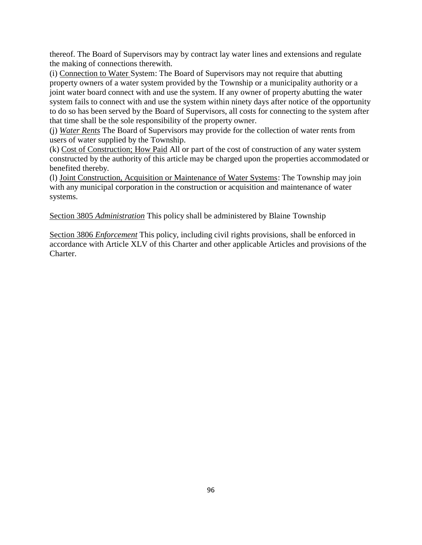thereof. The Board of Supervisors may by contract lay water lines and extensions and regulate the making of connections therewith.

(i) Connection to Water System: The Board of Supervisors may not require that abutting property owners of a water system provided by the Township or a municipality authority or a joint water board connect with and use the system. If any owner of property abutting the water system fails to connect with and use the system within ninety days after notice of the opportunity to do so has been served by the Board of Supervisors, all costs for connecting to the system after that time shall be the sole responsibility of the property owner.

(j) *Water Rents* The Board of Supervisors may provide for the collection of water rents from users of water supplied by the Township.

(k) Cost of Construction; How Paid All or part of the cost of construction of any water system constructed by the authority of this article may be charged upon the properties accommodated or benefited thereby.

(l) Joint Construction, Acquisition or Maintenance of Water Systems: The Township may join with any municipal corporation in the construction or acquisition and maintenance of water systems.

Section 3805 *Administration* This policy shall be administered by Blaine Township

Section 3806 *Enforcement* This policy, including civil rights provisions, shall be enforced in accordance with Article XLV of this Charter and other applicable Articles and provisions of the Charter.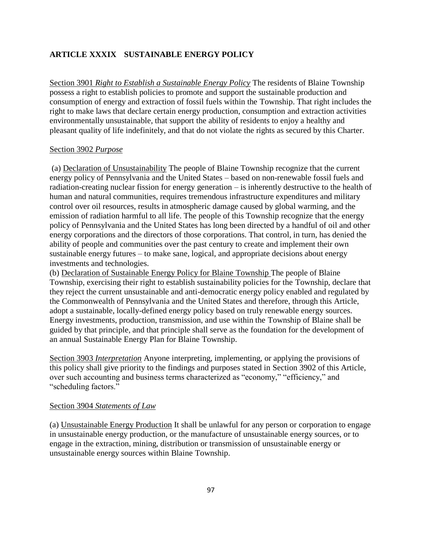## **ARTICLE XXXIX SUSTAINABLE ENERGY POLICY**

Section 3901 *Right to Establish a Sustainable Energy Policy* The residents of Blaine Township possess a right to establish policies to promote and support the sustainable production and consumption of energy and extraction of fossil fuels within the Township. That right includes the right to make laws that declare certain energy production, consumption and extraction activities environmentally unsustainable, that support the ability of residents to enjoy a healthy and pleasant quality of life indefinitely, and that do not violate the rights as secured by this Charter.

#### Section 3902 *Purpose*

(a) Declaration of Unsustainability The people of Blaine Township recognize that the current energy policy of Pennsylvania and the United States – based on non-renewable fossil fuels and radiation-creating nuclear fission for energy generation – is inherently destructive to the health of human and natural communities, requires tremendous infrastructure expenditures and military control over oil resources, results in atmospheric damage caused by global warming, and the emission of radiation harmful to all life. The people of this Township recognize that the energy policy of Pennsylvania and the United States has long been directed by a handful of oil and other energy corporations and the directors of those corporations. That control, in turn, has denied the ability of people and communities over the past century to create and implement their own sustainable energy futures – to make sane, logical, and appropriate decisions about energy investments and technologies.

(b) Declaration of Sustainable Energy Policy for Blaine Township The people of Blaine Township, exercising their right to establish sustainability policies for the Township, declare that they reject the current unsustainable and anti-democratic energy policy enabled and regulated by the Commonwealth of Pennsylvania and the United States and therefore, through this Article, adopt a sustainable, locally-defined energy policy based on truly renewable energy sources. Energy investments, production, transmission, and use within the Township of Blaine shall be guided by that principle, and that principle shall serve as the foundation for the development of an annual Sustainable Energy Plan for Blaine Township.

Section 3903 *Interpretation* Anyone interpreting, implementing, or applying the provisions of this policy shall give priority to the findings and purposes stated in Section 3902 of this Article, over such accounting and business terms characterized as "economy," "efficiency," and "scheduling factors."

#### Section 3904 *Statements of Law*

(a) Unsustainable Energy Production It shall be unlawful for any person or corporation to engage in unsustainable energy production, or the manufacture of unsustainable energy sources, or to engage in the extraction, mining, distribution or transmission of unsustainable energy or unsustainable energy sources within Blaine Township.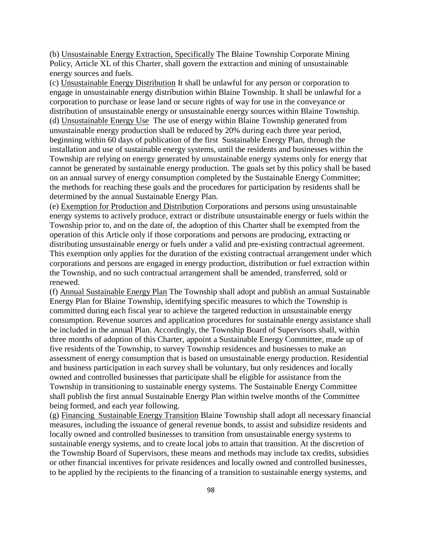(b) Unsustainable Energy Extraction, Specifically The Blaine Township Corporate Mining Policy, Article XL of this Charter, shall govern the extraction and mining of unsustainable energy sources and fuels.

(c) Unsustainable Energy Distribution It shall be unlawful for any person or corporation to engage in unsustainable energy distribution within Blaine Township. It shall be unlawful for a corporation to purchase or lease land or secure rights of way for use in the conveyance or distribution of unsustainable energy or unsustainable energy sources within Blaine Township. (d) Unsustainable Energy Use The use of energy within Blaine Township generated from unsustainable energy production shall be reduced by 20% during each three year period, beginning within 60 days of publication of the first Sustainable Energy Plan, through the installation and use of sustainable energy systems, until the residents and businesses within the Township are relying on energy generated by unsustainable energy systems only for energy that cannot be generated by sustainable energy production. The goals set by this policy shall be based on an annual survey of energy consumption completed by the Sustainable Energy Committee; the methods for reaching these goals and the procedures for participation by residents shall be determined by the annual Sustainable Energy Plan.

(e) Exemption for Production and Distribution Corporations and persons using unsustainable energy systems to actively produce, extract or distribute unsustainable energy or fuels within the Township prior to, and on the date of, the adoption of this Charter shall be exempted from the operation of this Article only if those corporations and persons are producing, extracting or distributing unsustainable energy or fuels under a valid and pre-existing contractual agreement. This exemption only applies for the duration of the existing contractual arrangement under which corporations and persons are engaged in energy production, distribution or fuel extraction within the Township, and no such contractual arrangement shall be amended, transferred, sold or renewed.

(f) Annual Sustainable Energy Plan The Township shall adopt and publish an annual Sustainable Energy Plan for Blaine Township, identifying specific measures to which the Township is committed during each fiscal year to achieve the targeted reduction in unsustainable energy consumption. Revenue sources and application procedures for sustainable energy assistance shall be included in the annual Plan. Accordingly, the Township Board of Supervisors shall, within three months of adoption of this Charter, appoint a Sustainable Energy Committee, made up of five residents of the Township, to survey Township residences and businesses to make an assessment of energy consumption that is based on unsustainable energy production. Residential and business participation in each survey shall be voluntary, but only residences and locally owned and controlled businesses that participate shall be eligible for assistance from the Township in transitioning to sustainable energy systems. The Sustainable Energy Committee shall publish the first annual Sustainable Energy Plan within twelve months of the Committee being formed, and each year following.

(g) Financing Sustainable Energy Transition Blaine Township shall adopt all necessary financial measures, including the issuance of general revenue bonds, to assist and subsidize residents and locally owned and controlled businesses to transition from unsustainable energy systems to sustainable energy systems, and to create local jobs to attain that transition. At the discretion of the Township Board of Supervisors, these means and methods may include tax credits, subsidies or other financial incentives for private residences and locally owned and controlled businesses, to be applied by the recipients to the financing of a transition to sustainable energy systems, and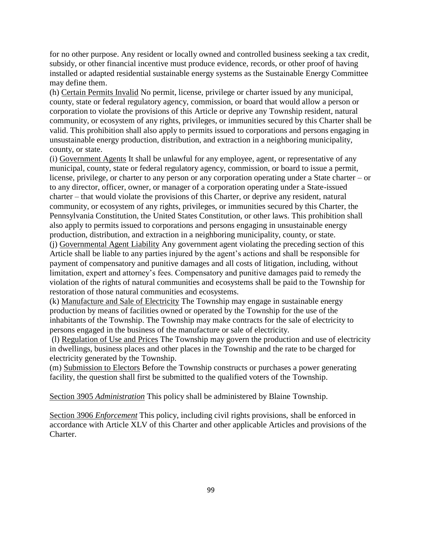for no other purpose. Any resident or locally owned and controlled business seeking a tax credit, subsidy, or other financial incentive must produce evidence, records, or other proof of having installed or adapted residential sustainable energy systems as the Sustainable Energy Committee may define them.

(h) Certain Permits Invalid No permit, license, privilege or charter issued by any municipal, county, state or federal regulatory agency, commission, or board that would allow a person or corporation to violate the provisions of this Article or deprive any Township resident, natural community, or ecosystem of any rights, privileges, or immunities secured by this Charter shall be valid. This prohibition shall also apply to permits issued to corporations and persons engaging in unsustainable energy production, distribution, and extraction in a neighboring municipality, county, or state.

(i) Government Agents It shall be unlawful for any employee, agent, or representative of any municipal, county, state or federal regulatory agency, commission, or board to issue a permit, license, privilege, or charter to any person or any corporation operating under a State charter – or to any director, officer, owner, or manager of a corporation operating under a State-issued charter – that would violate the provisions of this Charter, or deprive any resident, natural community, or ecosystem of any rights, privileges, or immunities secured by this Charter, the Pennsylvania Constitution, the United States Constitution, or other laws. This prohibition shall also apply to permits issued to corporations and persons engaging in unsustainable energy production, distribution, and extraction in a neighboring municipality, county, or state.

(j) Governmental Agent Liability Any government agent violating the preceding section of this Article shall be liable to any parties injured by the agent's actions and shall be responsible for payment of compensatory and punitive damages and all costs of litigation, including, without limitation, expert and attorney's fees. Compensatory and punitive damages paid to remedy the violation of the rights of natural communities and ecosystems shall be paid to the Township for restoration of those natural communities and ecosystems.

(k) Manufacture and Sale of Electricity The Township may engage in sustainable energy production by means of facilities owned or operated by the Township for the use of the inhabitants of the Township. The Township may make contracts for the sale of electricity to persons engaged in the business of the manufacture or sale of electricity.

(l) Regulation of Use and Prices The Township may govern the production and use of electricity in dwellings, business places and other places in the Township and the rate to be charged for electricity generated by the Township.

(m) Submission to Electors Before the Township constructs or purchases a power generating facility, the question shall first be submitted to the qualified voters of the Township.

Section 3905 *Administration* This policy shall be administered by Blaine Township.

Section 3906 *Enforcement* This policy, including civil rights provisions, shall be enforced in accordance with Article XLV of this Charter and other applicable Articles and provisions of the Charter.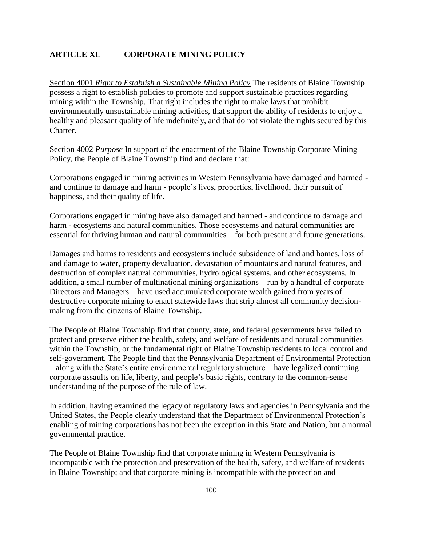## **ARTICLE XL CORPORATE MINING POLICY**

Section 4001 *Right to Establish a Sustainable Mining Policy* The residents of Blaine Township possess a right to establish policies to promote and support sustainable practices regarding mining within the Township. That right includes the right to make laws that prohibit environmentally unsustainable mining activities, that support the ability of residents to enjoy a healthy and pleasant quality of life indefinitely, and that do not violate the rights secured by this Charter.

Section 4002 *Purpose* In support of the enactment of the Blaine Township Corporate Mining Policy, the People of Blaine Township find and declare that:

Corporations engaged in mining activities in Western Pennsylvania have damaged and harmed and continue to damage and harm - people's lives, properties, livelihood, their pursuit of happiness, and their quality of life.

Corporations engaged in mining have also damaged and harmed - and continue to damage and harm - ecosystems and natural communities. Those ecosystems and natural communities are essential for thriving human and natural communities – for both present and future generations.

Damages and harms to residents and ecosystems include subsidence of land and homes, loss of and damage to water, property devaluation, devastation of mountains and natural features, and destruction of complex natural communities, hydrological systems, and other ecosystems. In addition, a small number of multinational mining organizations – run by a handful of corporate Directors and Managers – have used accumulated corporate wealth gained from years of destructive corporate mining to enact statewide laws that strip almost all community decisionmaking from the citizens of Blaine Township.

The People of Blaine Township find that county, state, and federal governments have failed to protect and preserve either the health, safety, and welfare of residents and natural communities within the Township, or the fundamental right of Blaine Township residents to local control and self-government. The People find that the Pennsylvania Department of Environmental Protection – along with the State's entire environmental regulatory structure – have legalized continuing corporate assaults on life, liberty, and people's basic rights, contrary to the common-sense understanding of the purpose of the rule of law.

In addition, having examined the legacy of regulatory laws and agencies in Pennsylvania and the United States, the People clearly understand that the Department of Environmental Protection's enabling of mining corporations has not been the exception in this State and Nation, but a normal governmental practice.

The People of Blaine Township find that corporate mining in Western Pennsylvania is incompatible with the protection and preservation of the health, safety, and welfare of residents in Blaine Township; and that corporate mining is incompatible with the protection and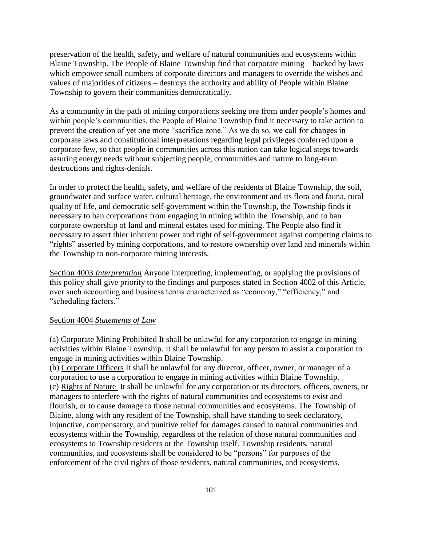preservation of the health, safety, and welfare of natural communities and ecosystems within Blaine Township. The People of Blaine Township find that corporate mining – backed by laws which empower small numbers of corporate directors and managers to override the wishes and values of majorities of citizens – destroys the authority and ability of People within Blaine Township to govern their communities democratically.

As a community in the path of mining corporations seeking ore from under people's homes and within people's communities, the People of Blaine Township find it necessary to take action to prevent the creation of yet one more "sacrifice zone." As we do so, we call for changes in corporate laws and constitutional interpretations regarding legal privileges conferred upon a corporate few, so that people in communities across this nation can take logical steps towards assuring energy needs without subjecting people, communities and nature to long-term destructions and rights-denials.

In order to protect the health, safety, and welfare of the residents of Blaine Township, the soil, groundwater and surface water, cultural heritage, the environment and its flora and fauna, rural quality of life, and democratic self-government within the Township, the Township finds it necessary to ban corporations from engaging in mining within the Township, and to ban corporate ownership of land and mineral estates used for mining. The People also find it necessary to assert thier inherent power and right of self-government against competing claims to "rights" asserted by mining corporations, and to restore ownership over land and minerals within the Township to non-corporate mining interests.

Section 4003 *Interpretation* Anyone interpreting, implementing, or applying the provisions of this policy shall give priority to the findings and purposes stated in Section 4002 of this Article, over such accounting and business terms characterized as "economy," "efficiency," and "scheduling factors."

#### Section 4004 *Statements of Law*

(a) Corporate Mining Prohibited It shall be unlawful for any corporation to engage in mining activities within Blaine Township. It shall be unlawful for any person to assist a corporation to engage in mining activities within Blaine Township.

(b) Corporate Officers It shall be unlawful for any director, officer, owner, or manager of a corporation to use a corporation to engage in mining activities within Blaine Township. (c) Rights of Nature It shall be unlawful for any corporation or its directors, officers, owners, or managers to interfere with the rights of natural communities and ecosystems to exist and flourish, or to cause damage to those natural communities and ecosystems. The Township of Blaine, along with any resident of the Township, shall have standing to seek declaratory, injunctive, compensatory, and punitive relief for damages caused to natural communities and ecosystems within the Township, regardless of the relation of those natural communities and ecosystems to Township residents or the Township itself. Township residents, natural communities, and ecosystems shall be considered to be "persons" for purposes of the enforcement of the civil rights of those residents, natural communities, and ecosystems.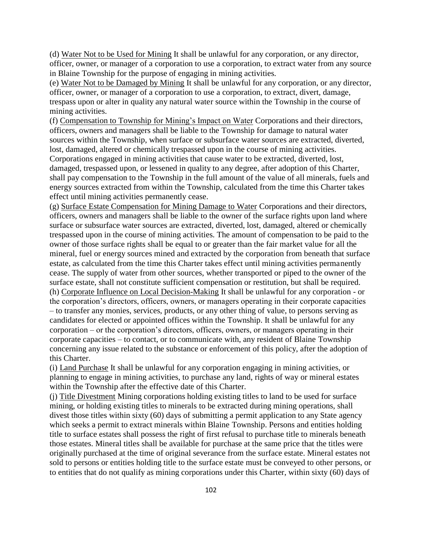(d) Water Not to be Used for Mining It shall be unlawful for any corporation, or any director, officer, owner, or manager of a corporation to use a corporation, to extract water from any source in Blaine Township for the purpose of engaging in mining activities.

(e) Water Not to be Damaged by Mining It shall be unlawful for any corporation, or any director, officer, owner, or manager of a corporation to use a corporation, to extract, divert, damage, trespass upon or alter in quality any natural water source within the Township in the course of mining activities.

(f) Compensation to Township for Mining's Impact on Water Corporations and their directors, officers, owners and managers shall be liable to the Township for damage to natural water sources within the Township, when surface or subsurface water sources are extracted, diverted, lost, damaged, altered or chemically trespassed upon in the course of mining activities. Corporations engaged in mining activities that cause water to be extracted, diverted, lost, damaged, trespassed upon, or lessened in quality to any degree, after adoption of this Charter, shall pay compensation to the Township in the full amount of the value of all minerals, fuels and energy sources extracted from within the Township, calculated from the time this Charter takes effect until mining activities permanently cease.

(g) Surface Estate Compensation for Mining Damage to Water Corporations and their directors, officers, owners and managers shall be liable to the owner of the surface rights upon land where surface or subsurface water sources are extracted, diverted, lost, damaged, altered or chemically trespassed upon in the course of mining activities. The amount of compensation to be paid to the owner of those surface rights shall be equal to or greater than the fair market value for all the mineral, fuel or energy sources mined and extracted by the corporation from beneath that surface estate, as calculated from the time this Charter takes effect until mining activities permanently cease. The supply of water from other sources, whether transported or piped to the owner of the surface estate, shall not constitute sufficient compensation or restitution, but shall be required. (h) Corporate Influence on Local Decision-Making It shall be unlawful for any corporation - or the corporation's directors, officers, owners, or managers operating in their corporate capacities – to transfer any monies, services, products, or any other thing of value, to persons serving as candidates for elected or appointed offices within the Township. It shall be unlawful for any corporation – or the corporation's directors, officers, owners, or managers operating in their corporate capacities – to contact, or to communicate with, any resident of Blaine Township concerning any issue related to the substance or enforcement of this policy, after the adoption of this Charter.

(i) Land Purchase It shall be unlawful for any corporation engaging in mining activities, or planning to engage in mining activities, to purchase any land, rights of way or mineral estates within the Township after the effective date of this Charter.

(j) Title Divestment Mining corporations holding existing titles to land to be used for surface mining, or holding existing titles to minerals to be extracted during mining operations, shall divest those titles within sixty (60) days of submitting a permit application to any State agency which seeks a permit to extract minerals within Blaine Township. Persons and entities holding title to surface estates shall possess the right of first refusal to purchase title to minerals beneath those estates. Mineral titles shall be available for purchase at the same price that the titles were originally purchased at the time of original severance from the surface estate. Mineral estates not sold to persons or entities holding title to the surface estate must be conveyed to other persons, or to entities that do not qualify as mining corporations under this Charter, within sixty (60) days of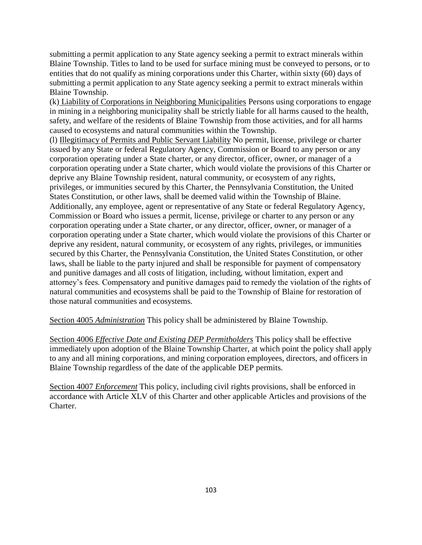submitting a permit application to any State agency seeking a permit to extract minerals within Blaine Township. Titles to land to be used for surface mining must be conveyed to persons, or to entities that do not qualify as mining corporations under this Charter, within sixty (60) days of submitting a permit application to any State agency seeking a permit to extract minerals within Blaine Township.

(k) Liability of Corporations in Neighboring Municipalities Persons using corporations to engage in mining in a neighboring municipality shall be strictly liable for all harms caused to the health, safety, and welfare of the residents of Blaine Township from those activities, and for all harms caused to ecosystems and natural communities within the Township.

(l) Illegitimacy of Permits and Public Servant Liability No permit, license, privilege or charter issued by any State or federal Regulatory Agency, Commission or Board to any person or any corporation operating under a State charter, or any director, officer, owner, or manager of a corporation operating under a State charter, which would violate the provisions of this Charter or deprive any Blaine Township resident, natural community, or ecosystem of any rights, privileges, or immunities secured by this Charter, the Pennsylvania Constitution, the United States Constitution, or other laws, shall be deemed valid within the Township of Blaine. Additionally, any employee, agent or representative of any State or federal Regulatory Agency, Commission or Board who issues a permit, license, privilege or charter to any person or any corporation operating under a State charter, or any director, officer, owner, or manager of a corporation operating under a State charter, which would violate the provisions of this Charter or deprive any resident, natural community, or ecosystem of any rights, privileges, or immunities secured by this Charter, the Pennsylvania Constitution, the United States Constitution, or other laws, shall be liable to the party injured and shall be responsible for payment of compensatory and punitive damages and all costs of litigation, including, without limitation, expert and attorney's fees. Compensatory and punitive damages paid to remedy the violation of the rights of natural communities and ecosystems shall be paid to the Township of Blaine for restoration of those natural communities and ecosystems.

Section 4005 *Administration* This policy shall be administered by Blaine Township.

Section 4006 *Effective Date and Existing DEP Permitholders* This policy shall be effective immediately upon adoption of the Blaine Township Charter, at which point the policy shall apply to any and all mining corporations, and mining corporation employees, directors, and officers in Blaine Township regardless of the date of the applicable DEP permits.

Section 4007 *Enforcement* This policy, including civil rights provisions, shall be enforced in accordance with Article XLV of this Charter and other applicable Articles and provisions of the Charter.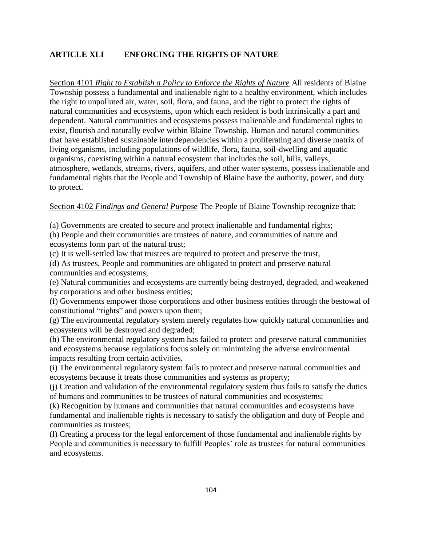# **ARTICLE XLI ENFORCING THE RIGHTS OF NATURE**

Section 4101 *Right to Establish a Policy to Enforce the Rights of Nature* All residents of Blaine Township possess a fundamental and inalienable right to a healthy environment, which includes the right to unpolluted air, water, soil, flora, and fauna, and the right to protect the rights of natural communities and ecosystems, upon which each resident is both intrinsically a part and dependent. Natural communities and ecosystems possess inalienable and fundamental rights to exist, flourish and naturally evolve within Blaine Township. Human and natural communities that have established sustainable interdependencies within a proliferating and diverse matrix of living organisms, including populations of wildlife, flora, fauna, soil-dwelling and aquatic organisms, coexisting within a natural ecosystem that includes the soil, hills, valleys, atmosphere, wetlands, streams, rivers, aquifers, and other water systems, possess inalienable and fundamental rights that the People and Township of Blaine have the authority, power, and duty to protect.

Section 4102 *Findings and General Purpose* The People of Blaine Township recognize that:

(a) Governments are created to secure and protect inalienable and fundamental rights;

(b) People and their communities are trustees of nature, and communities of nature and ecosystems form part of the natural trust;

(c) It is well-settled law that trustees are required to protect and preserve the trust,

(d) As trustees, People and communities are obligated to protect and preserve natural communities and ecosystems;

(e) Natural communities and ecosystems are currently being destroyed, degraded, and weakened by corporations and other business entities;

(f) Governments empower those corporations and other business entities through the bestowal of constitutional "rights" and powers upon them;

(g) The environmental regulatory system merely regulates how quickly natural communities and ecosystems will be destroyed and degraded;

(h) The environmental regulatory system has failed to protect and preserve natural communities and ecosystems because regulations focus solely on minimizing the adverse environmental impacts resulting from certain activities,

(i) The environmental regulatory system fails to protect and preserve natural communities and ecosystems because it treats those communities and systems as property;

(j) Creation and validation of the environmental regulatory system thus fails to satisfy the duties of humans and communities to be trustees of natural communities and ecosystems;

(k) Recognition by humans and communities that natural communities and ecosystems have fundamental and inalienable rights is necessary to satisfy the obligation and duty of People and communities as trustees;

(l) Creating a process for the legal enforcement of those fundamental and inalienable rights by People and communities is necessary to fulfill Peoples' role as trustees for natural communities and ecosystems.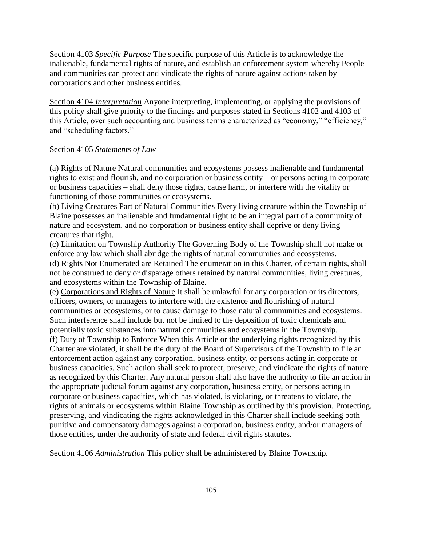Section 4103 *Specific Purpose* The specific purpose of this Article is to acknowledge the inalienable, fundamental rights of nature, and establish an enforcement system whereby People and communities can protect and vindicate the rights of nature against actions taken by corporations and other business entities.

Section 4104 *Interpretation* Anyone interpreting, implementing, or applying the provisions of this policy shall give priority to the findings and purposes stated in Sections 4102 and 4103 of this Article, over such accounting and business terms characterized as "economy," "efficiency," and "scheduling factors."

## Section 4105 *Statements of Law*

(a) Rights of Nature Natural communities and ecosystems possess inalienable and fundamental rights to exist and flourish, and no corporation or business entity – or persons acting in corporate or business capacities – shall deny those rights, cause harm, or interfere with the vitality or functioning of those communities or ecosystems.

(b) Living Creatures Part of Natural Communities Every living creature within the Township of Blaine possesses an inalienable and fundamental right to be an integral part of a community of nature and ecosystem, and no corporation or business entity shall deprive or deny living creatures that right.

(c) Limitation on Township Authority The Governing Body of the Township shall not make or enforce any law which shall abridge the rights of natural communities and ecosystems.

(d) Rights Not Enumerated are Retained The enumeration in this Charter, of certain rights, shall not be construed to deny or disparage others retained by natural communities, living creatures, and ecosystems within the Township of Blaine.

(e) Corporations and Rights of Nature It shall be unlawful for any corporation or its directors, officers, owners, or managers to interfere with the existence and flourishing of natural communities or ecosystems, or to cause damage to those natural communities and ecosystems. Such interference shall include but not be limited to the deposition of toxic chemicals and potentially toxic substances into natural communities and ecosystems in the Township.

(f) Duty of Township to Enforce When this Article or the underlying rights recognized by this Charter are violated, it shall be the duty of the Board of Supervisors of the Township to file an enforcement action against any corporation, business entity, or persons acting in corporate or business capacities. Such action shall seek to protect, preserve, and vindicate the rights of nature as recognized by this Charter. Any natural person shall also have the authority to file an action in the appropriate judicial forum against any corporation, business entity, or persons acting in corporate or business capacities, which has violated, is violating, or threatens to violate, the rights of animals or ecosystems within Blaine Township as outlined by this provision. Protecting, preserving, and vindicating the rights acknowledged in this Charter shall include seeking both punitive and compensatory damages against a corporation, business entity, and/or managers of those entities, under the authority of state and federal civil rights statutes.

Section 4106 *Administration* This policy shall be administered by Blaine Township.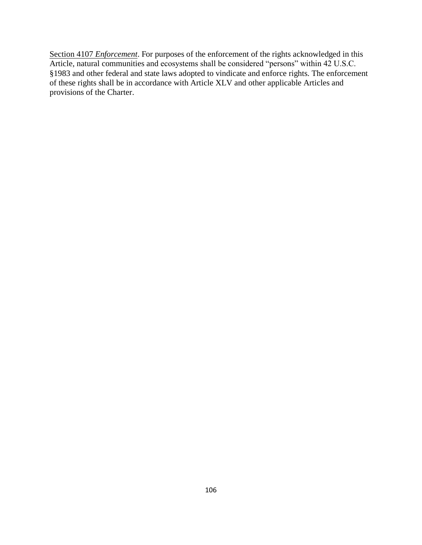Section 4107 *Enforcement*. For purposes of the enforcement of the rights acknowledged in this Article, natural communities and ecosystems shall be considered "persons" within 42 U.S.C. §1983 and other federal and state laws adopted to vindicate and enforce rights. The enforcement of these rights shall be in accordance with Article XLV and other applicable Articles and provisions of the Charter.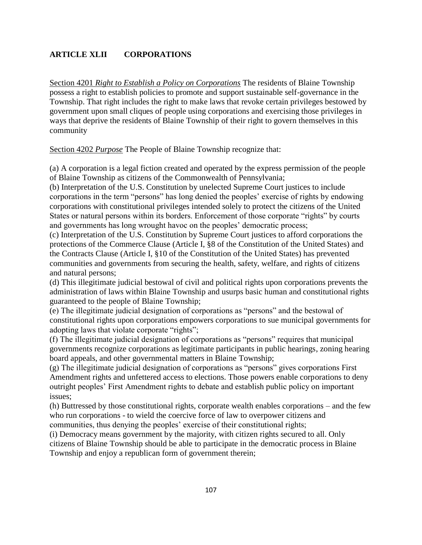# **ARTICLE XLII CORPORATIONS**

Section 4201 *Right to Establish a Policy on Corporations* The residents of Blaine Township possess a right to establish policies to promote and support sustainable self-governance in the Township. That right includes the right to make laws that revoke certain privileges bestowed by government upon small cliques of people using corporations and exercising those privileges in ways that deprive the residents of Blaine Township of their right to govern themselves in this community

Section 4202 *Purpose* The People of Blaine Township recognize that:

(a) A corporation is a legal fiction created and operated by the express permission of the people of Blaine Township as citizens of the Commonwealth of Pennsylvania;

(b) Interpretation of the U.S. Constitution by unelected Supreme Court justices to include corporations in the term "persons" has long denied the peoples' exercise of rights by endowing corporations with constitutional privileges intended solely to protect the citizens of the United States or natural persons within its borders. Enforcement of those corporate "rights" by courts and governments has long wrought havoc on the peoples' democratic process;

(c) Interpretation of the U.S. Constitution by Supreme Court justices to afford corporations the protections of the Commerce Clause (Article I, §8 of the Constitution of the United States) and the Contracts Clause (Article I, §10 of the Constitution of the United States) has prevented communities and governments from securing the health, safety, welfare, and rights of citizens and natural persons;

(d) This illegitimate judicial bestowal of civil and political rights upon corporations prevents the administration of laws within Blaine Township and usurps basic human and constitutional rights guaranteed to the people of Blaine Township;

(e) The illegitimate judicial designation of corporations as "persons" and the bestowal of constitutional rights upon corporations empowers corporations to sue municipal governments for adopting laws that violate corporate "rights";

(f) The illegitimate judicial designation of corporations as "persons" requires that municipal governments recognize corporations as legitimate participants in public hearings, zoning hearing board appeals, and other governmental matters in Blaine Township;

(g) The illegitimate judicial designation of corporations as "persons" gives corporations First Amendment rights and unfettered access to elections. Those powers enable corporations to deny outright peoples' First Amendment rights to debate and establish public policy on important issues;

(h) Buttressed by those constitutional rights, corporate wealth enables corporations – and the few who run corporations - to wield the coercive force of law to overpower citizens and communities, thus denying the peoples' exercise of their constitutional rights;

(i) Democracy means government by the majority, with citizen rights secured to all. Only citizens of Blaine Township should be able to participate in the democratic process in Blaine Township and enjoy a republican form of government therein;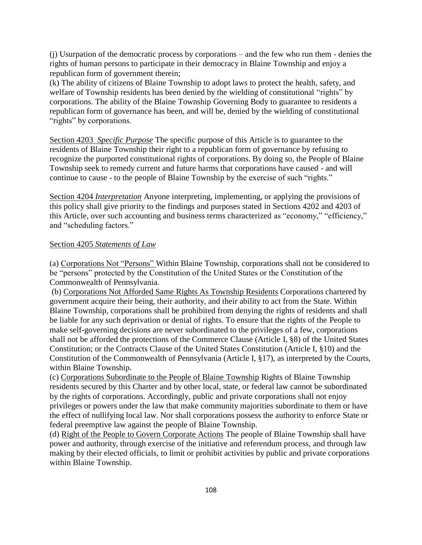(j) Usurpation of the democratic process by corporations – and the few who run them - denies the rights of human persons to participate in their democracy in Blaine Township and enjoy a republican form of government therein;

(k) The ability of citizens of Blaine Township to adopt laws to protect the health, safety, and welfare of Township residents has been denied by the wielding of constitutional "rights" by corporations. The ability of the Blaine Township Governing Body to guarantee to residents a republican form of governance has been, and will be, denied by the wielding of constitutional "rights" by corporations.

Section 4203 *Specific Purpose* The specific purpose of this Article is to guarantee to the residents of Blaine Township their right to a republican form of governance by refusing to recognize the purported constitutional rights of corporations. By doing so, the People of Blaine Township seek to remedy current and future harms that corporations have caused - and will continue to cause - to the people of Blaine Township by the exercise of such "rights."

Section 4204 *Interpretation* Anyone interpreting, implementing, or applying the provisions of this policy shall give priority to the findings and purposes stated in Sections 4202 and 4203 of this Article, over such accounting and business terms characterized as "economy," "efficiency," and "scheduling factors."

## Section 4205 *Statements of Law*

(a) Corporations Not "Persons" Within Blaine Township, corporations shall not be considered to be "persons" protected by the Constitution of the United States or the Constitution of the Commonwealth of Pennsylvania.

(b) Corporations Not Afforded Same Rights As Township Residents Corporations chartered by government acquire their being, their authority, and their ability to act from the State. Within Blaine Township, corporations shall be prohibited from denying the rights of residents and shall be liable for any such deprivation or denial of rights. To ensure that the rights of the People to make self-governing decisions are never subordinated to the privileges of a few, corporations shall not be afforded the protections of the Commerce Clause (Article I, §8) of the United States Constitution; or the Contracts Clause of the United States Constitution (Article I, §10) and the Constitution of the Commonwealth of Pennsylvania (Article I, §17), as interpreted by the Courts, within Blaine Township.

(c) Corporations Subordinate to the People of Blaine Township Rights of Blaine Township residents secured by this Charter and by other local, state, or federal law cannot be subordinated by the rights of corporations. Accordingly, public and private corporations shall not enjoy privileges or powers under the law that make community majorities subordinate to them or have the effect of nullifying local law. Nor shall corporations possess the authority to enforce State or federal preemptive law against the people of Blaine Township.

(d) Right of the People to Govern Corporate Actions The people of Blaine Township shall have power and authority, through exercise of the initiative and referendum process, and through law making by their elected officials, to limit or prohibit activities by public and private corporations within Blaine Township.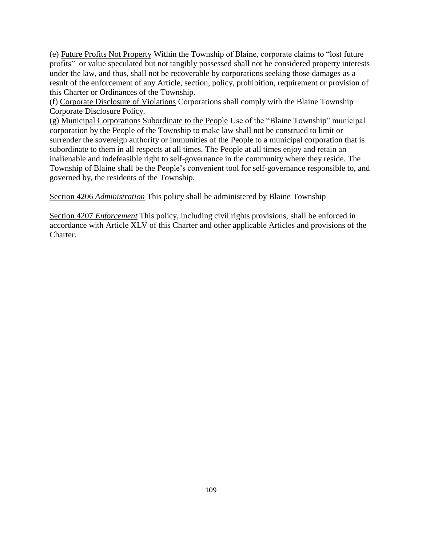(e) Future Profits Not Property Within the Township of Blaine, corporate claims to "lost future profits" or value speculated but not tangibly possessed shall not be considered property interests under the law, and thus, shall not be recoverable by corporations seeking those damages as a result of the enforcement of any Article, section, policy, prohibition, requirement or provision of this Charter or Ordinances of the Township.

(f) Corporate Disclosure of Violations Corporations shall comply with the Blaine Township Corporate Disclosure Policy.

(g) Municipal Corporations Subordinate to the People Use of the "Blaine Township" municipal corporation by the People of the Township to make law shall not be construed to limit or surrender the sovereign authority or immunities of the People to a municipal corporation that is subordinate to them in all respects at all times. The People at all times enjoy and retain an inalienable and indefeasible right to self-governance in the community where they reside. The Township of Blaine shall be the People's convenient tool for self-governance responsible to, and governed by, the residents of the Township.

Section 4206 *Administration* This policy shall be administered by Blaine Township

Section 4207 *Enforcement* This policy, including civil rights provisions, shall be enforced in accordance with Article XLV of this Charter and other applicable Articles and provisions of the Charter.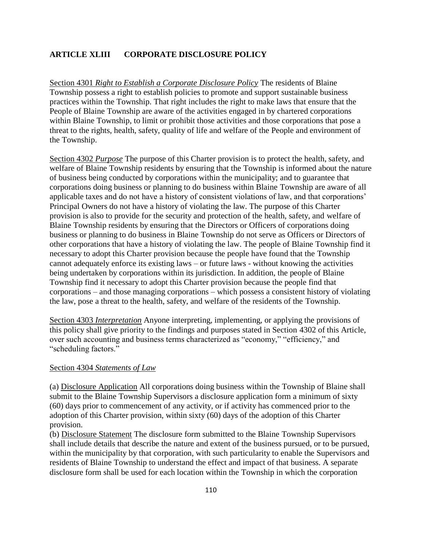### **ARTICLE XLIII CORPORATE DISCLOSURE POLICY**

Section 4301 *Right to Establish a Corporate Disclosure Policy* The residents of Blaine Township possess a right to establish policies to promote and support sustainable business practices within the Township. That right includes the right to make laws that ensure that the People of Blaine Township are aware of the activities engaged in by chartered corporations within Blaine Township, to limit or prohibit those activities and those corporations that pose a threat to the rights, health, safety, quality of life and welfare of the People and environment of the Township.

Section 4302 *Purpose* The purpose of this Charter provision is to protect the health, safety, and welfare of Blaine Township residents by ensuring that the Township is informed about the nature of business being conducted by corporations within the municipality; and to guarantee that corporations doing business or planning to do business within Blaine Township are aware of all applicable taxes and do not have a history of consistent violations of law, and that corporations' Principal Owners do not have a history of violating the law. The purpose of this Charter provision is also to provide for the security and protection of the health, safety, and welfare of Blaine Township residents by ensuring that the Directors or Officers of corporations doing business or planning to do business in Blaine Township do not serve as Officers or Directors of other corporations that have a history of violating the law. The people of Blaine Township find it necessary to adopt this Charter provision because the people have found that the Township cannot adequately enforce its existing laws – or future laws - without knowing the activities being undertaken by corporations within its jurisdiction. In addition, the people of Blaine Township find it necessary to adopt this Charter provision because the people find that corporations – and those managing corporations – which possess a consistent history of violating the law, pose a threat to the health, safety, and welfare of the residents of the Township.

Section 4303 *Interpretation* Anyone interpreting, implementing, or applying the provisions of this policy shall give priority to the findings and purposes stated in Section 4302 of this Article, over such accounting and business terms characterized as "economy," "efficiency," and "scheduling factors."

#### Section 4304 *Statements of Law*

(a) Disclosure Application All corporations doing business within the Township of Blaine shall submit to the Blaine Township Supervisors a disclosure application form a minimum of sixty (60) days prior to commencement of any activity, or if activity has commenced prior to the adoption of this Charter provision, within sixty (60) days of the adoption of this Charter provision.

(b) Disclosure Statement The disclosure form submitted to the Blaine Township Supervisors shall include details that describe the nature and extent of the business pursued, or to be pursued, within the municipality by that corporation, with such particularity to enable the Supervisors and residents of Blaine Township to understand the effect and impact of that business. A separate disclosure form shall be used for each location within the Township in which the corporation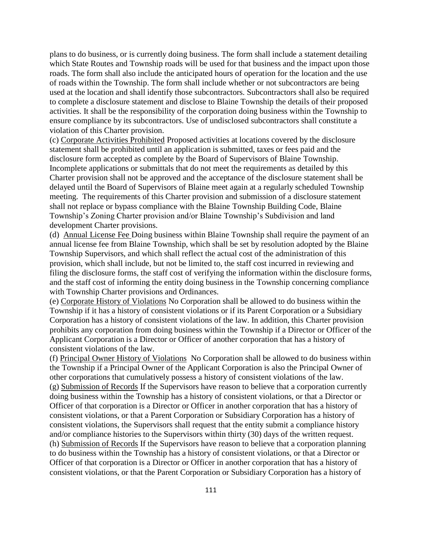plans to do business, or is currently doing business. The form shall include a statement detailing which State Routes and Township roads will be used for that business and the impact upon those roads. The form shall also include the anticipated hours of operation for the location and the use of roads within the Township. The form shall include whether or not subcontractors are being used at the location and shall identify those subcontractors. Subcontractors shall also be required to complete a disclosure statement and disclose to Blaine Township the details of their proposed activities. It shall be the responsibility of the corporation doing business within the Township to ensure compliance by its subcontractors. Use of undisclosed subcontractors shall constitute a violation of this Charter provision.

(c) Corporate Activities Prohibited Proposed activities at locations covered by the disclosure statement shall be prohibited until an application is submitted, taxes or fees paid and the disclosure form accepted as complete by the Board of Supervisors of Blaine Township. Incomplete applications or submittals that do not meet the requirements as detailed by this Charter provision shall not be approved and the acceptance of the disclosure statement shall be delayed until the Board of Supervisors of Blaine meet again at a regularly scheduled Township meeting. The requirements of this Charter provision and submission of a disclosure statement shall not replace or bypass compliance with the Blaine Township Building Code, Blaine Township's Zoning Charter provision and/or Blaine Township's Subdivision and land development Charter provisions.

(d) Annual License Fee Doing business within Blaine Township shall require the payment of an annual license fee from Blaine Township, which shall be set by resolution adopted by the Blaine Township Supervisors, and which shall reflect the actual cost of the administration of this provision, which shall include, but not be limited to, the staff cost incurred in reviewing and filing the disclosure forms, the staff cost of verifying the information within the disclosure forms, and the staff cost of informing the entity doing business in the Township concerning compliance with Township Charter provisions and Ordinances.

(e) Corporate History of Violations No Corporation shall be allowed to do business within the Township if it has a history of consistent violations or if its Parent Corporation or a Subsidiary Corporation has a history of consistent violations of the law. In addition, this Charter provision prohibits any corporation from doing business within the Township if a Director or Officer of the Applicant Corporation is a Director or Officer of another corporation that has a history of consistent violations of the law.

(f) Principal Owner History of Violations No Corporation shall be allowed to do business within the Township if a Principal Owner of the Applicant Corporation is also the Principal Owner of other corporations that cumulatively possess a history of consistent violations of the law. (g) Submission of Records If the Supervisors have reason to believe that a corporation currently doing business within the Township has a history of consistent violations, or that a Director or Officer of that corporation is a Director or Officer in another corporation that has a history of consistent violations, or that a Parent Corporation or Subsidiary Corporation has a history of consistent violations, the Supervisors shall request that the entity submit a compliance history and/or compliance histories to the Supervisors within thirty (30) days of the written request. (h) Submission of Records If the Supervisors have reason to believe that a corporation planning to do business within the Township has a history of consistent violations, or that a Director or Officer of that corporation is a Director or Officer in another corporation that has a history of consistent violations, or that the Parent Corporation or Subsidiary Corporation has a history of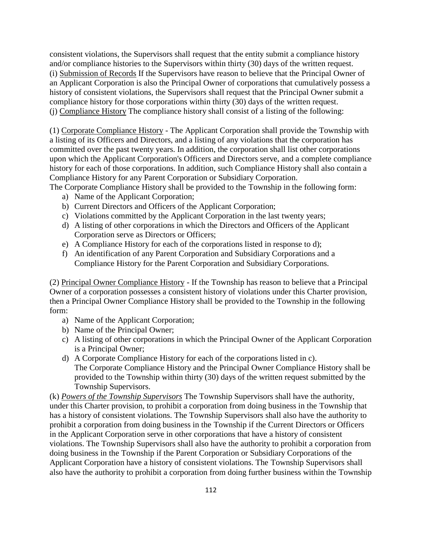consistent violations, the Supervisors shall request that the entity submit a compliance history and/or compliance histories to the Supervisors within thirty (30) days of the written request. (i) Submission of Records If the Supervisors have reason to believe that the Principal Owner of an Applicant Corporation is also the Principal Owner of corporations that cumulatively possess a history of consistent violations, the Supervisors shall request that the Principal Owner submit a compliance history for those corporations within thirty (30) days of the written request. (j) Compliance History The compliance history shall consist of a listing of the following:

(1) Corporate Compliance History - The Applicant Corporation shall provide the Township with a listing of its Officers and Directors, and a listing of any violations that the corporation has committed over the past twenty years. In addition, the corporation shall list other corporations upon which the Applicant Corporation's Officers and Directors serve, and a complete compliance history for each of those corporations. In addition, such Compliance History shall also contain a Compliance History for any Parent Corporation or Subsidiary Corporation.

The Corporate Compliance History shall be provided to the Township in the following form:

- a) Name of the Applicant Corporation;
- b) Current Directors and Officers of the Applicant Corporation;
- c) Violations committed by the Applicant Corporation in the last twenty years;
- d) A listing of other corporations in which the Directors and Officers of the Applicant Corporation serve as Directors or Officers;
- e) A Compliance History for each of the corporations listed in response to d);
- f) An identification of any Parent Corporation and Subsidiary Corporations and a Compliance History for the Parent Corporation and Subsidiary Corporations.

(2) Principal Owner Compliance History - If the Township has reason to believe that a Principal Owner of a corporation possesses a consistent history of violations under this Charter provision, then a Principal Owner Compliance History shall be provided to the Township in the following form:

- a) Name of the Applicant Corporation;
- b) Name of the Principal Owner;
- c) A listing of other corporations in which the Principal Owner of the Applicant Corporation is a Principal Owner;
- d) A Corporate Compliance History for each of the corporations listed in c). The Corporate Compliance History and the Principal Owner Compliance History shall be provided to the Township within thirty (30) days of the written request submitted by the Township Supervisors.

(k) *Powers of the Township Supervisors* The Township Supervisors shall have the authority, under this Charter provision, to prohibit a corporation from doing business in the Township that has a history of consistent violations. The Township Supervisors shall also have the authority to prohibit a corporation from doing business in the Township if the Current Directors or Officers in the Applicant Corporation serve in other corporations that have a history of consistent violations. The Township Supervisors shall also have the authority to prohibit a corporation from doing business in the Township if the Parent Corporation or Subsidiary Corporations of the Applicant Corporation have a history of consistent violations. The Township Supervisors shall also have the authority to prohibit a corporation from doing further business within the Township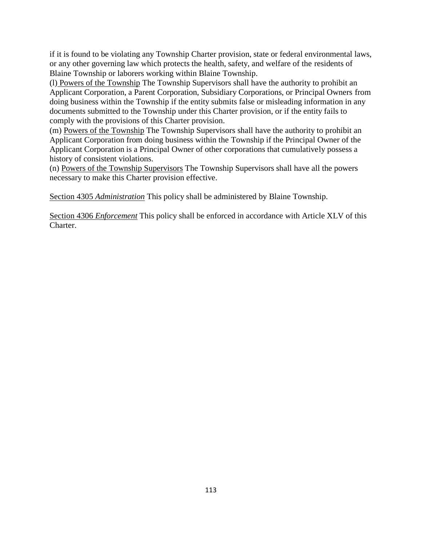if it is found to be violating any Township Charter provision, state or federal environmental laws, or any other governing law which protects the health, safety, and welfare of the residents of Blaine Township or laborers working within Blaine Township.

(l) Powers of the Township The Township Supervisors shall have the authority to prohibit an Applicant Corporation, a Parent Corporation, Subsidiary Corporations, or Principal Owners from doing business within the Township if the entity submits false or misleading information in any documents submitted to the Township under this Charter provision, or if the entity fails to comply with the provisions of this Charter provision.

(m) Powers of the Township The Township Supervisors shall have the authority to prohibit an Applicant Corporation from doing business within the Township if the Principal Owner of the Applicant Corporation is a Principal Owner of other corporations that cumulatively possess a history of consistent violations.

(n) Powers of the Township Supervisors The Township Supervisors shall have all the powers necessary to make this Charter provision effective.

Section 4305 *Administration* This policy shall be administered by Blaine Township.

Section 4306 *Enforcement* This policy shall be enforced in accordance with Article XLV of this Charter.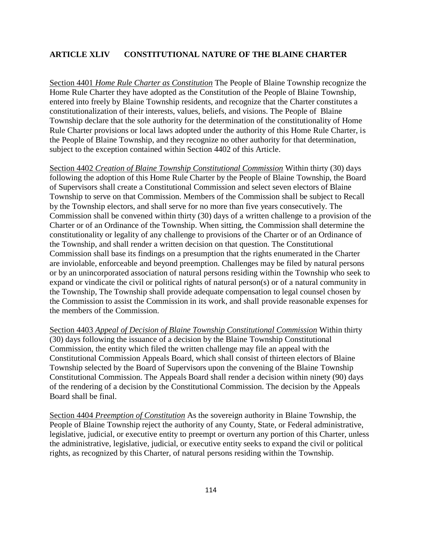### **ARTICLE XLIV CONSTITUTIONAL NATURE OF THE BLAINE CHARTER**

Section 4401 *Home Rule Charter as Constitution* The People of Blaine Township recognize the Home Rule Charter they have adopted as the Constitution of the People of Blaine Township, entered into freely by Blaine Township residents, and recognize that the Charter constitutes a constitutionalization of their interests, values, beliefs, and visions. The People of Blaine Township declare that the sole authority for the determination of the constitutionality of Home Rule Charter provisions or local laws adopted under the authority of this Home Rule Charter, is the People of Blaine Township, and they recognize no other authority for that determination, subject to the exception contained within Section 4402 of this Article.

Section 4402 *Creation of Blaine Township Constitutional Commission* Within thirty (30) days following the adoption of this Home Rule Charter by the People of Blaine Township, the Board of Supervisors shall create a Constitutional Commission and select seven electors of Blaine Township to serve on that Commission. Members of the Commission shall be subject to Recall by the Township electors, and shall serve for no more than five years consecutively. The Commission shall be convened within thirty (30) days of a written challenge to a provision of the Charter or of an Ordinance of the Township. When sitting, the Commission shall determine the constitutionality or legality of any challenge to provisions of the Charter or of an Ordinance of the Township, and shall render a written decision on that question. The Constitutional Commission shall base its findings on a presumption that the rights enumerated in the Charter are inviolable, enforceable and beyond preemption. Challenges may be filed by natural persons or by an unincorporated association of natural persons residing within the Township who seek to expand or vindicate the civil or political rights of natural person(s) or of a natural community in the Township, The Township shall provide adequate compensation to legal counsel chosen by the Commission to assist the Commission in its work, and shall provide reasonable expenses for the members of the Commission.

Section 4403 *Appeal of Decision of Blaine Township Constitutional Commission* Within thirty (30) days following the issuance of a decision by the Blaine Township Constitutional Commission, the entity which filed the written challenge may file an appeal with the Constitutional Commission Appeals Board, which shall consist of thirteen electors of Blaine Township selected by the Board of Supervisors upon the convening of the Blaine Township Constitutional Commission. The Appeals Board shall render a decision within ninety (90) days of the rendering of a decision by the Constitutional Commission. The decision by the Appeals Board shall be final.

Section 4404 *Preemption of Constitution* As the sovereign authority in Blaine Township, the People of Blaine Township reject the authority of any County, State, or Federal administrative, legislative, judicial, or executive entity to preempt or overturn any portion of this Charter, unless the administrative, legislative, judicial, or executive entity seeks to expand the civil or political rights, as recognized by this Charter, of natural persons residing within the Township.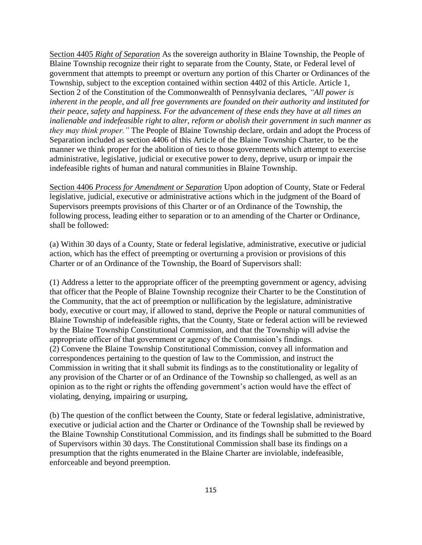Section 4405 *Right of Separation* As the sovereign authority in Blaine Township, the People of Blaine Township recognize their right to separate from the County, State, or Federal level of government that attempts to preempt or overturn any portion of this Charter or Ordinances of the Township, subject to the exception contained within section 4402 of this Article. Article 1, Section 2 of the Constitution of the Commonwealth of Pennsylvania declares, *"All power is inherent in the people, and all free governments are founded on their authority and instituted for their peace, safety and happiness. For the advancement of these ends they have at all times an inalienable and indefeasible right to alter, reform or abolish their government in such manner as they may think proper."* The People of Blaine Township declare, ordain and adopt the Process of Separation included as section 4406 of this Article of the Blaine Township Charter, to be the manner we think proper for the abolition of ties to those governments which attempt to exercise administrative, legislative, judicial or executive power to deny, deprive, usurp or impair the indefeasible rights of human and natural communities in Blaine Township.

Section 4406 *Process for Amendment or Separation* Upon adoption of County, State or Federal legislative, judicial, executive or administrative actions which in the judgment of the Board of Supervisors preempts provisions of this Charter or of an Ordinance of the Township, the following process, leading either to separation or to an amending of the Charter or Ordinance, shall be followed:

(a) Within 30 days of a County, State or federal legislative, administrative, executive or judicial action, which has the effect of preempting or overturning a provision or provisions of this Charter or of an Ordinance of the Township, the Board of Supervisors shall:

(1) Address a letter to the appropriate officer of the preempting government or agency, advising that officer that the People of Blaine Township recognize their Charter to be the Constitution of the Community, that the act of preemption or nullification by the legislature, administrative body, executive or court may, if allowed to stand, deprive the People or natural communities of Blaine Township of indefeasible rights, that the County, State or federal action will be reviewed by the Blaine Township Constitutional Commission, and that the Township will advise the appropriate officer of that government or agency of the Commission's findings. (2) Convene the Blaine Township Constitutional Commission, convey all information and correspondences pertaining to the question of law to the Commission, and instruct the Commission in writing that it shall submit its findings as to the constitutionality or legality of any provision of the Charter or of an Ordinance of the Township so challenged, as well as an opinion as to the right or rights the offending government's action would have the effect of violating, denying, impairing or usurping,

(b) The question of the conflict between the County, State or federal legislative, administrative, executive or judicial action and the Charter or Ordinance of the Township shall be reviewed by the Blaine Township Constitutional Commission, and its findings shall be submitted to the Board of Supervisors within 30 days. The Constitutional Commission shall base its findings on a presumption that the rights enumerated in the Blaine Charter are inviolable, indefeasible, enforceable and beyond preemption.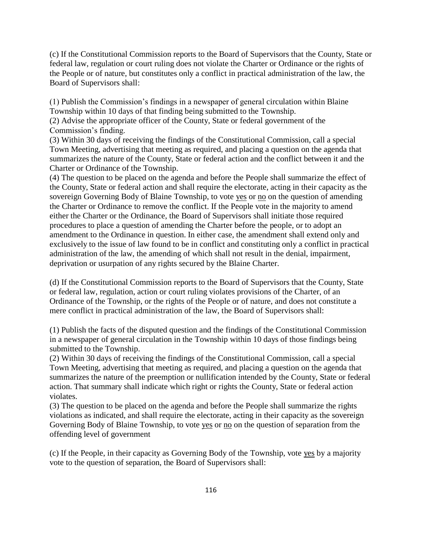(c) If the Constitutional Commission reports to the Board of Supervisors that the County, State or federal law, regulation or court ruling does not violate the Charter or Ordinance or the rights of the People or of nature, but constitutes only a conflict in practical administration of the law, the Board of Supervisors shall:

(1) Publish the Commission's findings in a newspaper of general circulation within Blaine Township within 10 days of that finding being submitted to the Township.

(2) Advise the appropriate officer of the County, State or federal government of the Commission's finding.

(3) Within 30 days of receiving the findings of the Constitutional Commission, call a special Town Meeting, advertising that meeting as required, and placing a question on the agenda that summarizes the nature of the County, State or federal action and the conflict between it and the Charter or Ordinance of the Township.

(4) The question to be placed on the agenda and before the People shall summarize the effect of the County, State or federal action and shall require the electorate, acting in their capacity as the sovereign Governing Body of Blaine Township, to vote yes or no on the question of amending the Charter or Ordinance to remove the conflict. If the People vote in the majority to amend either the Charter or the Ordinance, the Board of Supervisors shall initiate those required procedures to place a question of amending the Charter before the people, or to adopt an amendment to the Ordinance in question. In either case, the amendment shall extend only and exclusively to the issue of law found to be in conflict and constituting only a conflict in practical administration of the law, the amending of which shall not result in the denial, impairment, deprivation or usurpation of any rights secured by the Blaine Charter.

(d) If the Constitutional Commission reports to the Board of Supervisors that the County, State or federal law, regulation, action or court ruling violates provisions of the Charter, of an Ordinance of the Township, or the rights of the People or of nature, and does not constitute a mere conflict in practical administration of the law, the Board of Supervisors shall:

(1) Publish the facts of the disputed question and the findings of the Constitutional Commission in a newspaper of general circulation in the Township within 10 days of those findings being submitted to the Township.

(2) Within 30 days of receiving the findings of the Constitutional Commission, call a special Town Meeting, advertising that meeting as required, and placing a question on the agenda that summarizes the nature of the preemption or nullification intended by the County, State or federal action. That summary shall indicate which right or rights the County, State or federal action violates.

(3) The question to be placed on the agenda and before the People shall summarize the rights violations as indicated, and shall require the electorate, acting in their capacity as the sovereign Governing Body of Blaine Township, to vote yes or no on the question of separation from the offending level of government

(c) If the People, in their capacity as Governing Body of the Township, vote yes by a majority vote to the question of separation, the Board of Supervisors shall: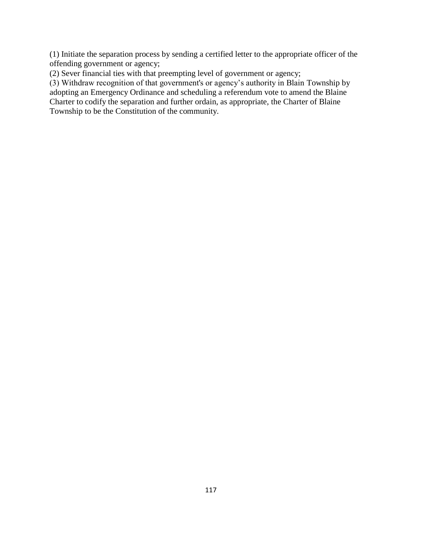(1) Initiate the separation process by sending a certified letter to the appropriate officer of the offending government or agency;

(2) Sever financial ties with that preempting level of government or agency;

(3) Withdraw recognition of that government's or agency's authority in Blain Township by adopting an Emergency Ordinance and scheduling a referendum vote to amend the Blaine Charter to codify the separation and further ordain, as appropriate, the Charter of Blaine Township to be the Constitution of the community.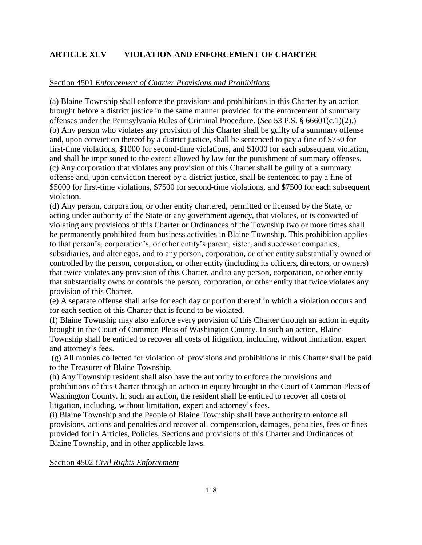# **ARTICLE XLV VIOLATION AND ENFORCEMENT OF CHARTER**

### Section 4501 *Enforcement of Charter Provisions and Prohibitions*

(a) Blaine Township shall enforce the provisions and prohibitions in this Charter by an action brought before a district justice in the same manner provided for the enforcement of summary offenses under the Pennsylvania Rules of Criminal Procedure. (*See* 53 P.S. § 66601(c.1)(2).) (b) Any person who violates any provision of this Charter shall be guilty of a summary offense and, upon conviction thereof by a district justice, shall be sentenced to pay a fine of \$750 for first-time violations, \$1000 for second-time violations, and \$1000 for each subsequent violation, and shall be imprisoned to the extent allowed by law for the punishment of summary offenses. (c) Any corporation that violates any provision of this Charter shall be guilty of a summary offense and, upon conviction thereof by a district justice, shall be sentenced to pay a fine of \$5000 for first-time violations, \$7500 for second-time violations, and \$7500 for each subsequent violation.

(d) Any person, corporation, or other entity chartered, permitted or licensed by the State, or acting under authority of the State or any government agency, that violates, or is convicted of violating any provisions of this Charter or Ordinances of the Township two or more times shall be permanently prohibited from business activities in Blaine Township. This prohibition applies to that person's, corporation's, or other entity's parent, sister, and successor companies, subsidiaries, and alter egos, and to any person, corporation, or other entity substantially owned or controlled by the person, corporation, or other entity (including its officers, directors, or owners) that twice violates any provision of this Charter, and to any person, corporation, or other entity that substantially owns or controls the person, corporation, or other entity that twice violates any provision of this Charter.

(e) A separate offense shall arise for each day or portion thereof in which a violation occurs and for each section of this Charter that is found to be violated.

(f) Blaine Township may also enforce every provision of this Charter through an action in equity brought in the Court of Common Pleas of Washington County. In such an action, Blaine Township shall be entitled to recover all costs of litigation, including, without limitation, expert and attorney's fees.

(g) All monies collected for violation of provisions and prohibitions in this Charter shall be paid to the Treasurer of Blaine Township.

(h) Any Township resident shall also have the authority to enforce the provisions and prohibitions of this Charter through an action in equity brought in the Court of Common Pleas of Washington County. In such an action, the resident shall be entitled to recover all costs of litigation, including, without limitation, expert and attorney's fees.

(i) Blaine Township and the People of Blaine Township shall have authority to enforce all provisions, actions and penalties and recover all compensation, damages, penalties, fees or fines provided for in Articles, Policies, Sections and provisions of this Charter and Ordinances of Blaine Township, and in other applicable laws.

Section 4502 *Civil Rights Enforcement*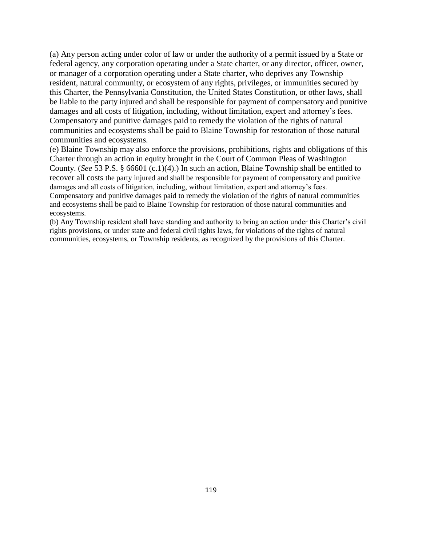(a) Any person acting under color of law or under the authority of a permit issued by a State or federal agency, any corporation operating under a State charter, or any director, officer, owner, or manager of a corporation operating under a State charter, who deprives any Township resident, natural community, or ecosystem of any rights, privileges, or immunities secured by this Charter, the Pennsylvania Constitution, the United States Constitution, or other laws, shall be liable to the party injured and shall be responsible for payment of compensatory and punitive damages and all costs of litigation, including, without limitation, expert and attorney's fees. Compensatory and punitive damages paid to remedy the violation of the rights of natural communities and ecosystems shall be paid to Blaine Township for restoration of those natural communities and ecosystems.

(e) Blaine Township may also enforce the provisions, prohibitions, rights and obligations of this Charter through an action in equity brought in the Court of Common Pleas of Washington County. (*See* 53 P.S. § 66601 (c.1)(4).) In such an action, Blaine Township shall be entitled to recover all costs the party injured and shall be responsible for payment of compensatory and punitive damages and all costs of litigation, including, without limitation, expert and attorney's fees. Compensatory and punitive damages paid to remedy the violation of the rights of natural communities and ecosystems shall be paid to Blaine Township for restoration of those natural communities and ecosystems.

(b) Any Township resident shall have standing and authority to bring an action under this Charter's civil rights provisions, or under state and federal civil rights laws, for violations of the rights of natural communities, ecosystems, or Township residents, as recognized by the provisions of this Charter.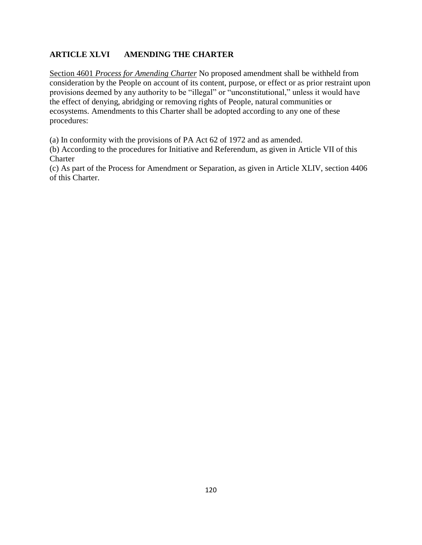# **ARTICLE XLVI AMENDING THE CHARTER**

Section 4601 *Process for Amending Charter* No proposed amendment shall be withheld from consideration by the People on account of its content, purpose, or effect or as prior restraint upon provisions deemed by any authority to be "illegal" or "unconstitutional," unless it would have the effect of denying, abridging or removing rights of People, natural communities or ecosystems. Amendments to this Charter shall be adopted according to any one of these procedures:

(a) In conformity with the provisions of PA Act 62 of 1972 and as amended.

(b) According to the procedures for Initiative and Referendum, as given in Article VII of this **Charter** 

(c) As part of the Process for Amendment or Separation, as given in Article XLIV, section 4406 of this Charter.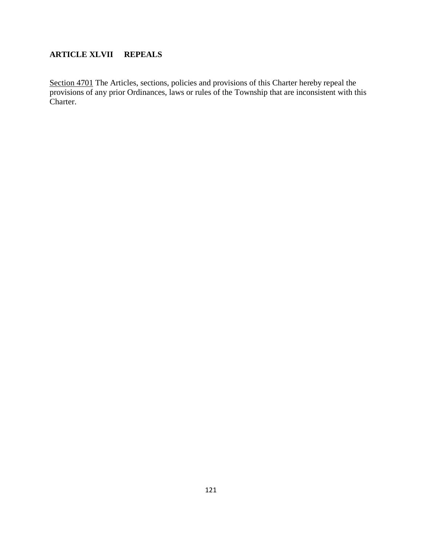# **ARTICLE XLVII REPEALS**

Section 4701 The Articles, sections, policies and provisions of this Charter hereby repeal the provisions of any prior Ordinances, laws or rules of the Township that are inconsistent with this Charter.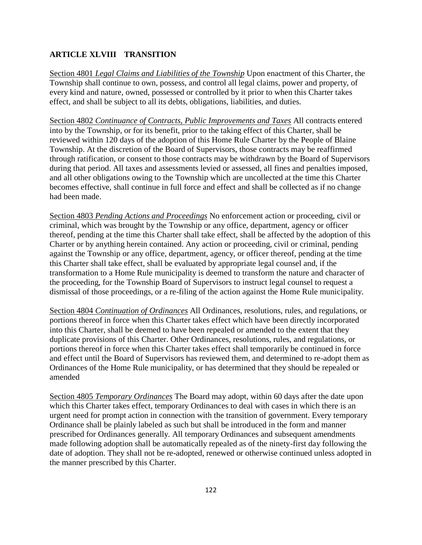# **ARTICLE XLVIII TRANSITION**

Section 4801 *Legal Claims and Liabilities of the Township* Upon enactment of this Charter, the Township shall continue to own, possess, and control all legal claims, power and property, of every kind and nature, owned, possessed or controlled by it prior to when this Charter takes effect, and shall be subject to all its debts, obligations, liabilities, and duties.

Section 4802 *Continuance of Contracts, Public Improvements and Taxes* All contracts entered into by the Township, or for its benefit, prior to the taking effect of this Charter, shall be reviewed within 120 days of the adoption of this Home Rule Charter by the People of Blaine Township. At the discretion of the Board of Supervisors, those contracts may be reaffirmed through ratification, or consent to those contracts may be withdrawn by the Board of Supervisors during that period. All taxes and assessments levied or assessed, all fines and penalties imposed, and all other obligations owing to the Township which are uncollected at the time this Charter becomes effective, shall continue in full force and effect and shall be collected as if no change had been made.

Section 4803 *Pending Actions and Proceedings* No enforcement action or proceeding, civil or criminal, which was brought by the Township or any office, department, agency or officer thereof, pending at the time this Charter shall take effect, shall be affected by the adoption of this Charter or by anything herein contained. Any action or proceeding, civil or criminal, pending against the Township or any office, department, agency, or officer thereof, pending at the time this Charter shall take effect, shall be evaluated by appropriate legal counsel and, if the transformation to a Home Rule municipality is deemed to transform the nature and character of the proceeding, for the Township Board of Supervisors to instruct legal counsel to request a dismissal of those proceedings, or a re-filing of the action against the Home Rule municipality.

Section 4804 *Continuation of Ordinances* All Ordinances, resolutions, rules, and regulations, or portions thereof in force when this Charter takes effect which have been directly incorporated into this Charter, shall be deemed to have been repealed or amended to the extent that they duplicate provisions of this Charter. Other Ordinances, resolutions, rules, and regulations, or portions thereof in force when this Charter takes effect shall temporarily be continued in force and effect until the Board of Supervisors has reviewed them, and determined to re-adopt them as Ordinances of the Home Rule municipality, or has determined that they should be repealed or amended

Section 4805 *Temporary Ordinances* The Board may adopt, within 60 days after the date upon which this Charter takes effect, temporary Ordinances to deal with cases in which there is an urgent need for prompt action in connection with the transition of government. Every temporary Ordinance shall be plainly labeled as such but shall be introduced in the form and manner prescribed for Ordinances generally. All temporary Ordinances and subsequent amendments made following adoption shall be automatically repealed as of the ninety-first day following the date of adoption. They shall not be re-adopted, renewed or otherwise continued unless adopted in the manner prescribed by this Charter.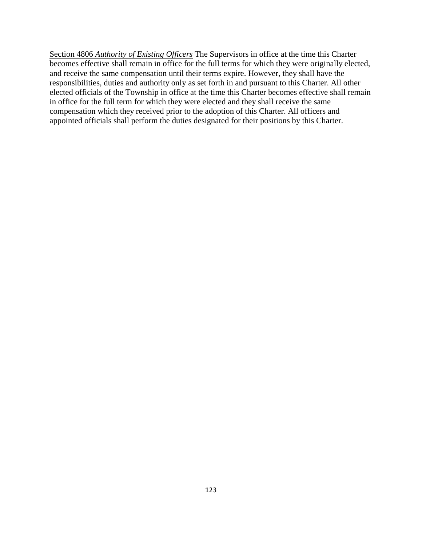Section 4806 *Authority of Existing Officers* The Supervisors in office at the time this Charter becomes effective shall remain in office for the full terms for which they were originally elected, and receive the same compensation until their terms expire. However, they shall have the responsibilities, duties and authority only as set forth in and pursuant to this Charter. All other elected officials of the Township in office at the time this Charter becomes effective shall remain in office for the full term for which they were elected and they shall receive the same compensation which they received prior to the adoption of this Charter. All officers and appointed officials shall perform the duties designated for their positions by this Charter.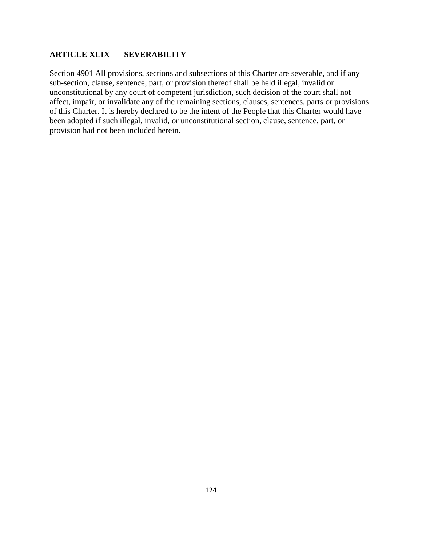## **ARTICLE XLIX SEVERABILITY**

Section 4901 All provisions, sections and subsections of this Charter are severable, and if any sub-section, clause, sentence, part, or provision thereof shall be held illegal, invalid or unconstitutional by any court of competent jurisdiction, such decision of the court shall not affect, impair, or invalidate any of the remaining sections, clauses, sentences, parts or provisions of this Charter. It is hereby declared to be the intent of the People that this Charter would have been adopted if such illegal, invalid, or unconstitutional section, clause, sentence, part, or provision had not been included herein.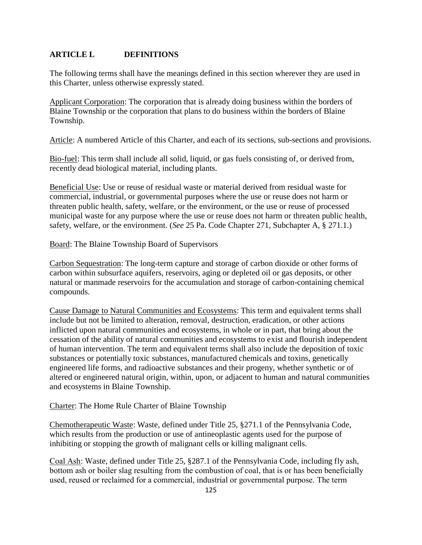# **ARTICLE L DEFINITIONS**

The following terms shall have the meanings defined in this section wherever they are used in this Charter, unless otherwise expressly stated.

Applicant Corporation: The corporation that is already doing business within the borders of Blaine Township or the corporation that plans to do business within the borders of Blaine Township.

Article: A numbered Article of this Charter, and each of its sections, sub-sections and provisions.

Bio-fuel: This term shall include all solid, liquid, or gas fuels consisting of, or derived from, recently dead biological material, including plants.

Beneficial Use: Use or reuse of residual waste or material derived from residual waste for commercial, industrial, or governmental purposes where the use or reuse does not harm or threaten public health, safety, welfare, or the environment, or the use or reuse of processed municipal waste for any purpose where the use or reuse does not harm or threaten public health, safety, welfare, or the environment. (*See* 25 Pa. Code Chapter 271, Subchapter A, § 271.1.)

Board: The Blaine Township Board of Supervisors

Carbon Sequestration: The long-term capture and storage of carbon dioxide or other forms of carbon within subsurface aquifers, reservoirs, aging or depleted oil or gas deposits, or other natural or manmade reservoirs for the accumulation and storage of carbon-containing chemical compounds.

Cause Damage to Natural Communities and Ecosystems: This term and equivalent terms shall include but not be limited to alteration, removal, destruction, eradication, or other actions inflicted upon natural communities and ecosystems, in whole or in part, that bring about the cessation of the ability of natural communities and ecosystems to exist and flourish independent of human intervention. The term and equivalent terms shall also include the deposition of toxic substances or potentially toxic substances, manufactured chemicals and toxins, genetically engineered life forms, and radioactive substances and their progeny, whether synthetic or of altered or engineered natural origin, within, upon, or adjacent to human and natural communities and ecosystems in Blaine Township.

Charter: The Home Rule Charter of Blaine Township

Chemotherapeutic Waste: Waste, defined under Title 25, §271.1 of the Pennsylvania Code, which results from the production or use of antineoplastic agents used for the purpose of inhibiting or stopping the growth of malignant cells or killing malignant cells.

Coal Ash: Waste, defined under Title 25, §287.1 of the Pennsylvania Code, including fly ash, bottom ash or boiler slag resulting from the combustion of coal, that is or has been beneficially used, reused or reclaimed for a commercial, industrial or governmental purpose. The term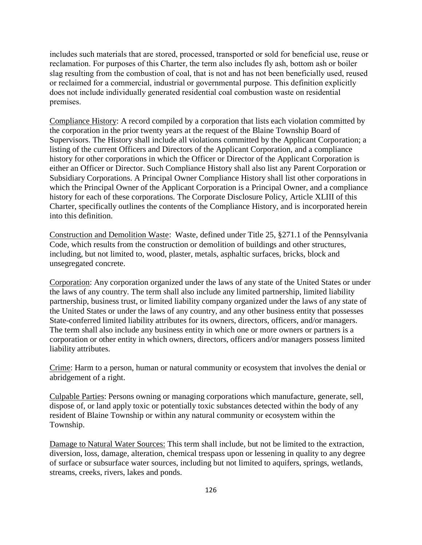includes such materials that are stored, processed, transported or sold for beneficial use, reuse or reclamation. For purposes of this Charter, the term also includes fly ash, bottom ash or boiler slag resulting from the combustion of coal, that is not and has not been beneficially used, reused or reclaimed for a commercial, industrial or governmental purpose. This definition explicitly does not include individually generated residential coal combustion waste on residential premises.

Compliance History: A record compiled by a corporation that lists each violation committed by the corporation in the prior twenty years at the request of the Blaine Township Board of Supervisors. The History shall include all violations committed by the Applicant Corporation; a listing of the current Officers and Directors of the Applicant Corporation, and a compliance history for other corporations in which the Officer or Director of the Applicant Corporation is either an Officer or Director. Such Compliance History shall also list any Parent Corporation or Subsidiary Corporations. A Principal Owner Compliance History shall list other corporations in which the Principal Owner of the Applicant Corporation is a Principal Owner, and a compliance history for each of these corporations. The Corporate Disclosure Policy, Article XLIII of this Charter, specifically outlines the contents of the Compliance History, and is incorporated herein into this definition.

Construction and Demolition Waste: Waste, defined under Title 25, §271.1 of the Pennsylvania Code, which results from the construction or demolition of buildings and other structures, including, but not limited to, wood, plaster, metals, asphaltic surfaces, bricks, block and unsegregated concrete.

Corporation: Any corporation organized under the laws of any state of the United States or under the laws of any country. The term shall also include any limited partnership, limited liability partnership, business trust, or limited liability company organized under the laws of any state of the United States or under the laws of any country, and any other business entity that possesses State-conferred limited liability attributes for its owners, directors, officers, and/or managers. The term shall also include any business entity in which one or more owners or partners is a corporation or other entity in which owners, directors, officers and/or managers possess limited liability attributes.

Crime: Harm to a person, human or natural community or ecosystem that involves the denial or abridgement of a right.

Culpable Parties: Persons owning or managing corporations which manufacture, generate, sell, dispose of, or land apply toxic or potentially toxic substances detected within the body of any resident of Blaine Township or within any natural community or ecosystem within the Township.

Damage to Natural Water Sources: This term shall include, but not be limited to the extraction, diversion, loss, damage, alteration, chemical trespass upon or lessening in quality to any degree of surface or subsurface water sources, including but not limited to aquifers, springs, wetlands, streams, creeks, rivers, lakes and ponds.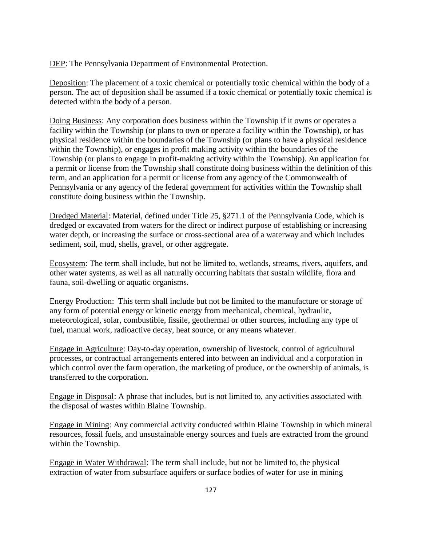DEP: The Pennsylvania Department of Environmental Protection.

Deposition: The placement of a toxic chemical or potentially toxic chemical within the body of a person. The act of deposition shall be assumed if a toxic chemical or potentially toxic chemical is detected within the body of a person.

Doing Business: Any corporation does business within the Township if it owns or operates a facility within the Township (or plans to own or operate a facility within the Township), or has physical residence within the boundaries of the Township (or plans to have a physical residence within the Township), or engages in profit making activity within the boundaries of the Township (or plans to engage in profit-making activity within the Township). An application for a permit or license from the Township shall constitute doing business within the definition of this term, and an application for a permit or license from any agency of the Commonwealth of Pennsylvania or any agency of the federal government for activities within the Township shall constitute doing business within the Township.

Dredged Material: Material, defined under Title 25, §271.1 of the Pennsylvania Code, which is dredged or excavated from waters for the direct or indirect purpose of establishing or increasing water depth, or increasing the surface or cross-sectional area of a waterway and which includes sediment, soil, mud, shells, gravel, or other aggregate.

Ecosystem: The term shall include, but not be limited to, wetlands, streams, rivers, aquifers, and other water systems, as well as all naturally occurring habitats that sustain wildlife, flora and fauna, soil-dwelling or aquatic organisms.

Energy Production: This term shall include but not be limited to the manufacture or storage of any form of potential energy or kinetic energy from mechanical, chemical, hydraulic, meteorological, solar, combustible, fissile, geothermal or other sources, including any type of fuel, manual work, radioactive decay, heat source, or any means whatever.

Engage in Agriculture: Day-to-day operation, ownership of livestock, control of agricultural processes, or contractual arrangements entered into between an individual and a corporation in which control over the farm operation, the marketing of produce, or the ownership of animals, is transferred to the corporation.

Engage in Disposal: A phrase that includes, but is not limited to, any activities associated with the disposal of wastes within Blaine Township.

Engage in Mining: Any commercial activity conducted within Blaine Township in which mineral resources, fossil fuels, and unsustainable energy sources and fuels are extracted from the ground within the Township.

Engage in Water Withdrawal: The term shall include, but not be limited to, the physical extraction of water from subsurface aquifers or surface bodies of water for use in mining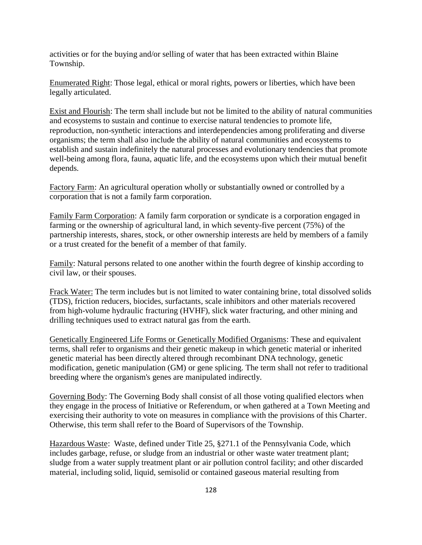activities or for the buying and/or selling of water that has been extracted within Blaine Township.

Enumerated Right: Those legal, ethical or moral rights, powers or liberties, which have been legally articulated.

Exist and Flourish: The term shall include but not be limited to the ability of natural communities and ecosystems to sustain and continue to exercise natural tendencies to promote life, reproduction, non-synthetic interactions and interdependencies among proliferating and diverse organisms; the term shall also include the ability of natural communities and ecosystems to establish and sustain indefinitely the natural processes and evolutionary tendencies that promote well-being among flora, fauna, aquatic life, and the ecosystems upon which their mutual benefit depends.

Factory Farm: An agricultural operation wholly or substantially owned or controlled by a corporation that is not a family farm corporation.

Family Farm Corporation: A family farm corporation or syndicate is a corporation engaged in farming or the ownership of agricultural land, in which seventy-five percent (75%) of the partnership interests, shares, stock, or other ownership interests are held by members of a family or a trust created for the benefit of a member of that family.

Family: Natural persons related to one another within the fourth degree of kinship according to civil law, or their spouses.

Frack Water: The term includes but is not limited to water containing brine, total dissolved solids (TDS), friction reducers, biocides, surfactants, scale inhibitors and other materials recovered from high-volume hydraulic fracturing (HVHF), slick water fracturing, and other mining and drilling techniques used to extract natural gas from the earth.

Genetically Engineered Life Forms or Genetically Modified Organisms: These and equivalent terms, shall refer to organisms and their genetic makeup in which genetic material or inherited genetic material has been directly altered through recombinant DNA technology, genetic modification, genetic manipulation (GM) or gene splicing. The term shall not refer to traditional breeding where the organism's genes are manipulated indirectly.

Governing Body: The Governing Body shall consist of all those voting qualified electors when they engage in the process of Initiative or Referendum, or when gathered at a Town Meeting and exercising their authority to vote on measures in compliance with the provisions of this Charter. Otherwise, this term shall refer to the Board of Supervisors of the Township.

Hazardous Waste: Waste, defined under Title 25, §271.1 of the Pennsylvania Code, which includes garbage, refuse, or sludge from an industrial or other waste water treatment plant; sludge from a water supply treatment plant or air pollution control facility; and other discarded material, including solid, liquid, semisolid or contained gaseous material resulting from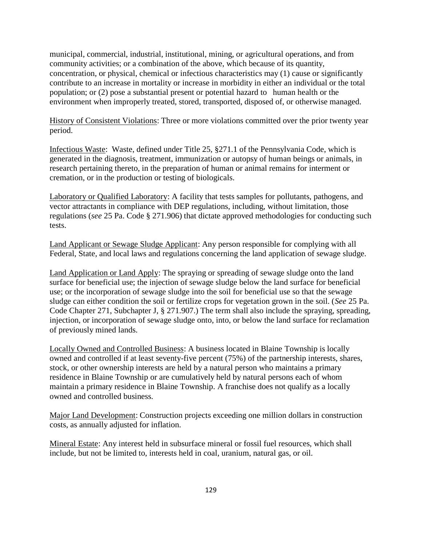municipal, commercial, industrial, institutional, mining, or agricultural operations, and from community activities; or a combination of the above, which because of its quantity, concentration, or physical, chemical or infectious characteristics may (1) cause or significantly contribute to an increase in mortality or increase in morbidity in either an individual or the total population; or (2) pose a substantial present or potential hazard to human health or the environment when improperly treated, stored, transported, disposed of, or otherwise managed.

History of Consistent Violations: Three or more violations committed over the prior twenty year period.

Infectious Waste: Waste, defined under Title 25, §271.1 of the Pennsylvania Code, which is generated in the diagnosis, treatment, immunization or autopsy of human beings or animals, in research pertaining thereto, in the preparation of human or animal remains for interment or cremation, or in the production or testing of biologicals.

Laboratory or Qualified Laboratory: A facility that tests samples for pollutants, pathogens, and vector attractants in compliance with DEP regulations, including, without limitation, those regulations (*see* 25 Pa. Code § 271.906) that dictate approved methodologies for conducting such tests.

Land Applicant or Sewage Sludge Applicant: Any person responsible for complying with all Federal, State, and local laws and regulations concerning the land application of sewage sludge.

Land Application or Land Apply: The spraying or spreading of sewage sludge onto the land surface for beneficial use; the injection of sewage sludge below the land surface for beneficial use; or the incorporation of sewage sludge into the soil for beneficial use so that the sewage sludge can either condition the soil or fertilize crops for vegetation grown in the soil. (*See* 25 Pa. Code Chapter 271, Subchapter J, § 271.907.) The term shall also include the spraying, spreading, injection, or incorporation of sewage sludge onto, into, or below the land surface for reclamation of previously mined lands.

Locally Owned and Controlled Business: A business located in Blaine Township is locally owned and controlled if at least seventy-five percent (75%) of the partnership interests, shares, stock, or other ownership interests are held by a natural person who maintains a primary residence in Blaine Township or are cumulatively held by natural persons each of whom maintain a primary residence in Blaine Township. A franchise does not qualify as a locally owned and controlled business.

Major Land Development: Construction projects exceeding one million dollars in construction costs, as annually adjusted for inflation.

Mineral Estate: Any interest held in subsurface mineral or fossil fuel resources, which shall include, but not be limited to, interests held in coal, uranium, natural gas, or oil.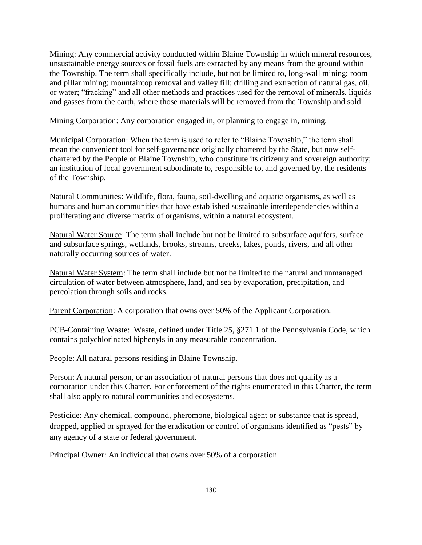Mining: Any commercial activity conducted within Blaine Township in which mineral resources, unsustainable energy sources or fossil fuels are extracted by any means from the ground within the Township. The term shall specifically include, but not be limited to, long-wall mining; room and pillar mining; mountaintop removal and valley fill; drilling and extraction of natural gas, oil, or water; "fracking" and all other methods and practices used for the removal of minerals, liquids and gasses from the earth, where those materials will be removed from the Township and sold.

Mining Corporation: Any corporation engaged in, or planning to engage in, mining.

Municipal Corporation: When the term is used to refer to "Blaine Township," the term shall mean the convenient tool for self-governance originally chartered by the State, but now selfchartered by the People of Blaine Township, who constitute its citizenry and sovereign authority; an institution of local government subordinate to, responsible to, and governed by, the residents of the Township.

Natural Communities: Wildlife, flora, fauna, soil-dwelling and aquatic organisms, as well as humans and human communities that have established sustainable interdependencies within a proliferating and diverse matrix of organisms, within a natural ecosystem.

Natural Water Source: The term shall include but not be limited to subsurface aquifers, surface and subsurface springs, wetlands, brooks, streams, creeks, lakes, ponds, rivers, and all other naturally occurring sources of water.

Natural Water System: The term shall include but not be limited to the natural and unmanaged circulation of water between atmosphere, land, and sea by evaporation, precipitation, and percolation through soils and rocks.

Parent Corporation: A corporation that owns over 50% of the Applicant Corporation.

PCB-Containing Waste: Waste, defined under Title 25, §271.1 of the Pennsylvania Code, which contains polychlorinated biphenyls in any measurable concentration.

People: All natural persons residing in Blaine Township.

Person: A natural person, or an association of natural persons that does not qualify as a corporation under this Charter. For enforcement of the rights enumerated in this Charter, the term shall also apply to natural communities and ecosystems.

Pesticide: Any chemical, compound, pheromone, biological agent or substance that is spread, dropped, applied or sprayed for the eradication or control of organisms identified as "pests" by any agency of a state or federal government.

Principal Owner: An individual that owns over 50% of a corporation.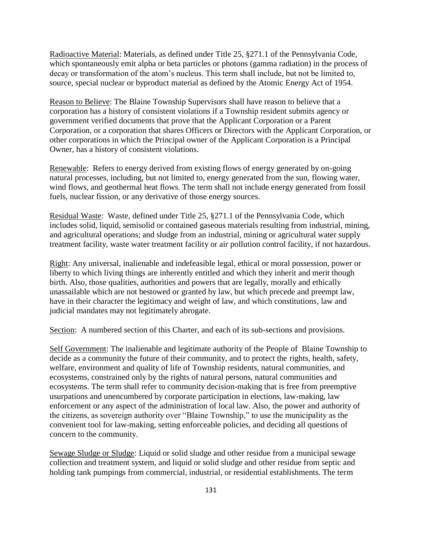Radioactive Material: Materials, as defined under Title 25, §271.1 of the Pennsylvania Code, which spontaneously emit alpha or beta particles or photons (gamma radiation) in the process of decay or transformation of the atom's nucleus. This term shall include, but not be limited to, source, special nuclear or byproduct material as defined by the Atomic Energy Act of 1954.

Reason to Believe: The Blaine Township Supervisors shall have reason to believe that a corporation has a history of consistent violations if a Township resident submits agency or government verified documents that prove that the Applicant Corporation or a Parent Corporation, or a corporation that shares Officers or Directors with the Applicant Corporation, or other corporations in which the Principal owner of the Applicant Corporation is a Principal Owner, has a history of consistent violations.

Renewable: Refers to energy derived from existing flows of energy generated by on-going natural processes, including, but not limited to, energy generated from the sun, flowing water, wind flows, and geothermal heat flows. The term shall not include energy generated from fossil fuels, nuclear fission, or any derivative of those energy sources.

Residual Waste: Waste, defined under Title 25, §271.1 of the Pennsylvania Code, which includes solid, liquid, semisolid or contained gaseous materials resulting from industrial, mining, and agricultural operations; and sludge from an industrial, mining or agricultural water supply treatment facility, waste water treatment facility or air pollution control facility, if not hazardous.

Right: Any universal, inalienable and indefeasible legal, ethical or moral possession, power or liberty to which living things are inherently entitled and which they inherit and merit though birth. Also, those qualities, authorities and powers that are legally, morally and ethically unassailable which are not bestowed or granted by law, but which precede and preempt law, have in their character the legitimacy and weight of law, and which constitutions, law and judicial mandates may not legitimately abrogate.

Section: A numbered section of this Charter, and each of its sub-sections and provisions.

Self Government: The inalienable and legitimate authority of the People of Blaine Township to decide as a community the future of their community, and to protect the rights, health, safety, welfare, environment and quality of life of Township residents, natural communities, and ecosystems, constrained only by the rights of natural persons, natural communities and ecosystems. The term shall refer to community decision-making that is free from preemptive usurpations and unencumbered by corporate participation in elections, law-making, law enforcement or any aspect of the administration of local law. Also, the power and authority of the citizens, as sovereign authority over "Blaine Township," to use the municipality as the convenient tool for law-making, setting enforceable policies, and deciding all questions of concern to the community.

Sewage Sludge or Sludge: Liquid or solid sludge and other residue from a municipal sewage collection and treatment system, and liquid or solid sludge and other residue from septic and holding tank pumpings from commercial, industrial, or residential establishments. The term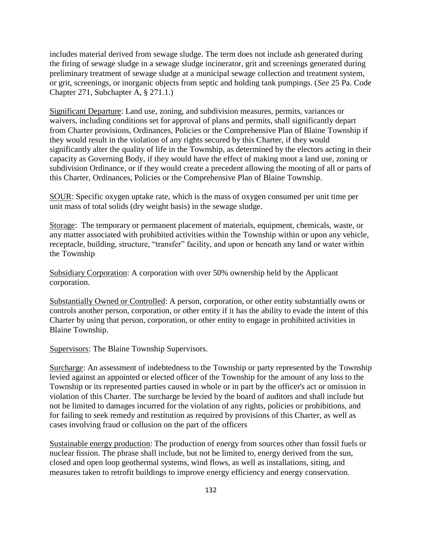includes material derived from sewage sludge. The term does not include ash generated during the firing of sewage sludge in a sewage sludge incinerator, grit and screenings generated during preliminary treatment of sewage sludge at a municipal sewage collection and treatment system, or grit, screenings, or inorganic objects from septic and holding tank pumpings. (*See* 25 Pa. Code Chapter 271, Subchapter A, § 271.1.)

Significant Departure: Land use, zoning, and subdivision measures, permits, variances or waivers, including conditions set for approval of plans and permits, shall significantly depart from Charter provisions, Ordinances, Policies or the Comprehensive Plan of Blaine Township if they would result in the violation of any rights secured by this Charter, if they would significantly alter the quality of life in the Township, as determined by the electors acting in their capacity as Governing Body, if they would have the effect of making moot a land use, zoning or subdivision Ordinance, or if they would create a precedent allowing the mooting of all or parts of this Charter, Ordinances, Policies or the Comprehensive Plan of Blaine Township.

SOUR: Specific oxygen uptake rate, which is the mass of oxygen consumed per unit time per unit mass of total solids (dry weight basis) in the sewage sludge.

Storage: The temporary or permanent placement of materials, equipment, chemicals, waste, or any matter associated with prohibited activities within the Township within or upon any vehicle, receptacle, building, structure, "transfer" facility, and upon or beneath any land or water within the Township

Subsidiary Corporation: A corporation with over 50% ownership held by the Applicant corporation.

Substantially Owned or Controlled: A person, corporation, or other entity substantially owns or controls another person, corporation, or other entity if it has the ability to evade the intent of this Charter by using that person, corporation, or other entity to engage in prohibited activities in Blaine Township.

Supervisors: The Blaine Township Supervisors.

Surcharge: An assessment of indebtedness to the Township or party represented by the Township levied against an appointed or elected officer of the Township for the amount of any loss to the Township or its represented parties caused in whole or in part by the officer's act or omission in violation of this Charter. The surcharge be levied by the board of auditors and shall include but not be limited to damages incurred for the violation of any rights, policies or prohibitions, and for failing to seek remedy and restitution as required by provisions of this Charter, as well as cases involving fraud or collusion on the part of the officers

Sustainable energy production: The production of energy from sources other than fossil fuels or nuclear fission. The phrase shall include, but not be limited to, energy derived from the sun, closed and open loop geothermal systems, wind flows, as well as installations, siting, and measures taken to retrofit buildings to improve energy efficiency and energy conservation.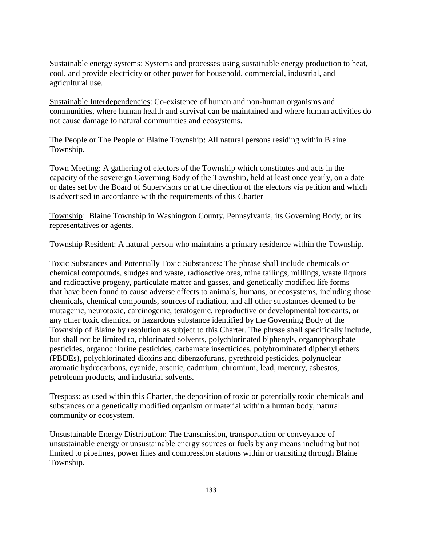Sustainable energy systems: Systems and processes using sustainable energy production to heat, cool, and provide electricity or other power for household, commercial, industrial, and agricultural use.

Sustainable Interdependencies: Co-existence of human and non-human organisms and communities, where human health and survival can be maintained and where human activities do not cause damage to natural communities and ecosystems.

The People or The People of Blaine Township: All natural persons residing within Blaine Township.

Town Meeting: A gathering of electors of the Township which constitutes and acts in the capacity of the sovereign Governing Body of the Township, held at least once yearly, on a date or dates set by the Board of Supervisors or at the direction of the electors via petition and which is advertised in accordance with the requirements of this Charter

Township: Blaine Township in Washington County, Pennsylvania, its Governing Body, or its representatives or agents.

Township Resident: A natural person who maintains a primary residence within the Township.

Toxic Substances and Potentially Toxic Substances: The phrase shall include chemicals or chemical compounds, sludges and waste, radioactive ores, mine tailings, millings, waste liquors and radioactive progeny, particulate matter and gasses, and genetically modified life forms that have been found to cause adverse effects to animals, humans, or ecosystems, including those chemicals, chemical compounds, sources of radiation, and all other substances deemed to be mutagenic, neurotoxic, carcinogenic, teratogenic, reproductive or developmental toxicants, or any other toxic chemical or hazardous substance identified by the Governing Body of the Township of Blaine by resolution as subject to this Charter. The phrase shall specifically include, but shall not be limited to, chlorinated solvents, polychlorinated biphenyls, organophosphate pesticides, organochlorine pesticides, carbamate insecticides, polybrominated diphenyl ethers (PBDEs), polychlorinated dioxins and dibenzofurans, pyrethroid pesticides, polynuclear aromatic hydrocarbons, cyanide, arsenic, cadmium, chromium, lead, mercury, asbestos, petroleum products, and industrial solvents.

Trespass: as used within this Charter, the deposition of toxic or potentially toxic chemicals and substances or a genetically modified organism or material within a human body, natural community or ecosystem.

Unsustainable Energy Distribution: The transmission, transportation or conveyance of unsustainable energy or unsustainable energy sources or fuels by any means including but not limited to pipelines, power lines and compression stations within or transiting through Blaine Township.